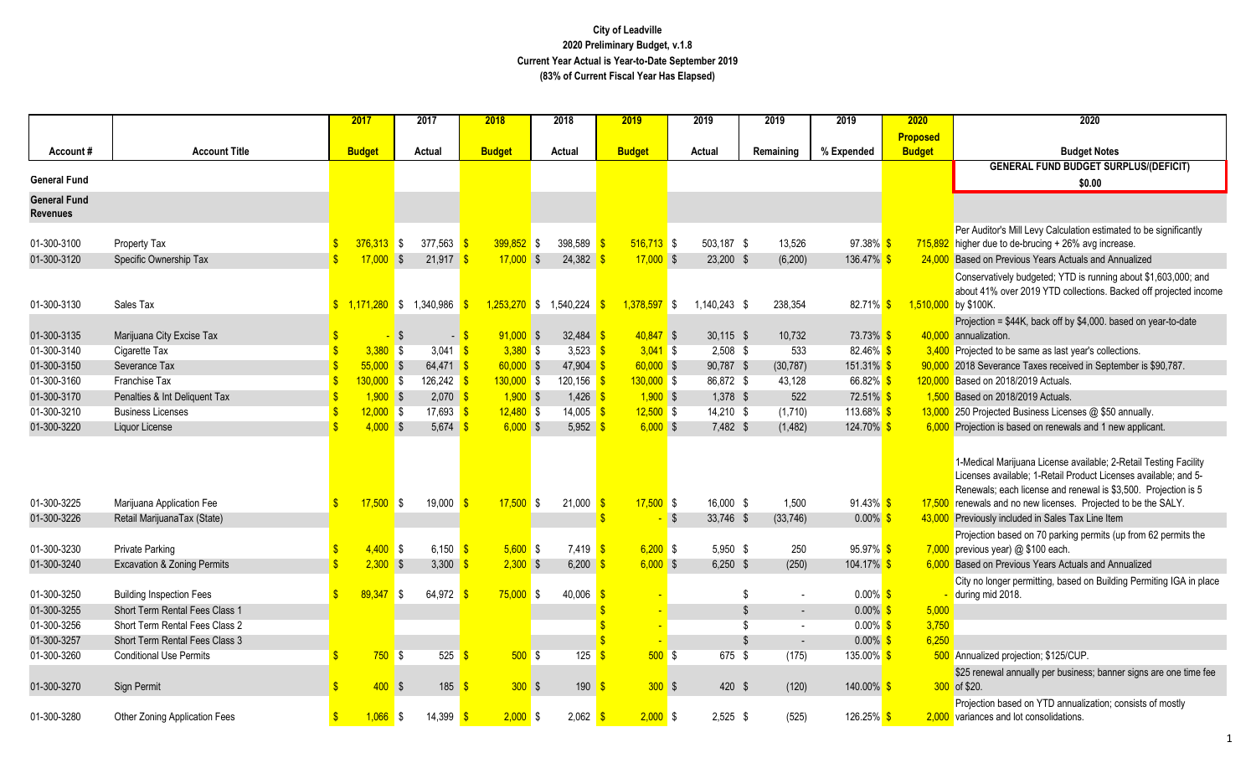|                                        |                                                          |                         | 2017                                 |            | 2017                              | 2018                     |      | 2018                              | 2019          |                |            | 2019                   | 2019                | 2019                        | 2020            | 2020                                                                                                                                                                                                                                                                                                                  |
|----------------------------------------|----------------------------------------------------------|-------------------------|--------------------------------------|------------|-----------------------------------|--------------------------|------|-----------------------------------|---------------|----------------|------------|------------------------|---------------------|-----------------------------|-----------------|-----------------------------------------------------------------------------------------------------------------------------------------------------------------------------------------------------------------------------------------------------------------------------------------------------------------------|
|                                        |                                                          |                         |                                      |            |                                   |                          |      |                                   |               |                |            |                        |                     |                             | <b>Proposed</b> |                                                                                                                                                                                                                                                                                                                       |
| Account#                               | <b>Account Title</b>                                     |                         | <b>Budget</b>                        |            | Actual                            | <b>Budget</b>            |      | Actual                            | <b>Budget</b> |                |            | Actual                 | Remaining           | % Expended                  | <b>Budget</b>   | <b>Budget Notes</b>                                                                                                                                                                                                                                                                                                   |
|                                        |                                                          |                         |                                      |            |                                   |                          |      |                                   |               |                |            |                        |                     |                             |                 | <b>GENERAL FUND BUDGET SURPLUS/(DEFICIT)</b>                                                                                                                                                                                                                                                                          |
| <b>General Fund</b>                    |                                                          |                         |                                      |            |                                   |                          |      |                                   |               |                |            |                        |                     |                             |                 | \$0.00                                                                                                                                                                                                                                                                                                                |
| <b>General Fund</b><br><b>Revenues</b> |                                                          |                         |                                      |            |                                   |                          |      |                                   |               |                |            |                        |                     |                             |                 |                                                                                                                                                                                                                                                                                                                       |
| 01-300-3100                            | Property Tax                                             |                         | $376.313$ \$                         |            | 377.563                           | $399,852$ \$<br><b>S</b> |      | 398,589 $\frac{\text{}}{\text{}}$ |               | $516,713$ \$   |            | 503,187 \$             | 13,526              | 97.38% \$                   | 715,892         | Per Auditor's Mill Levy Calculation estimated to be significantly<br>higher due to de-brucing $+26\%$ avg increase.                                                                                                                                                                                                   |
| 01-300-3120                            | Specific Ownership Tax                                   | $\mathbf{\hat{s}}$      | $17,000$ \$                          |            | 21,917                            | $17,000$ \$              |      | 24,382                            |               | $17,000$ \$    |            | 23,200 \$              | (6, 200)            | 136.47% \$                  | 24,000          | Based on Previous Years Actuals and Annualized                                                                                                                                                                                                                                                                        |
|                                        |                                                          |                         |                                      |            |                                   |                          |      |                                   |               |                |            |                        |                     |                             |                 |                                                                                                                                                                                                                                                                                                                       |
|                                        |                                                          |                         |                                      |            |                                   |                          |      |                                   |               |                |            |                        |                     |                             |                 | Conservatively budgeted; YTD is running about \$1,603,000; and<br>about 41% over 2019 YTD collections. Backed off projected income                                                                                                                                                                                    |
| 01-300-3130                            | Sales Tax                                                |                         | $\frac{1}{2}$ 1,171,280 \$ 1,340,986 |            |                                   | $\sqrt{3}$               |      | $1,253,270$ \$ 1,540,224 \$       |               | $1.378.597$ \$ |            | $1.140.243$ \$         | 238,354             | 82.71% \$                   | 1,510,000       | by \$100K.                                                                                                                                                                                                                                                                                                            |
|                                        |                                                          |                         |                                      |            |                                   |                          |      |                                   |               |                |            |                        |                     |                             |                 | Projection = \$44K, back off by \$4,000. based on year-to-date                                                                                                                                                                                                                                                        |
| 01-300-3135                            | Marijuana City Excise Tax                                |                         |                                      | $\sqrt{S}$ |                                   | $91,000$ \$<br>$-$ \$    |      | 32,484 \$                         |               | $40,847$ \$    |            | $30,115$ \$            | 10,732              | 73.73% \$                   | 40,000          | annualization.                                                                                                                                                                                                                                                                                                        |
| 01-300-3140                            | Cigarette Tax                                            |                         | 3,380                                | <b>S</b>   | 3,041 $\frac{\text{S}}{\text{S}}$ | $3,380$ \$               |      | 3,523 $\frac{1}{5}$               |               | $3,041$ \$     |            | $2,508$ \$             | 533                 | $82.46\%$ \$                |                 | 3,400 Projected to be same as last year's collections.                                                                                                                                                                                                                                                                |
| 01-300-3150                            | Severance Tax                                            |                         | $55,000$ \$                          |            | $64,471$ \$                       | $60,000$ \$              |      | $47,904$ \$                       |               | $60,000$ \$    |            | 90,787 \$              | (30, 787)           | $151.31\%$ \$               |                 | 2018 Severance Taxes received in September is \$90,787.                                                                                                                                                                                                                                                               |
| 01-300-3160                            | Franchise Tax                                            |                         | $130,000$ \$                         |            | $126,242$ \$                      | $130,000$ \$             |      | $120, 156$ \$                     |               | $130,000$ \$   |            | 86,872 \$              | 43,128              | 66.82% \$                   | 120,000         | Based on 2018/2019 Actuals.                                                                                                                                                                                                                                                                                           |
| 01-300-3170                            | Penalties & Int Deliquent Tax                            |                         | $1,900$ \$                           |            | $2,070$ \$                        | $1,900$ \$               |      | $1,426$ \$                        |               | $1,900$ \$     |            | $1,378$ \$             | 522                 | 72.51% <sup>S</sup>         |                 | 1,500 Based on 2018/2019 Actuals.                                                                                                                                                                                                                                                                                     |
| 01-300-3210                            | <b>Business Licenses</b>                                 |                         | $12,000$ \$                          |            | 17,693 $\frac{\ }{s}$             | $12,480$ \$              |      | $14,005$ \$                       |               | $12,500$ \$    |            | $14,210$ \$            | (1,710)             | 113.68% <sup>S</sup>        |                 | 13,000 250 Projected Business Licenses @ \$50 annually.                                                                                                                                                                                                                                                               |
| 01-300-3220                            | Liquor License                                           | $\overline{\mathbf{s}}$ | $4,000$ \$                           |            | 5,674 \$                          | $6,000$ \$               |      | 5,952                             |               | $6,000$ \$     |            | 7,482 \$               | (1, 482)            | 124.70% <sup>S</sup>        |                 | 6,000 Projection is based on renewals and 1 new applicant.                                                                                                                                                                                                                                                            |
| 01-300-3225<br>01-300-3226             | Marijuana Application Fee<br>Retail MarijuanaTax (State) | -\$                     | $17,500$ \$                          |            | 19,000                            | $17,500$ \$<br>-\$       |      | $21,000$ \$                       |               | $17,500$ \$    | $\sqrt{3}$ | 16,000 \$<br>33,746 \$ | 1,500<br>(33, 746)  | $91.43\%$ \$<br>$0.00\%$ \$ | 43,000          | 1-Medical Marijuana License available; 2-Retail Testing Facility<br>Licenses available; 1-Retail Product Licenses available; and 5-<br>Renewals; each license and renewal is \$3,500. Projection is 5<br>17,500 renewals and no new licenses. Projected to be the SALY.<br>Previously included in Sales Tax Line Item |
|                                        |                                                          |                         |                                      |            |                                   |                          |      |                                   |               |                |            |                        |                     |                             |                 | Projection based on 70 parking permits (up from 62 permits the                                                                                                                                                                                                                                                        |
| 01-300-3230                            | <b>Private Parking</b>                                   | -S                      | $4,400$ \$                           |            | 6,150 $\frac{1}{5}$               | $5,600$ \$               |      | $7,419$ \$                        |               | $6,200$ \$     |            | 5,950 \$               | 250                 | 95.97% \$                   | 7,000           | previous year) @ \$100 each.                                                                                                                                                                                                                                                                                          |
| 01-300-3240                            | <b>Excavation &amp; Zoning Permits</b>                   | $\overline{\mathbf{S}}$ | $2,300$ \$                           |            | 3,300                             | $2,300$ \$               |      | $6,200$ \$                        |               | $6,000$ \$     |            | $6,250$ \$             | (250)               | $104.17\%$ \$               | 6.000           | Based on Previous Years Actuals and Annualized                                                                                                                                                                                                                                                                        |
| 01-300-3250                            | <b>Building Inspection Fees</b>                          | $\mathbf{R}$            | 89,347                               | IS.        | 64,972 \$                         | $75,000$ \$              |      | 40,006                            | l S           |                |            |                        | -\$                 | $0.00\%$ \$                 |                 | City no longer permitting, based on Building Permiting IGA in place<br>during mid 2018.                                                                                                                                                                                                                               |
| 01-300-3255                            | Short Term Rental Fees Class 1                           |                         |                                      |            |                                   |                          |      |                                   |               |                |            |                        | \$<br>$\sim$        | $0.00\%$ \$                 | 5,000           |                                                                                                                                                                                                                                                                                                                       |
| 01-300-3256                            | Short Term Rental Fees Class 2                           |                         |                                      |            |                                   |                          |      |                                   |               |                |            |                        | -\$<br>$\mathbf{r}$ | $0.00\%$ \$                 | 3,750           |                                                                                                                                                                                                                                                                                                                       |
| 01-300-3257                            | <b>Short Term Rental Fees Class 3</b>                    |                         |                                      |            |                                   |                          |      |                                   |               |                |            |                        | -\$                 | $0.00\%$ \$                 | 6,250           |                                                                                                                                                                                                                                                                                                                       |
| 01-300-3260                            | <b>Conditional Use Permits</b>                           |                         | 750S                                 |            | 525                               | - \$                     | 500S | 125                               | ্ণ            | 500S           |            | 675 \$                 | (175)               | 135.00% <sup>S</sup>        |                 | 500 Annualized projection; \$125/CUP.                                                                                                                                                                                                                                                                                 |
|                                        |                                                          |                         |                                      |            |                                   |                          |      |                                   |               |                |            |                        |                     |                             |                 | \$25 renewal annually per business; banner signs are one time fee                                                                                                                                                                                                                                                     |
| 01-300-3270                            | Sign Permit                                              |                         | $400$ \$                             |            | 185                               | -S                       | 300S | 190                               | -\$           | 300S           |            | 420 \$                 | (120)               | $140.00\%$ \$               |                 | 300 of \$20.                                                                                                                                                                                                                                                                                                          |
| 01-300-3280                            | Other Zoning Application Fees                            | <b>S</b>                | $1,066$ \$                           |            | 14,399                            | $2,000$ \$               |      | $2,062$ \$                        |               | $2,000$ \$     |            | $2,525$ \$             | (525)               | 126.25% \$                  |                 | Projection based on YTD annualization; consists of mostly<br>2.000 variances and lot consolidations.                                                                                                                                                                                                                  |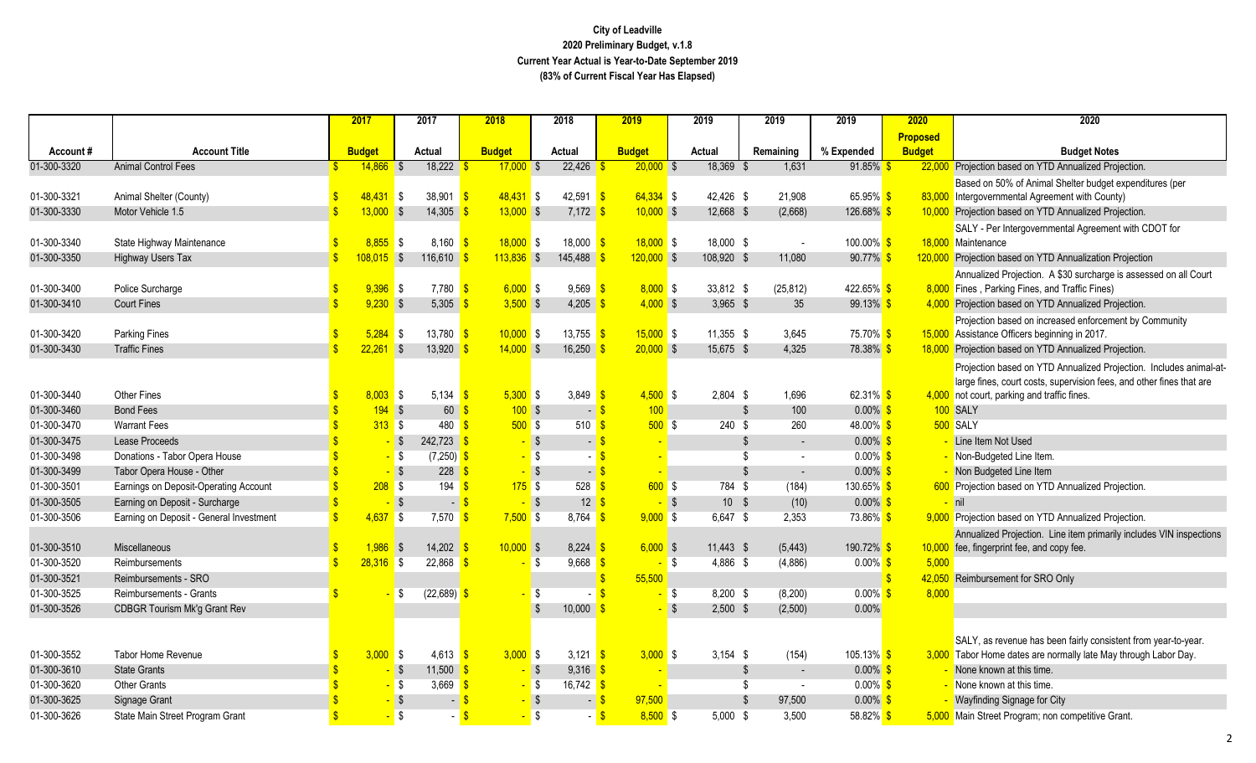|             |                                         |                         | 2017          | 2017                    |                       | 2018          | 2018           |                       | 2019                    |              | 2019        | 2019         | 2019                                        | 2020            | 2020                                                                                                                |
|-------------|-----------------------------------------|-------------------------|---------------|-------------------------|-----------------------|---------------|----------------|-----------------------|-------------------------|--------------|-------------|--------------|---------------------------------------------|-----------------|---------------------------------------------------------------------------------------------------------------------|
|             |                                         |                         |               |                         |                       |               |                |                       |                         |              |             |              |                                             | <b>Proposed</b> |                                                                                                                     |
| Account#    | <b>Account Title</b>                    |                         | <b>Budget</b> | Actual                  |                       | <b>Budget</b> | Actual         |                       | <b>Budget</b>           |              | Actual      | Remaining    | % Expended                                  | <b>Budget</b>   | <b>Budget Notes</b>                                                                                                 |
| 01-300-3320 | <b>Animal Control Fees</b>              |                         | $14,866$ \$   |                         | 18,222                | $17,000$ \$   |                | 22,426                | $20,000$ \$             |              | 18,369 \$   | 1,631        | $91.85\%$                                   |                 | 22,000 Projection based on YTD Annualized Projection.                                                               |
|             |                                         |                         |               |                         |                       |               |                |                       |                         |              |             |              |                                             |                 | Based on 50% of Animal Shelter budget expenditures (per                                                             |
| 01-300-3321 | Animal Shelter (County)                 |                         | $48,431$ \$   |                         | 38,901                | $48,431$ \$   |                | 42,591                | $64,334$ \$<br><b>S</b> |              | 42,426 \$   | 21,908       | $65.95\%$ \$                                |                 | 83,000 Intergovernmental Agreement with County)                                                                     |
| 01-300-3330 | Motor Vehicle 1.5                       | $\overline{\mathbf{s}}$ | $13,000$ \$   |                         | 14,305                | $13,000$ \$   |                | $7,172$ \$            | $10,000$ \$             |              | 12,668 \$   | (2,668)      | 126.68% <sup>S</sup>                        |                 | 10,000 Projection based on YTD Annualized Projection.                                                               |
|             |                                         |                         |               |                         |                       |               |                |                       |                         |              |             |              |                                             |                 | SALY - Per Intergovernmental Agreement with CDOT for                                                                |
| 01-300-3340 | State Highway Maintenance               |                         | $8,855$ \$    |                         | 8,160                 | 18.000 S      |                | 18,000                | $18,000$ \$             |              | 18,000 \$   | $\sim$       | 100.00% <sup>S</sup>                        |                 | 18,000 Maintenance                                                                                                  |
| 01-300-3350 | Highway Users Tax                       |                         | $108,015$ \$  |                         | 116,610               | $113,836$ \$  |                | 145,488               | $120,000$ \$            |              | 108,920 \$  | 11,080       | $90.77\%$                                   |                 | 120,000 Projection based on YTD Annualization Projection                                                            |
|             |                                         |                         |               |                         |                       |               |                |                       |                         |              |             |              |                                             |                 | Annualized Projection. A \$30 surcharge is assessed on all Court                                                    |
| 01-300-3400 | Police Surcharge                        |                         | 9,396         | <b>S</b>                | 7,780                 | $6,000$ \$    |                | 9,569                 | $8,000$ \$              |              | 33,812 \$   | (25, 812)    | 422.65% <sup>S</sup><br>99.13% <sup>S</sup> |                 | 8,000 Fines, Parking Fines, and Traffic Fines)                                                                      |
| 01-300-3410 | <b>Court Fines</b>                      |                         | $9,230$ \$    |                         | 5,305                 | $3,500$ \$    |                | 4,205                 | $4,000$ \$              |              | $3.965$ \$  | 35           |                                             |                 | 4,000 Projection based on YTD Annualized Projection.                                                                |
| 01-300-3420 | <b>Parking Fines</b>                    |                         | 5.284         |                         | 13,780                | $10,000$ \$   |                | 13,755 $\frac{\ }{s}$ | $15,000$ \$             |              | 11,355 \$   | 3,645        | 75.70% \$                                   |                 | Projection based on increased enforcement by Community<br>15,000 Assistance Officers beginning in 2017.             |
| 01-300-3430 | <b>Traffic Fines</b>                    | $\mathbf{\hat{S}}$      | $22,261$ \$   | $\sqrt{3}$              | 13,920                | $14,000$ \$   |                | 16,250                | $20,000$ \$             |              | 15,675 \$   | 4,325        | 78.38% <sup>S</sup>                         |                 | 18,000 Projection based on YTD Annualized Projection.                                                               |
|             |                                         |                         |               |                         |                       |               |                |                       |                         |              |             |              |                                             |                 |                                                                                                                     |
|             |                                         |                         |               |                         |                       |               |                |                       |                         |              |             |              |                                             |                 | Projection based on YTD Annualized Projection. Includes animal-at-                                                  |
| 01-300-3440 | <b>Other Fines</b>                      |                         | $8,003$ \$    |                         | 5,134                 | $5,300$ \$    |                | 3,849                 | $4,500$ \$              |              | $2,804$ \$  | 1,696        | 62.31% \$                                   |                 | large fines, court costs, supervision fees, and other fines that are<br>4,000 not court, parking and traffic fines. |
| 01-300-3460 | <b>Bond Fees</b>                        |                         | 194S          |                         | 60                    | 100S          |                | $\blacksquare$        | 100                     |              |             | 100<br>\$    | $0.00\%$ \$                                 |                 | 100 SALY                                                                                                            |
| 01-300-3470 | <b>Warrant Fees</b>                     |                         | 313S          |                         | 480                   | 500S          |                | 510 <sup>o</sup>      | 500S                    |              | $240$ \$    | 260          | 48.00% <sup>S</sup>                         |                 | 500 SALY                                                                                                            |
| 01-300-3475 | Lease Proceeds                          |                         | $-$ \$        |                         | 242,723               | $-$ \$        |                | $\blacksquare$        |                         |              |             | \$<br>$\sim$ | $0.00\%$                                    |                 | Line Item Not Used                                                                                                  |
| 01-300-3498 | Donations - Tabor Opera House           |                         | $-$ \$        |                         | $(7,250)$ \$          | $\sim$        | S S            |                       |                         |              |             | \$<br>$\sim$ | $0.00\%$ \$                                 |                 | - Non-Budgeted Line Item.                                                                                           |
| 01-300-3499 | Tabor Opera House - Other               |                         |               | $-$ \$                  | 228                   |               | $\sqrt{S}$     | - \$                  |                         |              |             | \$<br>$\sim$ | $0.00\%$ \$                                 |                 | - Non Budgeted Line Item                                                                                            |
| 01-300-3501 | Earnings on Deposit-Operating Account   |                         | 208S          |                         | 194                   | $175$ \$      |                | 528                   | 600S                    |              | 784 \$      | (184)        | 130.65% <sup>S</sup>                        |                 | 600 Projection based on YTD Annualized Projection.                                                                  |
| 01-300-3505 | Earning on Deposit - Surcharge          |                         |               | $\sqrt{3}$              | $\sim$                |               | $\sqrt{3}$     | 12 <sup>7</sup>       |                         | <b>\$</b>    | $10 - $$    | (10)         | $0.00\%$ \$                                 |                 | <mark>- nil</mark>                                                                                                  |
| 01-300-3506 | Earning on Deposit - General Investment | \$.                     | 4,637         | <b>S</b>                | 7,570                 | $7,500$ \$    |                | $8,764$ \$            | $9,000$ \$              |              | 6,647 \$    | 2,353        | 73.86% \$                                   |                 | 9,000 Projection based on YTD Annualized Projection.                                                                |
|             |                                         |                         |               |                         |                       |               |                |                       |                         |              |             |              |                                             |                 | Annualized Projection. Line item primarily includes VIN inspections                                                 |
| 01-300-3510 | Miscellaneous                           |                         | 1,986         | \$                      | 14,202                | $10,000$ \$   |                | 8,224                 | $6,000$ \$              |              | $11,443$ \$ | (5, 443)     | 190.72% \$                                  |                 | 10,000 fee, fingerprint fee, and copy fee.                                                                          |
| 01-300-3520 | Reimbursements                          | $\mathbf{S}$            | $28,316$ \$   |                         | 22,868                |               | \$             | $9,668$ \$            |                         | \$           | 4,886 \$    | (4,886)      | $0.00\%$ \$                                 | 5,000           |                                                                                                                     |
| 01-300-3521 | Reimbursements - SRO                    |                         |               |                         |                       |               |                |                       | 55,500                  |              |             |              |                                             |                 | 42,050 Reimbursement for SRO Only                                                                                   |
| 01-300-3525 | Reimbursements - Grants                 |                         |               | \$                      | (22, 689)             |               | Ŝ.             |                       |                         | \$           | $8.200$ \$  | (8, 200)     | $0.00\%$ \$                                 | 8,000           |                                                                                                                     |
| 01-300-3526 | <b>CDBGR Tourism Mk'g Grant Rev</b>     |                         |               |                         |                       |               | $\mathfrak{L}$ | 10,000                |                         | $\mathbb{S}$ | $2,500$ \$  | (2,500)      | 0.00%                                       |                 |                                                                                                                     |
|             |                                         |                         |               |                         |                       |               |                |                       |                         |              |             |              |                                             |                 |                                                                                                                     |
|             |                                         |                         |               |                         |                       |               |                |                       |                         |              |             |              |                                             |                 | SALY, as revenue has been fairly consistent from year-to-year.                                                      |
| 01-300-3552 | <b>Tabor Home Revenue</b>               | S                       | $3,000$ \$    |                         | 4,613 $\frac{\ }{\ }$ | $3,000$ \$    |                | 3,121 $\frac{1}{5}$   | $3,000$ \$              |              | $3,154$ \$  | (154)        | $105.13\%$ \$                               |                 | 3,000 Tabor Home dates are normally late May through Labor Day.                                                     |
| 01-300-3610 | <b>State Grants</b>                     |                         |               | $\sqrt{3}$              | 11,500                |               | $\sqrt{3}$     | $9,316$ \$            |                         |              |             | \$<br>$\sim$ | $0.00\%$                                    |                 | None known at this time.                                                                                            |
| 01-300-3620 | <b>Other Grants</b>                     |                         | $-$ \$        |                         | 3,669                 |               | - \$           | 16,742 $\frac{\ }{s}$ |                         |              |             | S<br>$\sim$  | $0.00\%$ \$                                 |                 | None known at this time.                                                                                            |
| 01-300-3625 | Signage Grant                           |                         |               | $\sqrt{S}$              |                       |               | <b>S</b>       | - 5                   | 97,500                  |              |             | 97,500<br>\$ | $0.00\%$ \$                                 |                 | <b>Wayfinding Signage for City</b>                                                                                  |
| 01-300-3626 | State Main Street Program Grant         |                         |               | $\overline{\mathbf{s}}$ |                       |               | $\mathbb{S}$   |                       | $8,500$ \$              |              | $5,000$ \$  | 3,500        | 58.82% <sup>S</sup>                         |                 | 5,000 Main Street Program; non competitive Grant.                                                                   |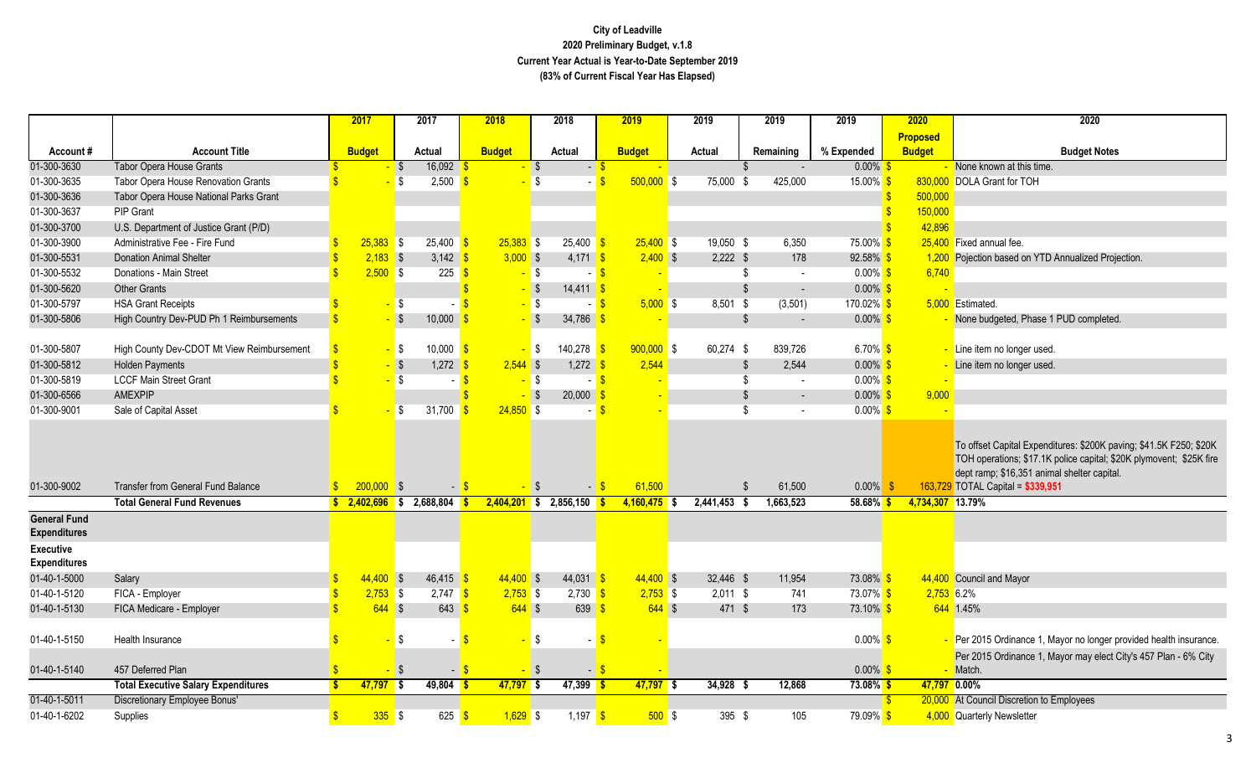|                                            |                                            | 2017             |                   | 2017                                                    | 2018          |          | 2018                     | 2019           |            | 2019        |      | 2019      | 2019                 | 2020            |         | 2020                                                                                                                                                                                                                          |
|--------------------------------------------|--------------------------------------------|------------------|-------------------|---------------------------------------------------------|---------------|----------|--------------------------|----------------|------------|-------------|------|-----------|----------------------|-----------------|---------|-------------------------------------------------------------------------------------------------------------------------------------------------------------------------------------------------------------------------------|
|                                            |                                            |                  |                   |                                                         |               |          |                          |                |            |             |      |           |                      | <b>Proposed</b> |         |                                                                                                                                                                                                                               |
| Account#                                   | <b>Account Title</b>                       | <b>Budget</b>    |                   | Actual                                                  | <b>Budget</b> |          | Actual                   | <b>Budget</b>  |            | Actual      |      | Remaining | % Expended           | <b>Budget</b>   |         | <b>Budget Notes</b>                                                                                                                                                                                                           |
| 01-300-3630                                | <b>Tabor Opera House Grants</b>            |                  | $\sqrt{3}$        | 16,092                                                  |               | - \$     | $-5$                     |                |            |             |      |           | $0.00\%$ \$          |                 |         | None known at this time.                                                                                                                                                                                                      |
| 01-300-3635                                | Tabor Opera House Renovation Grants        |                  | <b>S</b>          | 2,500                                                   |               | - \$     |                          | $500,000$ \$   |            | $75,000$ \$ |      | 425,000   | 15.00% <sup>S</sup>  |                 |         | 830,000 DOLA Grant for TOH                                                                                                                                                                                                    |
| 01-300-3636                                | Tabor Opera House National Parks Grant     |                  |                   |                                                         |               |          |                          |                |            |             |      |           |                      |                 | 500,000 |                                                                                                                                                                                                                               |
| 01-300-3637                                | <b>PIP Grant</b>                           |                  |                   |                                                         |               |          |                          |                |            |             |      |           |                      |                 | 150,000 |                                                                                                                                                                                                                               |
| 01-300-3700                                | U.S. Department of Justice Grant (P/D)     |                  |                   |                                                         |               |          |                          |                |            |             |      |           |                      |                 | 42,896  |                                                                                                                                                                                                                               |
| 01-300-3900                                | Administrative Fee - Fire Fund             | $25,383$ \$      |                   | $25,400$ \$                                             | $25,383$ \$   |          | $25,400$ \$              | $25,400$ \$    |            | 19,050 \$   |      | 6,350     | 75.00% <sup>S</sup>  |                 |         | 25.400 Fixed annual fee.                                                                                                                                                                                                      |
| 01-300-5531                                | <b>Donation Animal Shelter</b>             | $2,183$ \$       |                   | 3,142 $\frac{1}{5}$                                     | $3,000$ \$    |          | $4,171$ \$               |                | $2,400$ \$ | $2,222$ \$  |      | 178       | $92.58\%$ \$         |                 |         | 1,200 Pojection based on YTD Annualized Projection.                                                                                                                                                                           |
| 01-300-5532                                | Donations - Main Street                    | $2,500$ \$       |                   | 225                                                     | $\sqrt{3}$    | $-$ \$   | - S                      |                |            |             | \$   |           | $0.00\%$ \$          |                 | 6,740   |                                                                                                                                                                                                                               |
| 01-300-5620                                | <b>Other Grants</b>                        |                  |                   |                                                         |               | $-$ \$   | $14,411$ \$              |                |            |             | \$   | $\sim$    | $0.00\%$ \$          |                 |         |                                                                                                                                                                                                                               |
| 01-300-5797                                | <b>HSA Grant Receipts</b>                  |                  | - \$              |                                                         |               | $-$ \$   | - S                      |                | $5,000$ \$ | 8,501 \$    |      | (3,501)   | 170.02% <sup>S</sup> |                 |         | 5,000 Estimated.                                                                                                                                                                                                              |
| 01-300-5806                                | High Country Dev-PUD Ph 1 Reimbursements   |                  | $-$ \$            | 10,000                                                  |               | - \$     | 34,786 \$                |                |            |             | S    | $\sim$    | $0.00\%$ \$          |                 |         | None budgeted, Phase 1 PUD completed.                                                                                                                                                                                         |
|                                            |                                            |                  |                   |                                                         |               |          |                          |                |            |             |      |           |                      |                 |         |                                                                                                                                                                                                                               |
| 01-300-5807                                | High County Dev-CDOT Mt View Reimbursement |                  | <mark>-</mark> \$ | 10,000                                                  | $\sqrt{3}$    | $-$ \$   | 140,278 \$               | $900,000$ \$   |            | 60,274 \$   |      | 839,726   | 6.70% \$             |                 |         | Line item no longer used.                                                                                                                                                                                                     |
| 01-300-5812                                | <b>Holden Payments</b>                     |                  | $-$ \$            | $1,272$ \$                                              | $2,544$ \$    |          | $1,272$ \$               | 2.544          |            |             | Ŝ.   | 2,544     | $0.00\%$ \$          |                 |         | Line item no longer used.                                                                                                                                                                                                     |
| 01-300-5819                                | <b>LCCF Main Street Grant</b>              |                  | <b>S</b>          | - \$                                                    |               | $-$ \$   | - S                      |                |            |             | S    |           | $0.00\%$ \$          |                 |         |                                                                                                                                                                                                                               |
| 01-300-6566                                | <b>AMEXPIP</b>                             |                  |                   |                                                         |               | l\$      | $20,000$ \$              |                |            |             | Ŝ.   | $\sim$    | $0.00\%$ \$          |                 | 9,000   |                                                                                                                                                                                                                               |
| 01-300-9001                                | Sale of Capital Asset                      |                  | IS.               | 31,700                                                  | $24,850$ \$   |          |                          |                |            |             | \$   |           | $0.00\%$ \$          |                 |         |                                                                                                                                                                                                                               |
| 01-300-9002                                | <b>Transfer from General Fund Balance</b>  | $200,000$ \$     |                   |                                                         | $-15$         | - \$     | $-$ \$                   | 61,500         |            |             | \$.  | 61,500    | $0.00\%$             |                 |         | To offset Capital Expenditures: \$200K paving; \$41.5K F250; \$20K<br>TOH operations; \$17.1K police capital; \$20K plymovent; \$25K fire<br>dept ramp; \$16,351 animal shelter capital.<br>163,729 TOTAL Capital = \$339,951 |
|                                            | <b>Total General Fund Revenues</b>         |                  |                   | $\frac{12}{100}$ , $\frac{2,402,696}{100}$ \$ 2,688,804 | <u>is</u>     |          | $2,404,201$ \$ 2,856,150 | $4,160,475$ \$ |            | 2,441,453   | - \$ | 1,663,523 | $58.68\%$ \$         |                 |         | 4,734,307 13.79%                                                                                                                                                                                                              |
| <b>General Fund</b><br><b>Expenditures</b> |                                            |                  |                   |                                                         |               |          |                          |                |            |             |      |           |                      |                 |         |                                                                                                                                                                                                                               |
| <b>Executive</b><br><b>Expenditures</b>    |                                            |                  |                   |                                                         |               |          |                          |                |            |             |      |           |                      |                 |         |                                                                                                                                                                                                                               |
| 01-40-1-5000                               | Salary                                     | $44,400$ \$      |                   | $46,415$ \$                                             | $44,400$ \$   |          | 44,031 \$                | $44,400$ \$    |            | 32,446 \$   |      | 11,954    | 73.08% <sup>S</sup>  |                 |         | 44,400 Council and Mayor                                                                                                                                                                                                      |
| 01-40-1-5120                               | FICA - Employer                            | $2,753$ \$       |                   | $2,747$ \$                                              | $2,753$ \$    |          | $2,730$ \$               |                | $2,753$ \$ | $2,011$ \$  |      | 741       | 73.07% \$            |                 |         | 2,753 6.2%                                                                                                                                                                                                                    |
| 01-40-1-5130                               | FICA Medicare - Employer                   | $644$ \$         |                   | $643 \frac{\text{S}}{2}$                                | $644$ \$      |          | $639$ $\frac{8}{5}$      |                | $644$ \$   | 471 \$      |      | 173       | 73.10% \$            |                 |         | 644 1.45%                                                                                                                                                                                                                     |
| 01-40-1-5150                               | Health Insurance                           |                  | <b>S</b>          |                                                         |               | \$       |                          | - \$           |            |             |      |           | $0.00\%$ \$          |                 |         | Per 2015 Ordinance 1, Mayor no longer provided health insurance.                                                                                                                                                              |
| 01-40-1-5140                               | 457 Deferred Plan                          |                  | $\sqrt{3}$        | $\sim$ 1                                                | -\$           | <b>S</b> | $-$ \$                   |                |            |             |      |           | $0.00\%$ \$          |                 |         | Per 2015 Ordinance 1, Mayor may elect City's 457 Plan - 6% City<br>Match.                                                                                                                                                     |
|                                            | <b>Total Executive Salary Expenditures</b> | $47,797$ \$      |                   | $49,804$ \$                                             | $47,797$ \$   |          | $47,399$ \$              | 47,797 \$      |            | $34,928$ \$ |      | 12,868    | $73.08\%$ \$         |                 | 47,797  | $\frac{1}{2}0.00\%$                                                                                                                                                                                                           |
| 01-40-1-5011                               | Discretionary Employee Bonus'              |                  |                   |                                                         |               |          |                          |                |            |             |      |           |                      |                 |         | 20,000 At Council Discretion to Employees                                                                                                                                                                                     |
| 01-40-1-6202                               | Supplies                                   | $335$ $\sqrt{3}$ |                   | $625$ $\sqrt{\frac{6}{5}}$                              | $1,629$ \$    |          | $1,197$ \$               |                | 500S       | $395$ \$    |      | 105       | 79.09% <sup>S</sup>  |                 |         | 4,000 Quarterly Newsletter                                                                                                                                                                                                    |
|                                            |                                            |                  |                   |                                                         |               |          |                          |                |            |             |      |           |                      |                 |         |                                                                                                                                                                                                                               |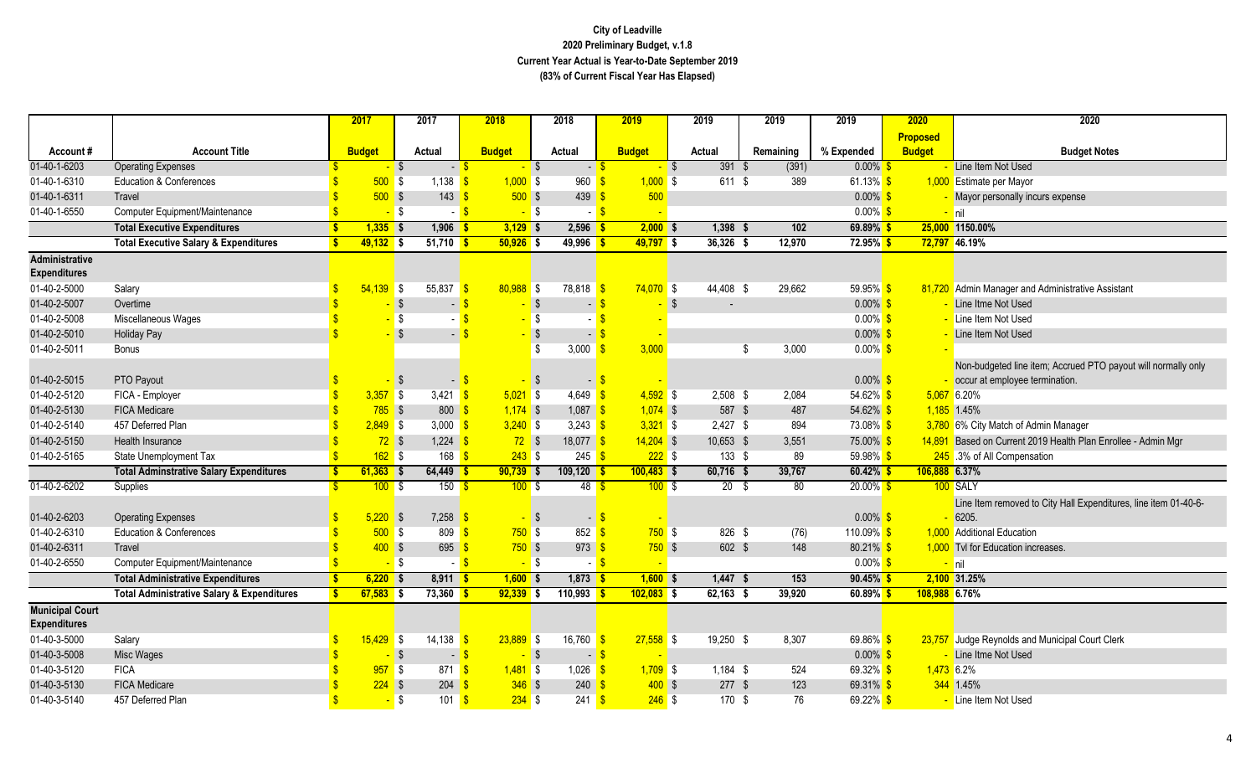|                                               |                                                       |              | 2017          | 2017                   |                                   | 2018          |     | 2018                            | 2019          |          | 2019            | 2019        | 2019                 |                     | 2020            | 2020                                                                                            |
|-----------------------------------------------|-------------------------------------------------------|--------------|---------------|------------------------|-----------------------------------|---------------|-----|---------------------------------|---------------|----------|-----------------|-------------|----------------------|---------------------|-----------------|-------------------------------------------------------------------------------------------------|
|                                               |                                                       |              |               |                        |                                   |               |     |                                 |               |          |                 |             |                      |                     | <b>Proposed</b> |                                                                                                 |
| Account#                                      | <b>Account Title</b>                                  |              | <b>Budget</b> | Actual                 |                                   | <b>Budget</b> |     | Actual                          | <b>Budget</b> |          | Actual          | Remaining   | % Expended           |                     | <b>Budget</b>   | <b>Budget Notes</b>                                                                             |
| 01-40-1-6203                                  | <b>Operating Expenses</b>                             |              |               | $-$ \$                 | $-5$                              | $-$ \$        |     | $ \sqrt{3}$                     |               | $-$ \$   | 391 \$          | (391)       |                      | $0.00\%$ \$         |                 | Line Item Not Used                                                                              |
| 01-40-1-6310                                  | <b>Education &amp; Conferences</b>                    |              | 500S          | 1,138                  |                                   | $1,000$ \$    |     | 960                             | $1,000$ \$    |          | $611$ \$        | 389         |                      | 61.13% $$$          |                 | 1,000 Estimate per Mayor                                                                        |
| 01-40-1-6311                                  | Travel                                                |              | $500$ \$      |                        | $143 \quad$ \$                    | $500$ \$      |     | 439 $\frac{9}{5}$               | 500           |          |                 |             |                      | $0.00\%$ \$         |                 | Mayor personally incurs expense                                                                 |
| 01-40-1-6550                                  | Computer Equipment/Maintenance                        |              |               | $-$ \$                 | - \$<br>$\sim$                    | $-$ \$        |     | $\blacksquare$                  |               |          |                 |             |                      | $0.00\%$ \$         |                 | $-$ nil                                                                                         |
|                                               | <b>Total Executive Expenditures</b>                   | <b>S</b>     | $1,335$ \$    | $1,906$ \$             |                                   | $3,129$ \$    |     | $2,596$ \$                      | $2,000$ \$    |          | $1,398$ \$      | 102         |                      | 69.89% \$           |                 | 25,000 1150.00%                                                                                 |
|                                               | <b>Total Executive Salary &amp; Expenditures</b>      | <b>S</b>     | $49,132$ \$   | $51,710$ \$            |                                   | $50,926$ \$   |     | $49,996$ \$                     | $49,797$ \$   |          | $36,326$ \$     | 12,970      |                      | $72.95\%$ \$        |                 | 72,797 46.19%                                                                                   |
| <b>Administrative</b><br><b>Expenditures</b>  |                                                       |              |               |                        |                                   |               |     |                                 |               |          |                 |             |                      |                     |                 |                                                                                                 |
| 01-40-2-5000                                  | Salary                                                | -S           | $54,139$ \$   | 55,837                 | -\$                               | $80,988$ \$   |     | $78,818$ \$                     | $74,070$ \$   |          | 44,408 \$       | 29,662      |                      | $59.95\%$ \$        |                 | 81,720 Admin Manager and Administrative Assistant                                               |
| 01-40-2-5007                                  | Overtime                                              |              |               | $\sqrt{3}$             | $\sim$                            | $-$ \$        |     |                                 |               | -\$      |                 |             |                      | $0.00\%$ \$         |                 | Line Itme Not Used                                                                              |
| 01-40-2-5008                                  | Miscellaneous Wages                                   |              |               | <b>S</b>               |                                   | $-5$          |     |                                 |               |          |                 |             |                      | $0.00\%$ \$         |                 | - Line Item Not Used                                                                            |
| 01-40-2-5010                                  | <b>Holiday Pay</b>                                    |              |               | $-$ \$                 | $-$ \$                            | $-$ \$        |     |                                 |               |          |                 |             |                      | $0.00\%$            |                 | Line Item Not Used                                                                              |
| 01-40-2-5011                                  | <b>Bonus</b>                                          |              |               |                        |                                   |               | \$  | $3,000$ \$                      | 3,000         |          |                 | 3,000<br>\$ |                      | $0.00\%$ \$         |                 |                                                                                                 |
| 01-40-2-5015                                  | PTO Payout                                            |              |               | <b>S</b>               | $\blacksquare$                    |               | ∣\$ | $\blacksquare$                  |               |          |                 |             |                      | $0.00\%$ \$         |                 | Non-budgeted line item; Accrued PTO payout will normally only<br>occur at employee termination. |
| 01-40-2-5120                                  | FICA - Employer                                       |              | 3,357         | <b>S</b><br>$3,421$ \$ |                                   | $5,021$ \$    |     | 4,649 $\frac{\text{}}{\text{}}$ | $4,592$ \$    |          | $2,508$ \$      | 2,084       |                      | 54.62% \$           |                 | $5,067$ 6.20%                                                                                   |
| 01-40-2-5130                                  | <b>FICA Medicare</b>                                  |              | $785$ \$      |                        | $800 \frac{\text{S}}{\text{S}}$   | $1,174$ \$    |     | $1,087$ \$                      | $1,074$ \$    |          | 587 \$          | 487         |                      | 54.62% \$           |                 | $1,185$ 1.45%                                                                                   |
| 01-40-2-5140                                  | 457 Deferred Plan                                     |              | $2,849$ \$    | 3,000 $\frac{1}{5}$    |                                   | $3,240$ \$    |     | 3,243 $\sqrt{\frac{6}{5}}$      | $3,321$ \$    |          | $2,427$ \$      | 894         |                      | 73.08% \$           |                 | 3,780 6% City Match of Admin Manager                                                            |
| 01-40-2-5150                                  | Health Insurance                                      |              | $72$ \$       | $1,224$ \$             |                                   | $72$ \$       |     | 18,077 \$                       | $14,204$ \$   |          | 10,653 \$       | 3,551       |                      | 75.00% <sup>S</sup> |                 | 14,891 Based on Current 2019 Health Plan Enrollee - Admin Mgr                                   |
| 01-40-2-5165                                  | State Unemployment Tax                                |              | $162$ \$      |                        | $168$ $\sqrt{\frac{6}{5}}$        | $243$ \$      |     | $245 \frac{\pi}{2}$             |               | 2225     | 133S            | 89          |                      | 59.98% <sup>S</sup> |                 | 245 3% of All Compensation                                                                      |
|                                               | <b>Total Adminstrative Salary Expenditures</b>        | S.           | $61,363$ \$   | $64,449$ \$            |                                   | $90,739$ \$   |     | $109,120$ \$                    | $100,483$ \$  |          | $60,716$ \$     | 39,767      |                      | $60.42\%$ \$        | 106,888 6.37%   |                                                                                                 |
| 01-40-2-6202                                  | Supplies                                              | $\mathbf{R}$ | $100 - $$     |                        | $150$ $\sqrt{\frac{6}{5}}$        | 100S          |     | 48 <sup>8</sup>                 |               | $100$ \$ | 20 <sup>5</sup> | 80          |                      | $20.00\%$ \$        |                 | 100 SALY                                                                                        |
|                                               |                                                       |              |               |                        |                                   |               |     |                                 |               |          |                 |             |                      |                     |                 | Line Item removed to City Hall Expenditures, line item 01-40-6-                                 |
| 01-40-2-6203                                  | <b>Operating Expenses</b>                             |              | $5,220$ \$    | $7,258$ \$             |                                   | $-$ \$        |     | $\blacksquare$                  |               |          |                 |             |                      | $0.00\%$ \$         |                 | 6205.                                                                                           |
| 01-40-2-6310                                  | <b>Education &amp; Conferences</b>                    |              | 500S          |                        | $809$ $\frac{\text{}}{\text{}}$   | 750S          |     | $852$ \$                        |               | $750$ \$ | 826 \$          | (76)        | 110.09% <sup>S</sup> |                     |                 | 1,000 Additional Education                                                                      |
| 01-40-2-6311                                  | Travel                                                |              | $400$ \$      |                        | $695$ \$                          | 750S          |     | $973$ \$                        |               | $750$ \$ | 602 \$          | 148         |                      | $80.21\%$ \$        |                 | 1,000 Tvl for Education increases.                                                              |
| 01-40-2-6550                                  | Computer Equipment/Maintenance                        |              |               | $-$ \$                 | $-5$                              | $-$ \$        |     | - 5                             |               | $\sim$   |                 |             |                      | $0.00\%$ \$         |                 | <mark>- nil</mark>                                                                              |
|                                               | <b>Total Administrative Expenditures</b>              | S.           | $6,220$ \$    | $8,911$ \$             |                                   | $1,600$ \$    |     | $1,873$ \$                      | $1,600$ \$    |          | $1,447$ \$      | 153         |                      | $90.45\%$ \$        |                 | 2,100 31.25%                                                                                    |
|                                               | <b>Total Administrative Salary &amp; Expenditures</b> | S.           | $67,583$ \$   | $73,360$ \$            |                                   | $92,339$ \$   |     | 110,993                         | $102,083$ \$  |          | $62,163$ \$     | 39,920      |                      | $60.89\%$ \$        | 108,988 6.76%   |                                                                                                 |
| <b>Municipal Court</b><br><b>Expenditures</b> |                                                       |              |               |                        |                                   |               |     |                                 |               |          |                 |             |                      |                     |                 |                                                                                                 |
| 01-40-3-5000                                  | Salary                                                |              | $15,429$ \$   | 14,138                 | $\mathbf{s}$                      | $23,889$ \$   |     | $16,760$ \$                     | $27,558$ \$   |          | 19,250 \$       | 8,307       |                      | 69.86% $$$          |                 | 23,757 Judge Reynolds and Municipal Court Clerk                                                 |
| 01-40-3-5008                                  | Misc Wages                                            |              |               | $-$ \$                 | $-$ \$                            | $-$ \$        |     | - S                             |               |          |                 |             |                      | $0.00\%$ \$         |                 | Line Itme Not Used                                                                              |
| 01-40-3-5120                                  | <b>FICA</b>                                           |              | $957$ \$      |                        | $871$ \$                          | $1,481$ \$    |     | $1,026$ \$                      | $1,709$ \$    |          | $1,184$ \$      | 524         |                      | 69.32% \$           | $1,473$ 6.2%    |                                                                                                 |
| 01-40-3-5130                                  | <b>FICA Medicare</b>                                  |              | $224$ \$      |                        | $204 \overline{\text{S}}$         | $346$ \$      |     | 240                             |               | $400$ \$ | $277$ \$        | 123         |                      | 69.31% \$           |                 | 344 1.45%                                                                                       |
| 01-40-3-5140                                  | 457 Deferred Plan                                     |              |               | <b>S</b>               | $101$ $\frac{\text{S}}{\text{S}}$ | $234$ \$      |     | $241$ \$                        |               | $246$ \$ | 170 \$          |             | 76                   | $69.22\%$ \$        |                 | Line Item Not Used                                                                              |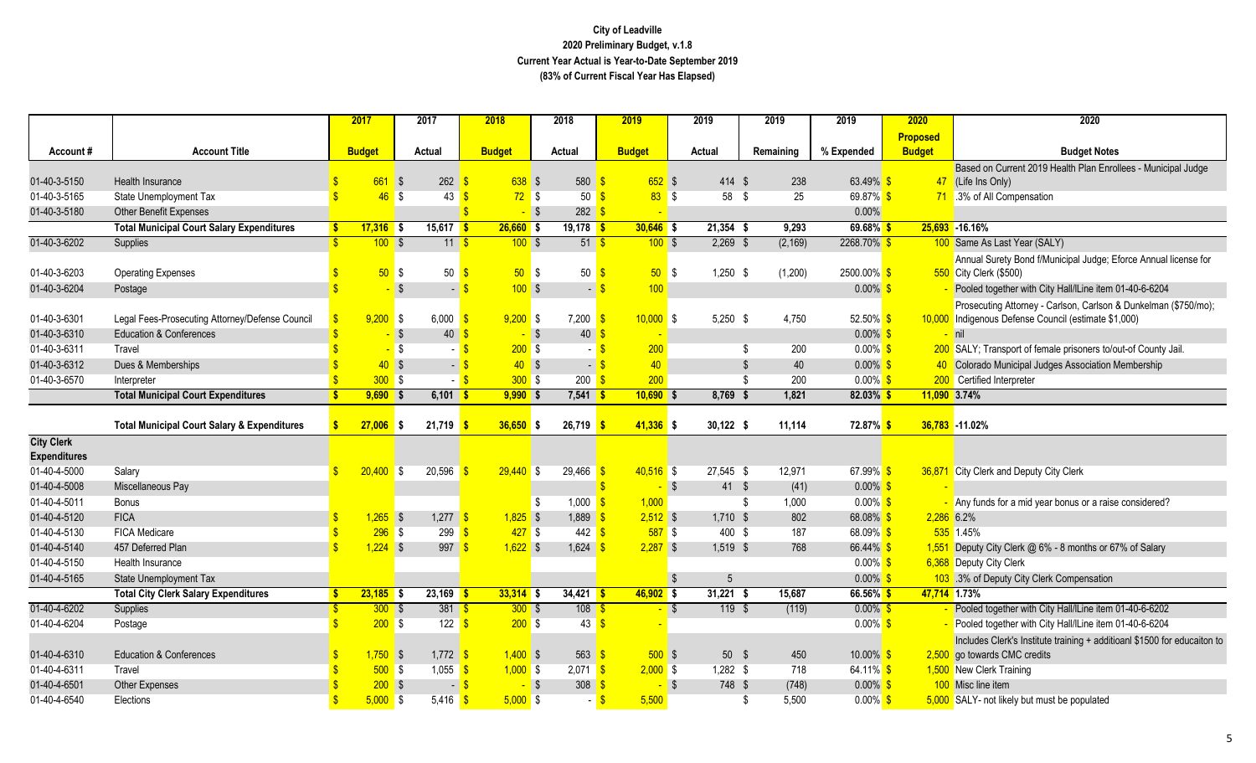|                                          |                                                        |               | 2017            | 2017                                   | 2018                       | 2018                         | 2019              | 2019                   | 2019             | 2019                   | 2020          | 2020                                                                     |
|------------------------------------------|--------------------------------------------------------|---------------|-----------------|----------------------------------------|----------------------------|------------------------------|-------------------|------------------------|------------------|------------------------|---------------|--------------------------------------------------------------------------|
|                                          |                                                        |               |                 |                                        |                            |                              |                   |                        |                  |                        | Proposed      |                                                                          |
| Account#                                 | <b>Account Title</b>                                   |               | <b>Budget</b>   | Actual                                 | <b>Budget</b>              | Actual                       | <b>Budget</b>     | Actual                 | Remaining        | % Expended             | <b>Budget</b> | <b>Budget Notes</b>                                                      |
|                                          |                                                        |               |                 |                                        |                            |                              |                   |                        |                  |                        |               | Based on Current 2019 Health Plan Enrollees - Municipal Judge            |
| 01-40-3-5150                             | Health Insurance                                       |               | 661             | 262<br>$\sqrt{S}$                      | 638 \$                     | 580                          | $652$ \$          | $414$ \$               | 238              | 63.49% \$              |               | 47 (Life Ins Only)                                                       |
| 01-40-3-5165                             | <b>State Unemployment Tax</b>                          |               | 46 <sup>°</sup> | 43<br><b>S</b>                         | 72S<br>-\$                 | 50 <sup>8</sup>              | 83S               | 58 \$                  | 25               | 69.87% \$              |               | 71 .3% of All Compensation                                               |
| 01-40-3-5180                             | Other Benefit Expenses                                 |               |                 |                                        | $-$ \$                     | $282 \overline{\text{S}}$    |                   |                        |                  | 0.00%                  |               |                                                                          |
|                                          | <b>Total Municipal Court Salary Expenditures</b>       |               | $17,316$ \$     | $15,617$ \$                            | $26,660$ \$                | $19,178$ \$                  | $30,646$ \$       | $21,354$ \$            | 9,293            | $69.68\%$ \$           |               | 25,693 -16.16%                                                           |
| 01-40-3-6202                             | Supplies                                               |               | 100S            | 11S                                    | 100S                       | $51$ $\frac{1}{5}$           | 100S              | $2,269$ \$             | (2, 169)         | 2268.70%               |               | 100 Same As Last Year (SALY)                                             |
|                                          |                                                        |               |                 |                                        |                            |                              |                   |                        |                  |                        |               | Annual Surety Bond f/Municipal Judge; Eforce Annual license for          |
| 01-40-3-6203                             | <b>Operating Expenses</b>                              |               | 50 <sup>°</sup> | $\sqrt{3}$<br>50                       | 50S<br>-S                  | 50                           | $\sqrt{3}$<br>50S | $1,250$ \$             | (1,200)          | $2500.00\%$ \$         |               | 550 City Clerk (\$500)                                                   |
| 01-40-3-6204                             | Postage                                                |               |                 | $\sqrt{3}$<br>$\overline{\phantom{a}}$ | 100S<br>$\mathbf{\hat{s}}$ | $\overline{\phantom{a}}$     | 100<br>-S         |                        |                  | $0.00\%$ \$            |               | Pooled together with City Hall/ILine item 01-40-6-6204                   |
|                                          |                                                        |               |                 |                                        |                            |                              |                   |                        |                  |                        |               | Prosecuting Attorney - Carlson, Carlson & Dunkelman (\$750/mo);          |
| 01-40-3-6301                             | Legal Fees-Prosecuting Attorney/Defense Council        |               | 9,200           | <b>S</b><br>6,000                      | $9,200$ \$                 | $7,200$ $\sqrt{\frac{6}{5}}$ | $10,000$ \$       | $5,250$ \$             | 4,750            | 52.50% \$              |               | 10,000 Indigenous Defense Council (estimate \$1,000)                     |
| 01-40-3-6310                             | <b>Education &amp; Conferences</b>                     |               |                 | 40<br>$\sqrt{3}$                       | $-$ \$                     | 40                           |                   |                        |                  | $0.00\%$ \$            |               | nil                                                                      |
| 01-40-3-6311                             | Travel                                                 |               |                 | <b>S</b>                               | 200S<br>- \$               | - 8                          | 200               |                        | \$<br>200        | $0.00\%$ \$            |               | 200 SALY; Transport of female prisoners to/out-of County Jail.           |
| 01-40-3-6312                             | Dues & Memberships                                     |               | 40S             |                                        | 40S<br>$-5$                | $-5$                         | 40                |                        | $\sqrt{3}$<br>40 | $0.00\%$ \$            |               | 40 Colorado Municipal Judges Association Membership                      |
| 01-40-3-6570                             | Interpreter                                            |               | $300$ \$        |                                        | $-5$<br>300S               | $200 \frac{1}{5}$            | 200               |                        | \$<br>200        | $0.00\%$ \$            |               | 200 Certified Interpreter                                                |
|                                          | <b>Total Municipal Court Expenditures</b>              | S.            | $9,690$ \$      | $6,101$ \$                             | $9,990$ \$                 | $7,541$ \$                   | $10,690$ \$       | 8,769                  | 1,821<br>- \$    | $82.03\%$ \$           |               | 11,090 3.74%                                                             |
|                                          | <b>Total Municipal Court Salary &amp; Expenditures</b> |               | 27,006          | 21,719<br>IS.                          | $36,650$ \$                | $26,719$ \$                  | $41,336$ \$       | $30,122$ \$            | 11,114           | 72.87% <mark>\$</mark> |               | 36,783 -11.02%                                                           |
| <b>City Clerk</b><br><b>Expenditures</b> |                                                        |               |                 |                                        |                            |                              |                   |                        |                  |                        |               |                                                                          |
| 01-40-4-5000                             | Salary                                                 |               | $20,400$ \$     | 20,596                                 | $29,440$ \$<br>ு           | $29,466$ \$                  | $40,516$ \$       | $27,545$ \$            | 12,971           | 67.99% \$              |               | 36,871 City Clerk and Deputy City Clerk                                  |
| 01-40-4-5008                             | Miscellaneous Pay                                      |               |                 |                                        |                            |                              | - \$              | $41 \quad$             | (41)             | $0.00\%$ \$            |               |                                                                          |
| 01-40-4-5011                             | <b>Bonus</b>                                           |               |                 |                                        |                            | 1,000<br>- \$                | 1,000             |                        | 1,000<br>- \$    | $0.00\%$ \$            |               | - Any funds for a mid year bonus or a raise considered?                  |
| 01-40-4-5120                             | <b>FICA</b>                                            |               | $1,265$ \$      | 1,277                                  | $1,825$ \$<br>$\mathbf{s}$ | $1,889$ \$                   | $2,512$ \$        | $1,710$ \$             | 802              | $68.08\%$ \$           |               | 2,286 6.2%                                                               |
| 01-40-4-5130                             | <b>FICA Medicare</b>                                   |               | 296             | $\sqrt{3}$<br>299                      | 427S                       | $442$ $\sqrt{\frac{6}{5}}$   | 587S              | 400 \$                 | 187              | 68.09% <sup>S</sup>    |               | 535 1.45%                                                                |
| 01-40-4-5140                             | 457 Deferred Plan                                      | $\mathbf{R}$  | $1,224$ \$      | 997                                    | $1,622$ \$                 | 1,624                        | $2,287$ \$        | 1,519 \$               | 768              | 66.44% \$              |               | 1,551 Deputy City Clerk @ 6% - 8 months or 67% of Salary                 |
| 01-40-4-5150                             | Health Insurance                                       |               |                 |                                        |                            |                              |                   |                        |                  | $0.00\%$ \$            |               | 6,368 Deputy City Clerk                                                  |
| 01-40-4-5165                             | <b>State Unemployment Tax</b>                          |               |                 |                                        |                            |                              |                   | - \$<br>5              |                  | $0.00\%$ \$            |               | 103 .3% of Deputy City Clerk Compensation                                |
|                                          | <b>Total City Clerk Salary Expenditures</b>            |               | $23,185$ \$     | $23,169$ \$                            | $33,314$ \$                | $34,421$ \$                  | $46,902$ \$       | $31,221$ \$            | 15,687           | $66.56\%$ \$           |               | 47,714 1.73%                                                             |
| 01-40-4-6202                             | Supplies                                               |               | 300S            | $381$ \$                               | 300S                       | 108 <sup>o</sup>             |                   | $119$ \$<br>$\sqrt{3}$ | (119)            | $0.00\%$ \$            |               | Pooled together with City Hall/ILine item 01-40-6-6202                   |
| 01-40-4-6204                             | Postage                                                | $\mathbf{\$}$ | 200S            | $122 -$ \$                             | 200S                       | $43 \overline{\text{}}$      |                   |                        |                  | $0.00\%$ \$            |               | Pooled together with City Hall/ILine item 01-40-6-6204                   |
|                                          |                                                        |               |                 |                                        |                            |                              |                   |                        |                  |                        |               | Includes Clerk's Institute training + additioanl \$1500 for educaiton to |
| 01-40-4-6310                             | <b>Education &amp; Conferences</b>                     |               | $1,750$ \$      | 1,772                                  | $1,400$ \$<br>S            | 563                          | $500$ \$          | $50*$                  | 450              | 10.00% $$$             |               | 2,500 go towards CMC credits                                             |
| 01-40-4-6311                             | Travel                                                 |               | $500$ \$        | 1,055                                  | $1,000$ \$<br>$\sqrt{3}$   | $2,071$ \$                   | $2,000$ \$        | $1,282$ \$             | 718              | $64.11\%$ \$           |               | 1,500 New Clerk Training                                                 |
| 01-40-4-6501                             | <b>Other Expenses</b>                                  |               | $200$ \$        | $\blacksquare$                         | $\mathbf{s}$<br>$-$ \$     | 308                          | $-$ \$            | 748 \$                 | (748)            | $0.00\%$ \$            |               | 100 Misc line item                                                       |
| 01-40-4-6540                             | Elections                                              |               | $5,000$ \$      | 5,416 $\frac{1}{5}$                    | $5,000$ \$                 |                              | 5,500<br>- \$     |                        | 5,500<br>\$      | $0.00\%$ \$            |               | 5,000 SALY- not likely but must be populated                             |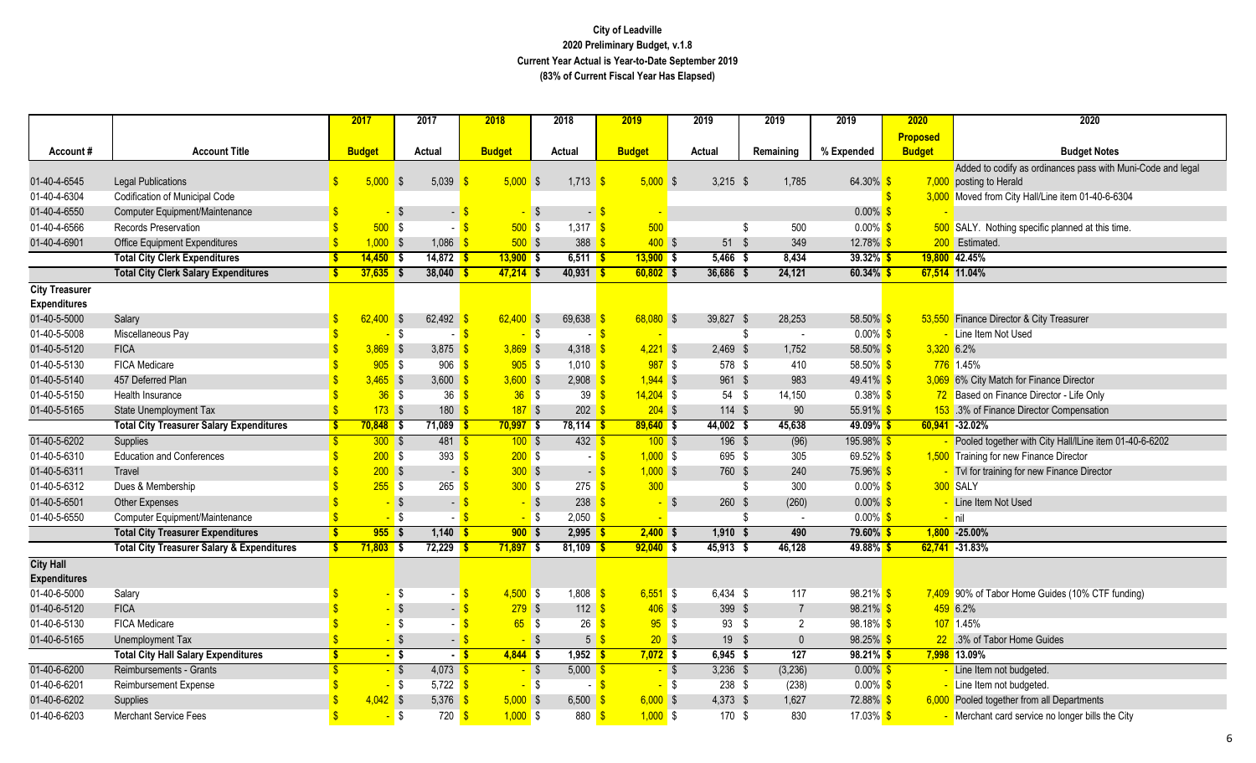|                       |                                                       |              | 2017          | 2017                         | 2018                     | 2018                                            | 2019          | 2019        | 2019                    | 2019                 | 2020          | 2020                                                        |
|-----------------------|-------------------------------------------------------|--------------|---------------|------------------------------|--------------------------|-------------------------------------------------|---------------|-------------|-------------------------|----------------------|---------------|-------------------------------------------------------------|
|                       |                                                       |              |               |                              |                          |                                                 |               |             |                         |                      | Proposed      |                                                             |
| Account#              | <b>Account Title</b>                                  |              | <b>Budget</b> | Actual                       | <b>Budget</b>            | Actual                                          | <b>Budget</b> | Actual      | Remaining               | % Expended           | <b>Budget</b> | <b>Budget Notes</b>                                         |
|                       |                                                       |              |               |                              |                          |                                                 |               |             |                         |                      |               | Added to codify as ordinances pass with Muni-Code and legal |
| 01-40-4-6545          | <b>Legal Publications</b>                             | $\mathbb{S}$ | $5,000$ \$    | 5,039                        | $5,000$ \$               | 1,713                                           | $5,000$ \$    | $3,215$ \$  | 1,785                   | 64.30% \$            |               | 7,000 posting to Herald                                     |
| 01-40-4-6304          | Codification of Municipal Code                        |              |               |                              |                          |                                                 |               |             |                         |                      |               | 3,000 Moved from City Hall/Line item 01-40-6-6304           |
| 01-40-4-6550          | Computer Equipment/Maintenance                        | <b>S</b>     |               | $\sqrt{S}$<br>- \$           | - \$                     | - \$                                            |               |             |                         | $0.00\%$ \$          |               |                                                             |
| 01-40-4-6566          | <b>Records Preservation</b>                           |              | 500           | <b>S</b><br>- 3              | 500S                     | 1,317 $\frac{1}{5}$                             | 500           |             | \$<br>500               | $0.00\%$ \$          |               | 500 SALY. Nothing specific planned at this time.            |
| 01-40-4-6901          | <b>Office Equipment Expenditures</b>                  |              | $1,000$ \$    | 1,086                        | 500S<br><sup>\$</sup>    | $388$ $\frac{6}{5}$                             | $400$ \$      | 51S         | 349                     | 12.78% \$            |               | 200 Estimated.                                              |
|                       | <b>Total City Clerk Expenditures</b>                  |              | $14,450$ \$   | $14,872$ \$                  | $13,900$ \$              | $6,511$ \$                                      | $13,900$ \$   | 5,466       | 8,434<br>- 5            | $39.32\%$ \$         |               | 19,800 42.45%                                               |
|                       | <b>Total City Clerk Salary Expenditures</b>           |              | $37,635$ \$   | $38,040$ \$                  | $47,214$ \$              | $40,931$ \$                                     | $60,802$ \$   | 36,686 \$   | 24,121                  | $60.34\%$ \$         |               | 67,514 11.04%                                               |
| <b>City Treasurer</b> |                                                       |              |               |                              |                          |                                                 |               |             |                         |                      |               |                                                             |
| <b>Expenditures</b>   |                                                       |              |               |                              |                          |                                                 |               |             |                         |                      |               |                                                             |
| 01-40-5-5000          | Salary                                                | $\mathbf{s}$ | $62.400$ \$   | 62,492                       | $62,400$ \$              | 69,638                                          | $68,080$ \$   | 39,827 \$   | 28,253                  | 58.50% \$            |               | 53,550 Finance Director & City Treasurer                    |
| 01-40-5-5008          | Miscellaneous Pay                                     |              |               | $\sqrt{3}$<br>$-5$           | $-5$                     | - \$                                            |               |             | $\sqrt[6]{3}$<br>$\sim$ | $0.00\%$ \$          |               | - Line Item Not Used                                        |
| 01-40-5-5120          | <b>FICA</b>                                           |              | 3,869         | $\sqrt{3}$<br>3,875          | $3,869$ \$<br>-S         | 4,318                                           | $4,221$ \$    | $2,469$ \$  | 1,752                   | 58.50% \$            |               | 3,320 6.2%                                                  |
| 01-40-5-5130          | <b>FICA Medicare</b>                                  |              | $905$ \$      | 906                          | $905$ \$<br>$\mathbf{s}$ | $1,010$ \$                                      | $987$ \$      | 578 \$      | 410                     | 58.50% <sup>S</sup>  |               | 776 1.45%                                                   |
| 01-40-5-5140          | 457 Deferred Plan                                     |              | $3,465$ \$    | 3,600                        | $3,600$ \$<br>S          | $2,908$ \$                                      | $1,944$ \$    | 961 \$      | 983                     | $49.41\%$ \$         |               | 3,069 6% City Match for Finance Director                    |
| 01-40-5-5150          | Health Insurance                                      |              | $36$ \$       | 36                           | $36$ \$<br>$\sqrt{3}$    | 39 <sup>8</sup>                                 | $14,204$ \$   | $54$ \$     | 14,150                  | $0.38\%$ \$          |               | 72 Based on Finance Director - Life Only                    |
| 01-40-5-5165          | <b>State Unemployment Tax</b>                         |              | $173$ \$      | 180                          | $187$ \$                 | $202 \frac{1}{9}$                               | $204$ \$      | $114$ \$    | 90                      | 55.91% \$            |               | 153 .3% of Finance Director Compensation                    |
|                       | <b>Total City Treasurer Salary Expenditures</b>       |              | $70,848$ \$   | $71,089$ \$                  | $70,997$ \$              | $78,114$ \$                                     | $89,640$ \$   | 44,002 \$   | 45,638                  | 49.09%               |               | $60,941 - 32.02\%$                                          |
| 01-40-5-6202          | Supplies                                              | $\mathbf{s}$ | 300S          | $481$ \$                     | 100S                     | $432$ $\overline{\text{S}}$                     | $100$ \$      | $196$ \$    | (96)                    | 195.98% <sup>S</sup> |               | Pooled together with City Hall/ILine item 01-40-6-6202      |
| 01-40-5-6310          | <b>Education and Conferences</b>                      |              | $200$ \$      | 393                          | 200S<br>$\sqrt{3}$       | - \$                                            | $1,000$ \$    | 695 \$      | 305                     | 69.52% \$            |               | 1,500 Training for new Finance Director                     |
| 01-40-5-6311          | Travel                                                |              | $200$ \$      | $-5$                         | 300S                     | $-$ \$                                          | $1,000$ \$    | 760 \$      | 240                     | 75.96% <sup>S</sup>  |               | Tvl for training for new Finance Director                   |
| 01-40-5-6312          | Dues & Membership                                     |              | $255$ \$      | 265                          | 300S<br>- \$             | 275 <sup>8</sup>                                | 300           |             | 300<br>\$               | $0.00\%$ \$          |               | 300 SALY                                                    |
| 01-40-5-6501          | <b>Other Expenses</b>                                 |              | $-$ \$        | $\blacksquare$               | $-$ \$                   | $238$ \$                                        | - \$          | $260$ \$    | (260)                   | $0.00\%$ \$          |               | Line Item Not Used                                          |
| 01-40-5-6550          | Computer Equipment/Maintenance                        |              | - \$          |                              | - \$                     | $2,050$ \$                                      |               |             | \$<br>$\sim$            | $0.00\%$ \$          |               | <mark>- nil</mark>                                          |
|                       | <b>Total City Treasurer Expenditures</b>              |              | $955$ \$      | $1,140$ \$                   | $900$ \$                 | $2,995$ \$                                      | $2,400$ \$    | $1,910$ \$  | 490                     | 79.60% \$            |               | $1,800 - 25.00\%$                                           |
|                       | <b>Total City Treasurer Salary &amp; Expenditures</b> | \$.          | $71,803$ \$   | $72,229$ \$                  | $71,897$ \$              | $81,109$ \$                                     | $92,040$ \$   | $45,913$ \$ | 46,128                  | 49.88% \$            |               | $62,741 - 31.83%$                                           |
| <b>City Hall</b>      |                                                       |              |               |                              |                          |                                                 |               |             |                         |                      |               |                                                             |
| <b>Expenditures</b>   |                                                       |              |               |                              |                          |                                                 |               |             |                         |                      |               |                                                             |
| 01-40-6-5000          | Salary                                                |              |               | <b>\$</b><br>$-5$            | $4,500$ \$               | $1,808$ \$                                      | $6,551$ \$    | 6,434 \$    | 117                     | $98.21\%$ \$         |               | 7,409 90% of Tabor Home Guides (10% CTF funding)            |
| 01-40-6-5120          | <b>FICA</b>                                           |              |               | $\sqrt{3}$<br>$\blacksquare$ | $279$ \$                 | $112$ \$                                        | $406$ \$      | 399 \$      | $\overline{7}$          | 98.21% \$            |               | 459 6.2%                                                    |
| 01-40-6-5130          | <b>FICA Medicare</b>                                  |              |               | $\sqrt{3}$<br>$-$ \$         | 65S                      | $26$ \$                                         | 95S           | $93$ \$     | $\overline{2}$          | $98.18\%$ \$         |               | 107 1.45%                                                   |
| 01-40-6-5165          | Unemployment Tax                                      |              | $-$ \$        | $-$ \$                       |                          | $\overline{\bullet}$<br>$5 \overline{\text{S}}$ | $20$ \$       | $19$ \$     | $\mathbf{0}$            | $98.25\%$ \$         |               | 22 .3% of Tabor Home Guides                                 |
|                       | <b>Total City Hall Salary Expenditures</b>            | S.           | $-$ \$        | $-5$                         | $4,844$ \$               | $1,952$ \$                                      | $7,072$ \$    | $6,945$ \$  | 127                     | $98.21\%$ \$         |               | 7,998 13.09%                                                |
| 01-40-6-6200          | Reimbursements - Grants                               |              | $-$ \$        | $4,073$ \$                   | $-$ \$                   | $5,000$ \$                                      | $-$ \$        | $3,236$ \$  | (3, 236)                | $0.00\%$ \$          |               | Line Item not budgeted.                                     |
| 01-40-6-6201          | Reimbursement Expense                                 |              | $-$ \$        | 5,722 $\frac{1}{5}$          | $-$ \$                   | - S                                             | $-$ \$        | 238 \$      | (238)                   | $0.00\%$ \$          |               | Line Item not budgeted.                                     |
| 01-40-6-6202          | Supplies                                              |              | $4,042$ \$    | 5,376                        | $5,000$ \$<br><b>S</b>   | 6,500                                           | $6,000$ \$    | $4,373$ \$  | 1,627                   | 72.88% <sup>S</sup>  |               | 6,000 Pooled together from all Departments                  |
| 01-40-6-6203          | <b>Merchant Service Fees</b>                          |              |               | <b>S</b><br>$720$ \$         | $1,000$ \$               | $880$ \$                                        | $1,000$ \$    | 170 \$      | 830                     | 17.03% <sup>S</sup>  |               | Merchant card service no longer bills the City              |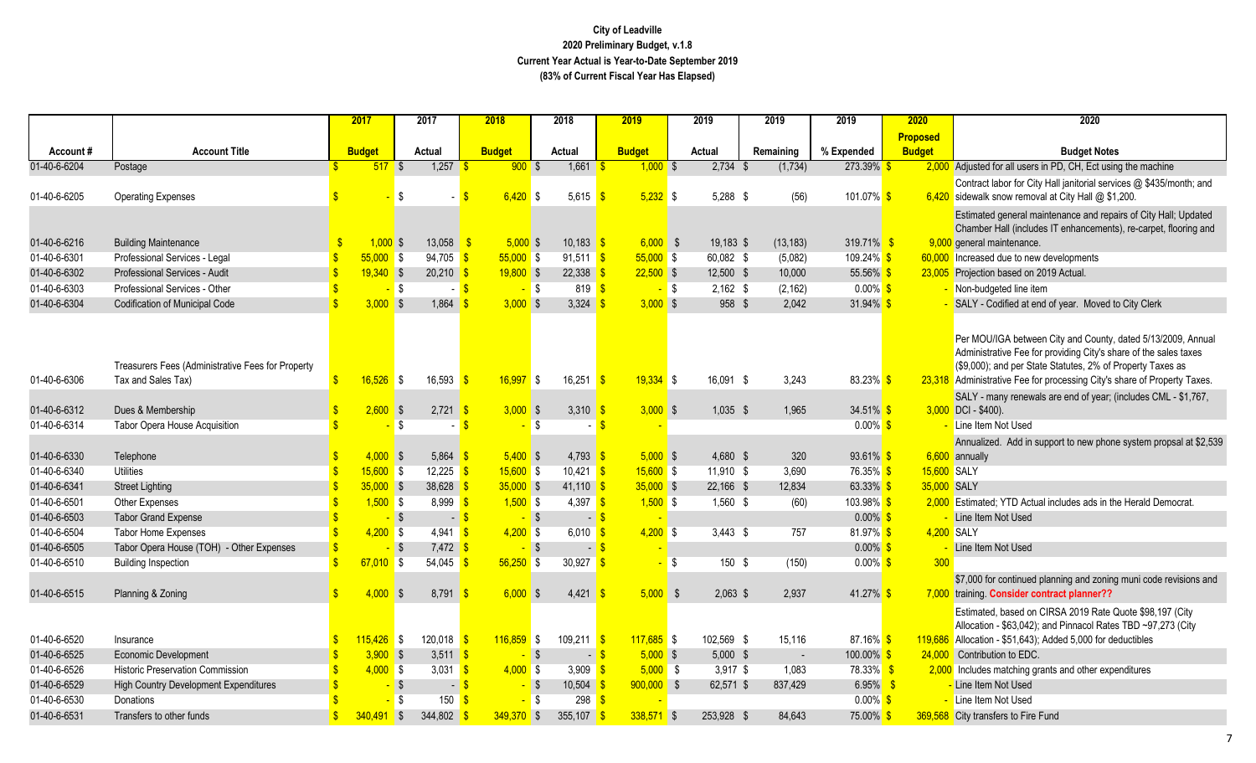| <b>Proposed</b><br><b>Account Title</b><br><b>Budget</b><br><b>Budget</b><br><b>Budget</b><br><b>Budget Notes</b><br><b>Budget</b><br>Actual<br>Actual<br>Actual<br>Remaining<br>% Expended<br>Account#<br>01-40-6-6204<br>1,257<br>$2,734$ \$<br>273.39%<br>2,000 Adjusted for all users in PD, CH, Ect using the machine<br>$517$ \$<br>900S<br>1,661<br>(1, 734)<br>Postage<br>$1,000$ \$<br>Contract labor for City Hall janitorial services @ \$435/month; and<br><b>\$</b><br>$6,420$ \$<br>5,615<br>$5,232$ \$<br>5,288 \$<br>(56)<br>101.07% \$<br>$6,420$ sidewalk snow removal at City Hall @ \$1,200.<br>01-40-6-6205<br><b>Operating Expenses</b><br>Estimated general maintenance and repairs of City Hall; Updated<br>Chamber Hall (includes IT enhancements), re-carpet, flooring and<br>$1,000$ \$<br>13,058<br>$5,000$ \$<br>6,000S<br>319.71% <sup>S</sup><br>01-40-6-6216<br><b>Building Maintenance</b><br>$10.183$ $\frac{\text{S}}{\text{S}}$<br>19.183 \$<br>(13, 183)<br>9,000 general maintenance.<br>Professional Services - Legal<br>$55,000$ \$<br>94,705<br>55,000S<br>$55,000$ \$<br>60,082 \$<br>60,000 Increased due to new developments<br>$91,511$ \$<br>(5,082)<br>109.24% \$<br>- \$<br>Professional Services - Audit<br>$19,340$ \$<br>20,210<br>$19,800$ \$<br>$22,500$ \$<br>12,500 \$<br>10,000<br>$55.56\%$ \$<br>23,005 Projection based on 2019 Actual.<br>22.338<br>01-40-6-6303<br>Professional Services - Other<br>(2, 162)<br>$0.00\%$ \$<br>- Non-budgeted line item<br>l \$<br>- \$<br>819 S<br>$-$ \$<br>$2.162$ \$<br>01-40-6-6304<br>$3,000$ \$<br>3,000S<br>3,324<br>3,000S<br>958 \$<br>2,042<br>31.94% \$<br>SALY - Codified at end of year. Moved to City Clerk<br><b>Codification of Municipal Code</b><br>1,864<br>Per MOU/IGA between City and County, dated 5/13/2009, Annual<br>Administrative Fee for providing City's share of the sales taxes<br>(\$9,000); and per State Statutes, 2% of Property Taxes as<br>Treasurers Fees (Administrative Fees for Property<br>16,526<br>16,593<br>16,997<br>16,251<br>$19,334$ \$<br>83.23% <sup>S</sup><br>01-40-6-6306<br>Tax and Sales Tax)<br>l \$<br>l \$<br>16.091 \$<br>3,243<br>23,318 Administrative Fee for processing City's share of Property Taxes.<br>$\mathbf{S}$<br>SALY - many renewals are end of year; (includes CML - \$1,767,<br>$3,000$ \$<br>3,310<br>$3,000$ \$<br>$34.51\%$ \$<br>01-40-6-6312<br>Dues & Membership<br>2,600<br>2,721<br>$1,035$ \$<br>1,965<br>$3,000$ DCI - \$400).<br><b>S</b><br>01-40-6-6314<br>Tabor Opera House Acquisition<br><b>S</b><br><b>S</b><br>$0.00\%$ \$<br>- Line Item Not Used<br><b>S</b><br>Annualized. Add in support to new phone system propsal at \$2,539<br>01-40-6-6330<br>$4,000$ \$<br>5.864<br>$5,400$ \$<br>$4,793$ \$<br>$5,000$ \$<br>4,680 \$<br>$93.61\%$ \$<br>Telephone<br>320<br>$6,600$ annually<br>$15,600$ \$<br>$15,600$ \$<br>15,600 SALY<br><b>Utilities</b><br>12,225<br>$10,421$ \$<br>$15,600$ \$<br>$11,910$ \$<br>3,690<br>76.35% \$<br>-\$<br>$35,000$ \$<br>22,166 \$<br>$63.33\%$ \$<br>$35,000$ \$<br>38,628<br>$41,110$ \$<br>$35,000$ \$<br>12,834<br>35,000 SALY<br><b>Street Lighting</b><br>01-40-6-6501<br>$1,500$ \$<br>8,999<br>$1,500$ \$<br>4,397 \$<br>$1,500$ \$<br>$1,560$ \$<br>(60)<br>2,000 Estimated; YTD Actual includes ads in the Herald Democrat.<br>Other Expenses<br>103.98% \$<br><b>S</b><br>$0.00\%$ \$<br>01-40-6-6503<br>$-$ \$<br>$-$ \$<br><b>Tabor Grand Expense</b><br>$-$ \$<br>Line Item Not Used<br>$-$ \$<br>4.200 SALY<br>01-40-6-6504<br>$4,200$ \$<br>4,941<br>$4,200$ \$<br>$3.443$ \$<br>81.97% \$<br><b>Tabor Home Expenses</b><br>$\sqrt{3}$<br>$6,010$ \$<br>$4,200$ \$<br>757<br>$-$ \$<br>$-$ \$<br>$7,472$ \$<br>$0.00\%$ \$<br>$-$ \$ |              |                                          | 2017 | 2017 | 2018 | 2018 | 2019 | 2019 | 2019 | 2019 | 2020 | 2020               |
|-------------------------------------------------------------------------------------------------------------------------------------------------------------------------------------------------------------------------------------------------------------------------------------------------------------------------------------------------------------------------------------------------------------------------------------------------------------------------------------------------------------------------------------------------------------------------------------------------------------------------------------------------------------------------------------------------------------------------------------------------------------------------------------------------------------------------------------------------------------------------------------------------------------------------------------------------------------------------------------------------------------------------------------------------------------------------------------------------------------------------------------------------------------------------------------------------------------------------------------------------------------------------------------------------------------------------------------------------------------------------------------------------------------------------------------------------------------------------------------------------------------------------------------------------------------------------------------------------------------------------------------------------------------------------------------------------------------------------------------------------------------------------------------------------------------------------------------------------------------------------------------------------------------------------------------------------------------------------------------------------------------------------------------------------------------------------------------------------------------------------------------------------------------------------------------------------------------------------------------------------------------------------------------------------------------------------------------------------------------------------------------------------------------------------------------------------------------------------------------------------------------------------------------------------------------------------------------------------------------------------------------------------------------------------------------------------------------------------------------------------------------------------------------------------------------------------------------------------------------------------------------------------------------------------------------------------------------------------------------------------------------------------------------------------------------------------------------------------------------------------------------------------------------------------------------------------------------------------------------------------------------------------------------------------------------------------------------------------------------------------------------------------------------------------------------------------------------------------------------------------------------------------------------------------------------------------------------------------------------------------------------------------------------------------------------------------------------------------------------------------------------------------------------------|--------------|------------------------------------------|------|------|------|------|------|------|------|------|------|--------------------|
| 01-40-6-6301<br>01-40-6-6302<br>01-40-6-6340<br>01-40-6-6341                                                                                                                                                                                                                                                                                                                                                                                                                                                                                                                                                                                                                                                                                                                                                                                                                                                                                                                                                                                                                                                                                                                                                                                                                                                                                                                                                                                                                                                                                                                                                                                                                                                                                                                                                                                                                                                                                                                                                                                                                                                                                                                                                                                                                                                                                                                                                                                                                                                                                                                                                                                                                                                                                                                                                                                                                                                                                                                                                                                                                                                                                                                                                                                                                                                                                                                                                                                                                                                                                                                                                                                                                                                                                                                              |              |                                          |      |      |      |      |      |      |      |      |      |                    |
|                                                                                                                                                                                                                                                                                                                                                                                                                                                                                                                                                                                                                                                                                                                                                                                                                                                                                                                                                                                                                                                                                                                                                                                                                                                                                                                                                                                                                                                                                                                                                                                                                                                                                                                                                                                                                                                                                                                                                                                                                                                                                                                                                                                                                                                                                                                                                                                                                                                                                                                                                                                                                                                                                                                                                                                                                                                                                                                                                                                                                                                                                                                                                                                                                                                                                                                                                                                                                                                                                                                                                                                                                                                                                                                                                                                           |              |                                          |      |      |      |      |      |      |      |      |      |                    |
|                                                                                                                                                                                                                                                                                                                                                                                                                                                                                                                                                                                                                                                                                                                                                                                                                                                                                                                                                                                                                                                                                                                                                                                                                                                                                                                                                                                                                                                                                                                                                                                                                                                                                                                                                                                                                                                                                                                                                                                                                                                                                                                                                                                                                                                                                                                                                                                                                                                                                                                                                                                                                                                                                                                                                                                                                                                                                                                                                                                                                                                                                                                                                                                                                                                                                                                                                                                                                                                                                                                                                                                                                                                                                                                                                                                           |              |                                          |      |      |      |      |      |      |      |      |      |                    |
|                                                                                                                                                                                                                                                                                                                                                                                                                                                                                                                                                                                                                                                                                                                                                                                                                                                                                                                                                                                                                                                                                                                                                                                                                                                                                                                                                                                                                                                                                                                                                                                                                                                                                                                                                                                                                                                                                                                                                                                                                                                                                                                                                                                                                                                                                                                                                                                                                                                                                                                                                                                                                                                                                                                                                                                                                                                                                                                                                                                                                                                                                                                                                                                                                                                                                                                                                                                                                                                                                                                                                                                                                                                                                                                                                                                           |              |                                          |      |      |      |      |      |      |      |      |      |                    |
|                                                                                                                                                                                                                                                                                                                                                                                                                                                                                                                                                                                                                                                                                                                                                                                                                                                                                                                                                                                                                                                                                                                                                                                                                                                                                                                                                                                                                                                                                                                                                                                                                                                                                                                                                                                                                                                                                                                                                                                                                                                                                                                                                                                                                                                                                                                                                                                                                                                                                                                                                                                                                                                                                                                                                                                                                                                                                                                                                                                                                                                                                                                                                                                                                                                                                                                                                                                                                                                                                                                                                                                                                                                                                                                                                                                           |              |                                          |      |      |      |      |      |      |      |      |      |                    |
|                                                                                                                                                                                                                                                                                                                                                                                                                                                                                                                                                                                                                                                                                                                                                                                                                                                                                                                                                                                                                                                                                                                                                                                                                                                                                                                                                                                                                                                                                                                                                                                                                                                                                                                                                                                                                                                                                                                                                                                                                                                                                                                                                                                                                                                                                                                                                                                                                                                                                                                                                                                                                                                                                                                                                                                                                                                                                                                                                                                                                                                                                                                                                                                                                                                                                                                                                                                                                                                                                                                                                                                                                                                                                                                                                                                           |              |                                          |      |      |      |      |      |      |      |      |      |                    |
|                                                                                                                                                                                                                                                                                                                                                                                                                                                                                                                                                                                                                                                                                                                                                                                                                                                                                                                                                                                                                                                                                                                                                                                                                                                                                                                                                                                                                                                                                                                                                                                                                                                                                                                                                                                                                                                                                                                                                                                                                                                                                                                                                                                                                                                                                                                                                                                                                                                                                                                                                                                                                                                                                                                                                                                                                                                                                                                                                                                                                                                                                                                                                                                                                                                                                                                                                                                                                                                                                                                                                                                                                                                                                                                                                                                           |              |                                          |      |      |      |      |      |      |      |      |      |                    |
|                                                                                                                                                                                                                                                                                                                                                                                                                                                                                                                                                                                                                                                                                                                                                                                                                                                                                                                                                                                                                                                                                                                                                                                                                                                                                                                                                                                                                                                                                                                                                                                                                                                                                                                                                                                                                                                                                                                                                                                                                                                                                                                                                                                                                                                                                                                                                                                                                                                                                                                                                                                                                                                                                                                                                                                                                                                                                                                                                                                                                                                                                                                                                                                                                                                                                                                                                                                                                                                                                                                                                                                                                                                                                                                                                                                           |              |                                          |      |      |      |      |      |      |      |      |      |                    |
|                                                                                                                                                                                                                                                                                                                                                                                                                                                                                                                                                                                                                                                                                                                                                                                                                                                                                                                                                                                                                                                                                                                                                                                                                                                                                                                                                                                                                                                                                                                                                                                                                                                                                                                                                                                                                                                                                                                                                                                                                                                                                                                                                                                                                                                                                                                                                                                                                                                                                                                                                                                                                                                                                                                                                                                                                                                                                                                                                                                                                                                                                                                                                                                                                                                                                                                                                                                                                                                                                                                                                                                                                                                                                                                                                                                           |              |                                          |      |      |      |      |      |      |      |      |      |                    |
|                                                                                                                                                                                                                                                                                                                                                                                                                                                                                                                                                                                                                                                                                                                                                                                                                                                                                                                                                                                                                                                                                                                                                                                                                                                                                                                                                                                                                                                                                                                                                                                                                                                                                                                                                                                                                                                                                                                                                                                                                                                                                                                                                                                                                                                                                                                                                                                                                                                                                                                                                                                                                                                                                                                                                                                                                                                                                                                                                                                                                                                                                                                                                                                                                                                                                                                                                                                                                                                                                                                                                                                                                                                                                                                                                                                           |              |                                          |      |      |      |      |      |      |      |      |      |                    |
|                                                                                                                                                                                                                                                                                                                                                                                                                                                                                                                                                                                                                                                                                                                                                                                                                                                                                                                                                                                                                                                                                                                                                                                                                                                                                                                                                                                                                                                                                                                                                                                                                                                                                                                                                                                                                                                                                                                                                                                                                                                                                                                                                                                                                                                                                                                                                                                                                                                                                                                                                                                                                                                                                                                                                                                                                                                                                                                                                                                                                                                                                                                                                                                                                                                                                                                                                                                                                                                                                                                                                                                                                                                                                                                                                                                           |              |                                          |      |      |      |      |      |      |      |      |      |                    |
|                                                                                                                                                                                                                                                                                                                                                                                                                                                                                                                                                                                                                                                                                                                                                                                                                                                                                                                                                                                                                                                                                                                                                                                                                                                                                                                                                                                                                                                                                                                                                                                                                                                                                                                                                                                                                                                                                                                                                                                                                                                                                                                                                                                                                                                                                                                                                                                                                                                                                                                                                                                                                                                                                                                                                                                                                                                                                                                                                                                                                                                                                                                                                                                                                                                                                                                                                                                                                                                                                                                                                                                                                                                                                                                                                                                           |              |                                          |      |      |      |      |      |      |      |      |      |                    |
|                                                                                                                                                                                                                                                                                                                                                                                                                                                                                                                                                                                                                                                                                                                                                                                                                                                                                                                                                                                                                                                                                                                                                                                                                                                                                                                                                                                                                                                                                                                                                                                                                                                                                                                                                                                                                                                                                                                                                                                                                                                                                                                                                                                                                                                                                                                                                                                                                                                                                                                                                                                                                                                                                                                                                                                                                                                                                                                                                                                                                                                                                                                                                                                                                                                                                                                                                                                                                                                                                                                                                                                                                                                                                                                                                                                           |              |                                          |      |      |      |      |      |      |      |      |      |                    |
|                                                                                                                                                                                                                                                                                                                                                                                                                                                                                                                                                                                                                                                                                                                                                                                                                                                                                                                                                                                                                                                                                                                                                                                                                                                                                                                                                                                                                                                                                                                                                                                                                                                                                                                                                                                                                                                                                                                                                                                                                                                                                                                                                                                                                                                                                                                                                                                                                                                                                                                                                                                                                                                                                                                                                                                                                                                                                                                                                                                                                                                                                                                                                                                                                                                                                                                                                                                                                                                                                                                                                                                                                                                                                                                                                                                           |              |                                          |      |      |      |      |      |      |      |      |      |                    |
|                                                                                                                                                                                                                                                                                                                                                                                                                                                                                                                                                                                                                                                                                                                                                                                                                                                                                                                                                                                                                                                                                                                                                                                                                                                                                                                                                                                                                                                                                                                                                                                                                                                                                                                                                                                                                                                                                                                                                                                                                                                                                                                                                                                                                                                                                                                                                                                                                                                                                                                                                                                                                                                                                                                                                                                                                                                                                                                                                                                                                                                                                                                                                                                                                                                                                                                                                                                                                                                                                                                                                                                                                                                                                                                                                                                           |              |                                          |      |      |      |      |      |      |      |      |      |                    |
|                                                                                                                                                                                                                                                                                                                                                                                                                                                                                                                                                                                                                                                                                                                                                                                                                                                                                                                                                                                                                                                                                                                                                                                                                                                                                                                                                                                                                                                                                                                                                                                                                                                                                                                                                                                                                                                                                                                                                                                                                                                                                                                                                                                                                                                                                                                                                                                                                                                                                                                                                                                                                                                                                                                                                                                                                                                                                                                                                                                                                                                                                                                                                                                                                                                                                                                                                                                                                                                                                                                                                                                                                                                                                                                                                                                           |              |                                          |      |      |      |      |      |      |      |      |      |                    |
|                                                                                                                                                                                                                                                                                                                                                                                                                                                                                                                                                                                                                                                                                                                                                                                                                                                                                                                                                                                                                                                                                                                                                                                                                                                                                                                                                                                                                                                                                                                                                                                                                                                                                                                                                                                                                                                                                                                                                                                                                                                                                                                                                                                                                                                                                                                                                                                                                                                                                                                                                                                                                                                                                                                                                                                                                                                                                                                                                                                                                                                                                                                                                                                                                                                                                                                                                                                                                                                                                                                                                                                                                                                                                                                                                                                           |              |                                          |      |      |      |      |      |      |      |      |      |                    |
|                                                                                                                                                                                                                                                                                                                                                                                                                                                                                                                                                                                                                                                                                                                                                                                                                                                                                                                                                                                                                                                                                                                                                                                                                                                                                                                                                                                                                                                                                                                                                                                                                                                                                                                                                                                                                                                                                                                                                                                                                                                                                                                                                                                                                                                                                                                                                                                                                                                                                                                                                                                                                                                                                                                                                                                                                                                                                                                                                                                                                                                                                                                                                                                                                                                                                                                                                                                                                                                                                                                                                                                                                                                                                                                                                                                           |              |                                          |      |      |      |      |      |      |      |      |      |                    |
|                                                                                                                                                                                                                                                                                                                                                                                                                                                                                                                                                                                                                                                                                                                                                                                                                                                                                                                                                                                                                                                                                                                                                                                                                                                                                                                                                                                                                                                                                                                                                                                                                                                                                                                                                                                                                                                                                                                                                                                                                                                                                                                                                                                                                                                                                                                                                                                                                                                                                                                                                                                                                                                                                                                                                                                                                                                                                                                                                                                                                                                                                                                                                                                                                                                                                                                                                                                                                                                                                                                                                                                                                                                                                                                                                                                           |              |                                          |      |      |      |      |      |      |      |      |      |                    |
|                                                                                                                                                                                                                                                                                                                                                                                                                                                                                                                                                                                                                                                                                                                                                                                                                                                                                                                                                                                                                                                                                                                                                                                                                                                                                                                                                                                                                                                                                                                                                                                                                                                                                                                                                                                                                                                                                                                                                                                                                                                                                                                                                                                                                                                                                                                                                                                                                                                                                                                                                                                                                                                                                                                                                                                                                                                                                                                                                                                                                                                                                                                                                                                                                                                                                                                                                                                                                                                                                                                                                                                                                                                                                                                                                                                           |              |                                          |      |      |      |      |      |      |      |      |      |                    |
|                                                                                                                                                                                                                                                                                                                                                                                                                                                                                                                                                                                                                                                                                                                                                                                                                                                                                                                                                                                                                                                                                                                                                                                                                                                                                                                                                                                                                                                                                                                                                                                                                                                                                                                                                                                                                                                                                                                                                                                                                                                                                                                                                                                                                                                                                                                                                                                                                                                                                                                                                                                                                                                                                                                                                                                                                                                                                                                                                                                                                                                                                                                                                                                                                                                                                                                                                                                                                                                                                                                                                                                                                                                                                                                                                                                           |              |                                          |      |      |      |      |      |      |      |      |      |                    |
|                                                                                                                                                                                                                                                                                                                                                                                                                                                                                                                                                                                                                                                                                                                                                                                                                                                                                                                                                                                                                                                                                                                                                                                                                                                                                                                                                                                                                                                                                                                                                                                                                                                                                                                                                                                                                                                                                                                                                                                                                                                                                                                                                                                                                                                                                                                                                                                                                                                                                                                                                                                                                                                                                                                                                                                                                                                                                                                                                                                                                                                                                                                                                                                                                                                                                                                                                                                                                                                                                                                                                                                                                                                                                                                                                                                           |              |                                          |      |      |      |      |      |      |      |      |      |                    |
|                                                                                                                                                                                                                                                                                                                                                                                                                                                                                                                                                                                                                                                                                                                                                                                                                                                                                                                                                                                                                                                                                                                                                                                                                                                                                                                                                                                                                                                                                                                                                                                                                                                                                                                                                                                                                                                                                                                                                                                                                                                                                                                                                                                                                                                                                                                                                                                                                                                                                                                                                                                                                                                                                                                                                                                                                                                                                                                                                                                                                                                                                                                                                                                                                                                                                                                                                                                                                                                                                                                                                                                                                                                                                                                                                                                           |              |                                          |      |      |      |      |      |      |      |      |      |                    |
|                                                                                                                                                                                                                                                                                                                                                                                                                                                                                                                                                                                                                                                                                                                                                                                                                                                                                                                                                                                                                                                                                                                                                                                                                                                                                                                                                                                                                                                                                                                                                                                                                                                                                                                                                                                                                                                                                                                                                                                                                                                                                                                                                                                                                                                                                                                                                                                                                                                                                                                                                                                                                                                                                                                                                                                                                                                                                                                                                                                                                                                                                                                                                                                                                                                                                                                                                                                                                                                                                                                                                                                                                                                                                                                                                                                           |              |                                          |      |      |      |      |      |      |      |      |      |                    |
|                                                                                                                                                                                                                                                                                                                                                                                                                                                                                                                                                                                                                                                                                                                                                                                                                                                                                                                                                                                                                                                                                                                                                                                                                                                                                                                                                                                                                                                                                                                                                                                                                                                                                                                                                                                                                                                                                                                                                                                                                                                                                                                                                                                                                                                                                                                                                                                                                                                                                                                                                                                                                                                                                                                                                                                                                                                                                                                                                                                                                                                                                                                                                                                                                                                                                                                                                                                                                                                                                                                                                                                                                                                                                                                                                                                           |              |                                          |      |      |      |      |      |      |      |      |      |                    |
|                                                                                                                                                                                                                                                                                                                                                                                                                                                                                                                                                                                                                                                                                                                                                                                                                                                                                                                                                                                                                                                                                                                                                                                                                                                                                                                                                                                                                                                                                                                                                                                                                                                                                                                                                                                                                                                                                                                                                                                                                                                                                                                                                                                                                                                                                                                                                                                                                                                                                                                                                                                                                                                                                                                                                                                                                                                                                                                                                                                                                                                                                                                                                                                                                                                                                                                                                                                                                                                                                                                                                                                                                                                                                                                                                                                           |              |                                          |      |      |      |      |      |      |      |      |      |                    |
|                                                                                                                                                                                                                                                                                                                                                                                                                                                                                                                                                                                                                                                                                                                                                                                                                                                                                                                                                                                                                                                                                                                                                                                                                                                                                                                                                                                                                                                                                                                                                                                                                                                                                                                                                                                                                                                                                                                                                                                                                                                                                                                                                                                                                                                                                                                                                                                                                                                                                                                                                                                                                                                                                                                                                                                                                                                                                                                                                                                                                                                                                                                                                                                                                                                                                                                                                                                                                                                                                                                                                                                                                                                                                                                                                                                           |              |                                          |      |      |      |      |      |      |      |      |      |                    |
|                                                                                                                                                                                                                                                                                                                                                                                                                                                                                                                                                                                                                                                                                                                                                                                                                                                                                                                                                                                                                                                                                                                                                                                                                                                                                                                                                                                                                                                                                                                                                                                                                                                                                                                                                                                                                                                                                                                                                                                                                                                                                                                                                                                                                                                                                                                                                                                                                                                                                                                                                                                                                                                                                                                                                                                                                                                                                                                                                                                                                                                                                                                                                                                                                                                                                                                                                                                                                                                                                                                                                                                                                                                                                                                                                                                           | 01-40-6-6505 | Tabor Opera House (TOH) - Other Expenses |      |      |      |      |      |      |      |      |      | Line Item Not Used |
| 01-40-6-6510<br>$\mathbf{\hat{s}}$<br>$67,010$ \$<br>54,045<br>$56,250$ \$<br>30,927<br>300<br><b>Building Inspection</b><br>150 \$<br>(150)<br>$0.00\%$ \$<br>-\$<br><u>is</u><br>IS.                                                                                                                                                                                                                                                                                                                                                                                                                                                                                                                                                                                                                                                                                                                                                                                                                                                                                                                                                                                                                                                                                                                                                                                                                                                                                                                                                                                                                                                                                                                                                                                                                                                                                                                                                                                                                                                                                                                                                                                                                                                                                                                                                                                                                                                                                                                                                                                                                                                                                                                                                                                                                                                                                                                                                                                                                                                                                                                                                                                                                                                                                                                                                                                                                                                                                                                                                                                                                                                                                                                                                                                                    |              |                                          |      |      |      |      |      |      |      |      |      |                    |
| \$7,000 for continued planning and zoning muni code revisions and                                                                                                                                                                                                                                                                                                                                                                                                                                                                                                                                                                                                                                                                                                                                                                                                                                                                                                                                                                                                                                                                                                                                                                                                                                                                                                                                                                                                                                                                                                                                                                                                                                                                                                                                                                                                                                                                                                                                                                                                                                                                                                                                                                                                                                                                                                                                                                                                                                                                                                                                                                                                                                                                                                                                                                                                                                                                                                                                                                                                                                                                                                                                                                                                                                                                                                                                                                                                                                                                                                                                                                                                                                                                                                                         |              |                                          |      |      |      |      |      |      |      |      |      |                    |
| 4,000<br>8,791<br>$6,000$ \$<br>4,421<br>$5,000$ \$<br>$2,063$ \$<br>2,937<br>41.27%<br>7,000 training. Consider contract planner??<br>01-40-6-6515<br><b>S</b><br>Planning & Zoning                                                                                                                                                                                                                                                                                                                                                                                                                                                                                                                                                                                                                                                                                                                                                                                                                                                                                                                                                                                                                                                                                                                                                                                                                                                                                                                                                                                                                                                                                                                                                                                                                                                                                                                                                                                                                                                                                                                                                                                                                                                                                                                                                                                                                                                                                                                                                                                                                                                                                                                                                                                                                                                                                                                                                                                                                                                                                                                                                                                                                                                                                                                                                                                                                                                                                                                                                                                                                                                                                                                                                                                                      |              |                                          |      |      |      |      |      |      |      |      |      |                    |
| Estimated, based on CIRSA 2019 Rate Quote \$98,197 (City                                                                                                                                                                                                                                                                                                                                                                                                                                                                                                                                                                                                                                                                                                                                                                                                                                                                                                                                                                                                                                                                                                                                                                                                                                                                                                                                                                                                                                                                                                                                                                                                                                                                                                                                                                                                                                                                                                                                                                                                                                                                                                                                                                                                                                                                                                                                                                                                                                                                                                                                                                                                                                                                                                                                                                                                                                                                                                                                                                                                                                                                                                                                                                                                                                                                                                                                                                                                                                                                                                                                                                                                                                                                                                                                  |              |                                          |      |      |      |      |      |      |      |      |      |                    |
| Allocation - \$63,042); and Pinnacol Rates TBD ~97,273 (City                                                                                                                                                                                                                                                                                                                                                                                                                                                                                                                                                                                                                                                                                                                                                                                                                                                                                                                                                                                                                                                                                                                                                                                                                                                                                                                                                                                                                                                                                                                                                                                                                                                                                                                                                                                                                                                                                                                                                                                                                                                                                                                                                                                                                                                                                                                                                                                                                                                                                                                                                                                                                                                                                                                                                                                                                                                                                                                                                                                                                                                                                                                                                                                                                                                                                                                                                                                                                                                                                                                                                                                                                                                                                                                              |              |                                          |      |      |      |      |      |      |      |      |      |                    |
| $116,859$ \$<br>119,686 Allocation - \$51,643); Added 5,000 for deductibles<br>01-40-6-6520<br>$115,426$ \$<br>120,018<br>$109.211$ $\sqrt{\frac{5}{}}$<br>$117,685$ \$<br>102.569 \$<br>$87.16\%$ \$<br>15,116<br>Insurance                                                                                                                                                                                                                                                                                                                                                                                                                                                                                                                                                                                                                                                                                                                                                                                                                                                                                                                                                                                                                                                                                                                                                                                                                                                                                                                                                                                                                                                                                                                                                                                                                                                                                                                                                                                                                                                                                                                                                                                                                                                                                                                                                                                                                                                                                                                                                                                                                                                                                                                                                                                                                                                                                                                                                                                                                                                                                                                                                                                                                                                                                                                                                                                                                                                                                                                                                                                                                                                                                                                                                              |              |                                          |      |      |      |      |      |      |      |      |      |                    |
| 01-40-6-6525<br>$3,900$ \$<br>3,511<br>$-$ \$<br>$5,000$ \$<br>$5,000$ \$<br>Contribution to EDC.<br>Economic Development<br>$-5$<br>$100.00\%$ \$<br>24,000<br>$\sim$                                                                                                                                                                                                                                                                                                                                                                                                                                                                                                                                                                                                                                                                                                                                                                                                                                                                                                                                                                                                                                                                                                                                                                                                                                                                                                                                                                                                                                                                                                                                                                                                                                                                                                                                                                                                                                                                                                                                                                                                                                                                                                                                                                                                                                                                                                                                                                                                                                                                                                                                                                                                                                                                                                                                                                                                                                                                                                                                                                                                                                                                                                                                                                                                                                                                                                                                                                                                                                                                                                                                                                                                                    |              |                                          |      |      |      |      |      |      |      |      |      |                    |
| 01-40-6-6526<br>$4,000$ \$<br>$5,000$ \$<br><b>Historic Preservation Commission</b><br>3,031<br>4.000S<br>3,909 $\frac{1}{5}$<br>$3,917$ \$<br>1,083<br>78.33%<br>2,000 Includes matching grants and other expenditures<br>$\mathbf{s}$                                                                                                                                                                                                                                                                                                                                                                                                                                                                                                                                                                                                                                                                                                                                                                                                                                                                                                                                                                                                                                                                                                                                                                                                                                                                                                                                                                                                                                                                                                                                                                                                                                                                                                                                                                                                                                                                                                                                                                                                                                                                                                                                                                                                                                                                                                                                                                                                                                                                                                                                                                                                                                                                                                                                                                                                                                                                                                                                                                                                                                                                                                                                                                                                                                                                                                                                                                                                                                                                                                                                                   |              |                                          |      |      |      |      |      |      |      |      |      |                    |
| 01-40-6-6529<br>$-$ \$<br>$-$ \$<br>$10,504$ \$<br>$900,000$ \$<br>62,571 \$<br>837,429<br>6.95%<br>$^{\circ}$<br>- Line Item Not Used<br><b>High Country Development Expenditures</b><br>$\mathbf{s}$<br>$\blacksquare$                                                                                                                                                                                                                                                                                                                                                                                                                                                                                                                                                                                                                                                                                                                                                                                                                                                                                                                                                                                                                                                                                                                                                                                                                                                                                                                                                                                                                                                                                                                                                                                                                                                                                                                                                                                                                                                                                                                                                                                                                                                                                                                                                                                                                                                                                                                                                                                                                                                                                                                                                                                                                                                                                                                                                                                                                                                                                                                                                                                                                                                                                                                                                                                                                                                                                                                                                                                                                                                                                                                                                                  |              |                                          |      |      |      |      |      |      |      |      |      |                    |
| 01-40-6-6530<br>l \$<br>l \$<br>$298$ $\frac{6}{5}$<br>- Line Item Not Used<br>Donations<br>150<br>$0.00\%$ \$                                                                                                                                                                                                                                                                                                                                                                                                                                                                                                                                                                                                                                                                                                                                                                                                                                                                                                                                                                                                                                                                                                                                                                                                                                                                                                                                                                                                                                                                                                                                                                                                                                                                                                                                                                                                                                                                                                                                                                                                                                                                                                                                                                                                                                                                                                                                                                                                                                                                                                                                                                                                                                                                                                                                                                                                                                                                                                                                                                                                                                                                                                                                                                                                                                                                                                                                                                                                                                                                                                                                                                                                                                                                            |              |                                          |      |      |      |      |      |      |      |      |      |                    |
| 01-40-6-6531<br>$340,491$ \$<br>344,802<br>$349,370$ \$<br>253,928 \$<br>75.00%<br>Transfers to other funds<br>355,107<br>$338,571$ \$<br>84,643<br>369,568 City transfers to Fire Fund                                                                                                                                                                                                                                                                                                                                                                                                                                                                                                                                                                                                                                                                                                                                                                                                                                                                                                                                                                                                                                                                                                                                                                                                                                                                                                                                                                                                                                                                                                                                                                                                                                                                                                                                                                                                                                                                                                                                                                                                                                                                                                                                                                                                                                                                                                                                                                                                                                                                                                                                                                                                                                                                                                                                                                                                                                                                                                                                                                                                                                                                                                                                                                                                                                                                                                                                                                                                                                                                                                                                                                                                   |              |                                          |      |      |      |      |      |      |      |      |      |                    |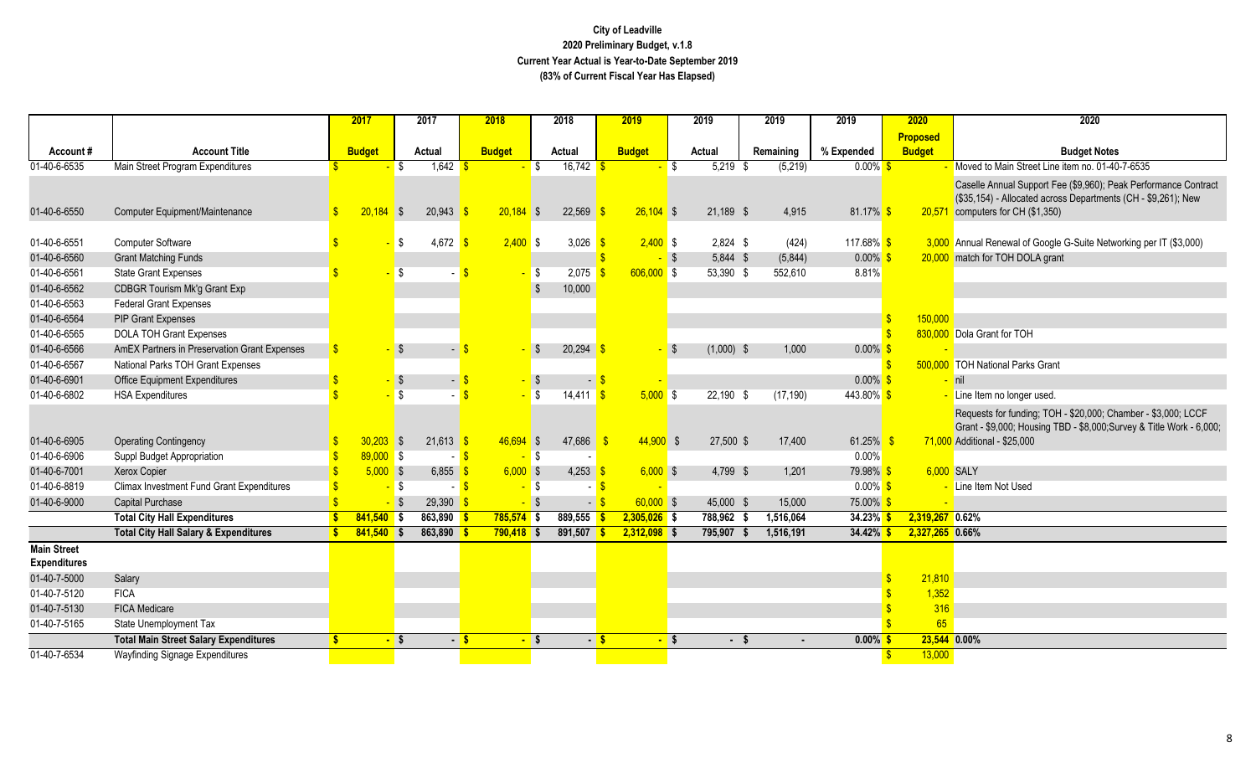|                                           |                                                  |              | 2017          |                          | 2017           | 2018          |                          | 2018                  |      | 2019           |      | 2019         | 2019      | 2019                | 2020              | 2020                                                                 |
|-------------------------------------------|--------------------------------------------------|--------------|---------------|--------------------------|----------------|---------------|--------------------------|-----------------------|------|----------------|------|--------------|-----------|---------------------|-------------------|----------------------------------------------------------------------|
|                                           |                                                  |              |               |                          |                |               |                          |                       |      |                |      |              |           |                     | <b>Proposed</b>   |                                                                      |
| Account#                                  | <b>Account Title</b>                             |              | <b>Budget</b> |                          | Actual         | <b>Budget</b> |                          | Actual                |      | <b>Budget</b>  |      | Actual       | Remaining | % Expended          | <b>Budget</b>     | <b>Budget Notes</b>                                                  |
| $01-40-6-6535$                            | Main Street Program Expenditures                 |              |               | - \$                     | $1,642$ \$     |               | <b>S</b>                 | $16,742$ \$           |      |                | l \$ | $5,219$ \$   | (5,219)   | $0.00\%$ \$         |                   | Moved to Main Street Line item no. 01-40-7-6535                      |
|                                           |                                                  |              |               |                          |                |               |                          |                       |      |                |      |              |           |                     |                   | Caselle Annual Support Fee (\$9,960); Peak Performance Contract      |
|                                           |                                                  |              |               |                          |                |               |                          |                       |      |                |      |              |           |                     |                   | (\$35,154) - Allocated across Departments (CH - \$9,261); New        |
| 01-40-6-6550                              | Computer Equipment/Maintenance                   | $\mathbf{s}$ | 20,184        | $\overline{\phantom{a}}$ | 20,943         | $20.184$ \$   |                          | 22,569                |      | $26,104$ \$    |      | 21,189 \$    | 4,915     | $81.17\%$ \$        | 20,571            | computers for CH (\$1,350)                                           |
| 01-40-6-6551                              | Computer Software                                |              |               | - \$                     | 4,672          | $2,400$ \$    |                          | 3,026 $\frac{\$}{\$}$ |      | $2,400$ \$     |      | $2,824$ \$   | (424)     | 117.68% \$          |                   | 3,000 Annual Renewal of Google G-Suite Networking per IT (\$3,000)   |
| 01-40-6-6560                              | <b>Grant Matching Funds</b>                      |              |               |                          |                |               |                          |                       |      | - \$           |      | 5,844 \$     | (5,844)   | $0.00\%$            |                   | 20,000 match for TOH DOLA grant                                      |
| 01-40-6-6561                              | <b>State Grant Expenses</b>                      |              |               | l\$                      |                |               | <b>S</b>                 | 2,075                 |      | $606,000$ \$   |      | 53,390 \$    | 552,610   | 8.81%               |                   |                                                                      |
| 01-40-6-6562                              | CDBGR Tourism Mk'g Grant Exp                     |              |               |                          |                |               |                          | 10,000                |      |                |      |              |           |                     |                   |                                                                      |
| 01-40-6-6563                              | <b>Federal Grant Expenses</b>                    |              |               |                          |                |               |                          |                       |      |                |      |              |           |                     |                   |                                                                      |
| 01-40-6-6564                              | <b>PIP Grant Expenses</b>                        |              |               |                          |                |               |                          |                       |      |                |      |              |           |                     | 150,000           |                                                                      |
| 01-40-6-6565                              | <b>DOLA TOH Grant Expenses</b>                   |              |               |                          |                |               |                          |                       |      |                |      |              |           |                     |                   | 830,000 Dola Grant for TOH                                           |
| 01-40-6-6566                              | AmEX Partners in Preservation Grant Expenses     | \$           |               |                          | - 5            |               | - \$                     | $20,294$ \$           |      |                | ∎ S  | $(1,000)$ \$ | 1,000     | $0.00\%$ :          |                   |                                                                      |
| 01-40-6-6567                              | National Parks TOH Grant Expenses                |              |               |                          |                |               |                          |                       |      |                |      |              |           |                     |                   | 500,000 TOH National Parks Grant                                     |
| 01-40-6-6901                              | <b>Office Equipment Expenditures</b>             |              |               | ∣\$                      | $\blacksquare$ |               | <b>S</b>                 | $\blacksquare$        |      |                |      |              |           | $0.00\%$ \$         |                   | nil                                                                  |
| 01-40-6-6802                              | <b>HSA Expenditures</b>                          |              |               | l \$                     |                |               | $\overline{\phantom{a}}$ | $14,411$ \$           |      | $5,000$ \$     |      | 22,190 \$    | (17, 190) | 443.80% \$          |                   | Line Item no longer used.                                            |
|                                           |                                                  |              |               |                          |                |               |                          |                       |      |                |      |              |           |                     |                   | Requests for funding; TOH - \$20,000; Chamber - \$3,000; LCCF        |
|                                           |                                                  |              |               |                          |                |               |                          |                       |      |                |      |              |           |                     |                   | Grant - \$9,000; Housing TBD - \$8,000; Survey & Title Work - 6,000; |
| 01-40-6-6905                              | <b>Operating Contingency</b>                     |              | 30,203        | $\sqrt{3}$               | $21,613$ \$    | 46,694 \$     |                          | 47,686                |      | 44,900         | - \$ | 27,500 \$    | 17,400    | 61.25% \$           |                   | 71,000 Additional - \$25,000                                         |
| 01-40-6-6906                              | Suppl Budget Appropriation                       |              | $89,000$ \$   |                          | - 5            |               | $-$ \$                   |                       |      |                |      |              |           | $0.00\%$            |                   |                                                                      |
| 01-40-6-7001                              | Xerox Copier                                     |              | $5,000$ \$    |                          | $6,855$ \$     | $6,000$ \$    |                          | 4,253                 |      | $6,000$ \$     |      | 4,799 \$     | 1,201     | 79.98% <sup>S</sup> |                   | 6,000 SALY                                                           |
| 01-40-6-8819                              | <b>Climax Investment Fund Grant Expenditures</b> |              |               | <mark>-</mark> \$        | - 8            |               | - \$                     |                       |      |                |      |              |           | $0.00\%$ \$         |                   | - Line Item Not Used                                                 |
| 01-40-6-9000                              | <b>Capital Purchase</b>                          |              |               | $-$ \$                   | $29,390$ \$    |               | - \$                     | $-$ \$                |      | $60,000$ \$    |      | 45,000 \$    | 15,000    | 75.00% <sup>S</sup> |                   |                                                                      |
|                                           | <b>Total City Hall Expenditures</b>              |              | $841,540$ \$  |                          | 863,890        | $785,574$ \$  |                          | $889,555$ \$          |      | $2,305,026$ \$ |      | 788,962 \$   | 1,516,064 | $34.23\%$ \$        | $2,319,267$ 0.62% |                                                                      |
|                                           | <b>Total City Hall Salary &amp; Expenditures</b> |              | $841,540$ \$  |                          | $863,890$ \$   | $790,418$ \$  |                          | $891,507$ \$          |      | $2,312,098$ \$ |      | 795,907 \$   | 1,516,191 | $34.42\%$ \$        | 2,327,265 0.66%   |                                                                      |
| <b>Main Street</b><br><b>Expenditures</b> |                                                  |              |               |                          |                |               |                          |                       |      |                |      |              |           |                     |                   |                                                                      |
| 01-40-7-5000                              | Salary                                           |              |               |                          |                |               |                          |                       |      |                |      |              |           |                     | 21,810            |                                                                      |
| 01-40-7-5120                              | <b>FICA</b>                                      |              |               |                          |                |               |                          |                       |      |                |      |              |           |                     | 1,352             |                                                                      |
| 01-40-7-5130                              | <b>FICA Medicare</b>                             |              |               |                          |                |               |                          |                       |      |                |      |              |           |                     | 316               |                                                                      |
| 01-40-7-5165                              | State Unemployment Tax                           |              |               |                          |                |               |                          |                       |      |                |      |              |           |                     | 65                |                                                                      |
|                                           | <b>Total Main Street Salary Expenditures</b>     |              |               | <u>-</u> \$              |                | $-5$          | - \$                     |                       | $-5$ | $-$ \$         |      | - \$         |           | $0.00\%$            |                   | 23,544 0.00%                                                         |
| 01-40-7-6534                              | Wayfinding Signage Expenditures                  |              |               |                          |                |               |                          |                       |      |                |      |              |           |                     | 13,000            |                                                                      |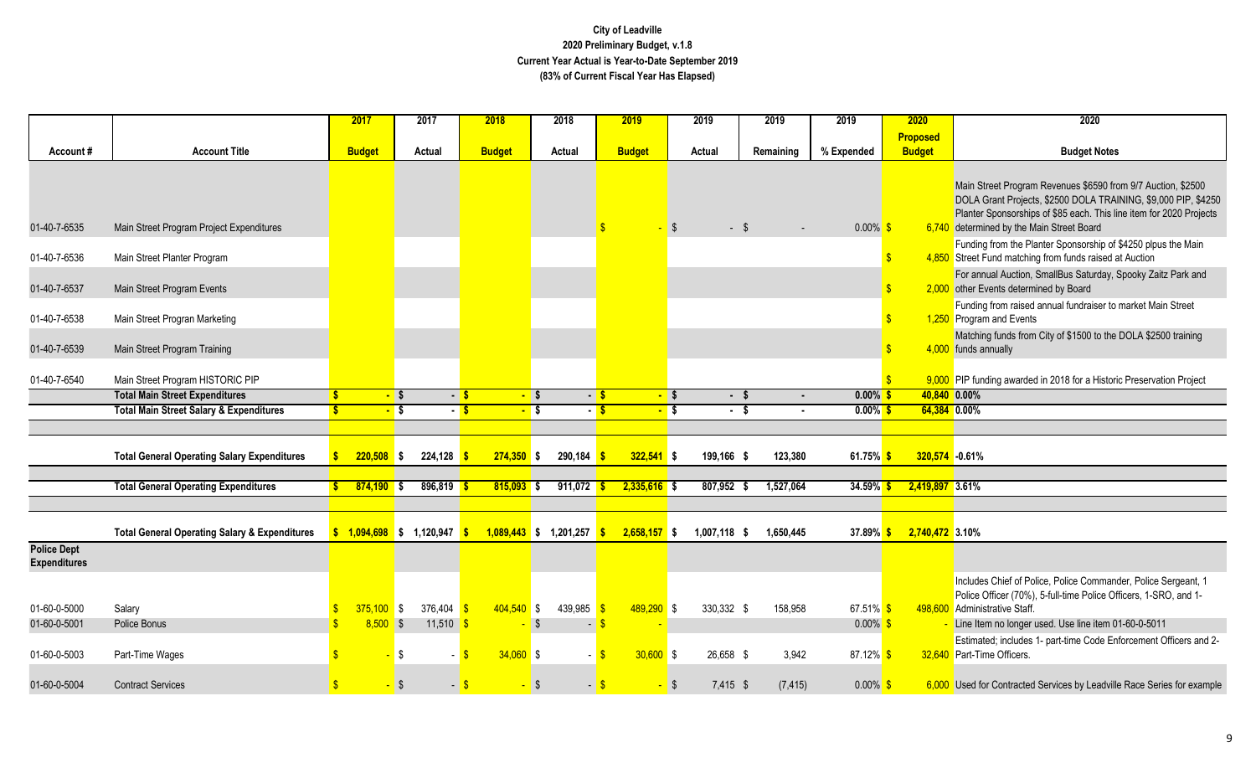|                                           |                                                          | 2017          |        | 2017                         |              | 2018                     | 2018   |                | 2019          |                | 2019           | 2019      |           | 2019                   | 2020                             | 2020                                                                                                                                                                                                                                               |
|-------------------------------------------|----------------------------------------------------------|---------------|--------|------------------------------|--------------|--------------------------|--------|----------------|---------------|----------------|----------------|-----------|-----------|------------------------|----------------------------------|----------------------------------------------------------------------------------------------------------------------------------------------------------------------------------------------------------------------------------------------------|
| Account#                                  | <b>Account Title</b>                                     | <b>Budget</b> |        | Actual                       |              | <b>Budget</b>            | Actual |                | <b>Budget</b> |                | Actual         | Remaining |           | % Expended             | <b>Proposed</b><br><b>Budget</b> | <b>Budget Notes</b>                                                                                                                                                                                                                                |
|                                           |                                                          |               |        |                              |              |                          |        |                |               |                |                |           |           |                        |                                  |                                                                                                                                                                                                                                                    |
| 01-40-7-6535                              | Main Street Program Project Expenditures                 |               |        |                              |              |                          |        |                |               | $-$ \$         | $-$ \$         |           |           | $0.00\%$ \$            |                                  | Main Street Program Revenues \$6590 from 9/7 Auction, \$2500<br>DOLA Grant Projects, \$2500 DOLA TRAINING, \$9,000 PIP, \$4250<br>Planter Sponsorships of \$85 each. This line item for 2020 Projects<br>6,740 determined by the Main Street Board |
| 01-40-7-6536                              | Main Street Planter Program                              |               |        |                              |              |                          |        |                |               |                |                |           |           |                        |                                  | Funding from the Planter Sponsorship of \$4250 plpus the Main<br>4,850 Street Fund matching from funds raised at Auction                                                                                                                           |
| 01-40-7-6537                              | Main Street Program Events                               |               |        |                              |              |                          |        |                |               |                |                |           |           |                        |                                  | For annual Auction, SmallBus Saturday, Spooky Zaitz Park and<br>2,000 other Events determined by Board                                                                                                                                             |
| 01-40-7-6538                              | Main Street Progran Marketing                            |               |        |                              |              |                          |        |                |               |                |                |           |           |                        |                                  | Funding from raised annual fundraiser to market Main Street<br>1,250 Program and Events                                                                                                                                                            |
| 01-40-7-6539                              | Main Street Program Training                             |               |        |                              |              |                          |        |                |               |                |                |           |           |                        |                                  | Matching funds from City of \$1500 to the DOLA \$2500 training<br>4,000 funds annually                                                                                                                                                             |
| 01-40-7-6540                              | Main Street Program HISTORIC PIP                         |               |        |                              |              |                          |        |                |               |                |                |           |           |                        |                                  | 9,000 PIP funding awarded in 2018 for a Historic Preservation Project                                                                                                                                                                              |
|                                           | <b>Total Main Street Expenditures</b>                    |               | $-$ \$ |                              | $-5$         | $-$ \$                   |        | $-5$           |               | $-$ \$         | $-$ \$         |           | $\sim$    | $0.00\%$ \$            |                                  | 40,840 0.00%                                                                                                                                                                                                                                       |
|                                           | <b>Total Main Street Salary &amp; Expenditures</b>       |               | $-$ \$ |                              | $-5$         | $-5$                     |        | $-5$           |               | $-$ \$         | $\cdot$ \$     |           | $\sim$    | $0.00\%$ \$            |                                  | 64,384 0.00%                                                                                                                                                                                                                                       |
|                                           |                                                          |               |        |                              |              |                          |        |                |               |                |                |           |           |                        |                                  |                                                                                                                                                                                                                                                    |
|                                           | <b>Total General Operating Salary Expenditures</b>       | $220,508$ \$  |        | 224,128                      |              | $274,350$ \$             |        | 290,184        |               | $322,541$ \$   | 199,166 \$     |           | 123,380   | 61.75% \$              |                                  | 320,574 -0.61%                                                                                                                                                                                                                                     |
|                                           |                                                          |               |        |                              |              |                          |        |                |               |                |                |           |           |                        |                                  |                                                                                                                                                                                                                                                    |
|                                           | <b>Total General Operating Expenditures</b>              | $874,190$ \$  |        | $896,819$ \$                 |              | $815,093$ \$             |        | 911,072        |               | $2,335,616$ \$ | $807,952$ \$   |           | 1,527,064 | $34.59\%$ \$           |                                  | 2,419,897 3.61%                                                                                                                                                                                                                                    |
|                                           | <b>Total General Operating Salary &amp; Expenditures</b> |               |        | $$1,094,698$ \$ 1,120,947 \$ |              | $1,089,443$ \$ 1,201,257 |        |                |               | $2,658,157$ \$ | $1,007,118$ \$ |           | 1,650,445 | 37.89% \$              |                                  | 2,740,472 3.10%                                                                                                                                                                                                                                    |
| <b>Police Dept</b><br><b>Expenditures</b> |                                                          |               |        |                              |              |                          |        |                |               |                |                |           |           |                        |                                  |                                                                                                                                                                                                                                                    |
| 01-60-0-5000                              | Salary                                                   | $375,100$ \$  |        | 376,404                      | $\mathbf{s}$ | $404,540$ \$             |        | 439,985 \$     |               | $489,290$ \$   | 330,332 \$     |           | 158,958   | 67.51% \$              |                                  | Includes Chief of Police, Police Commander, Police Sergeant, 1<br>Police Officer (70%), 5-full-time Police Officers, 1-SRO, and 1-<br>498,600 Administrative Staff.                                                                                |
| 01-60-0-5001                              | Police Bonus                                             | $8,500$ \$    |        | $11,510$ \$                  |              | $-$ \$                   |        | $\blacksquare$ |               |                |                |           |           | $0.00\%$ \$            |                                  | Line Item no longer used. Use line item 01-60-0-5011                                                                                                                                                                                               |
| 01-60-0-5003                              | Part-Time Wages                                          |               | \$     | - \$                         |              | $34,060$ \$              |        |                |               | $30,600$ \$    | 26,658 \$      |           | 3,942     | 87.12% <mark>\$</mark> |                                  | Estimated; includes 1- part-time Code Enforcement Officers and 2-<br>32,640 Part-Time Officers.                                                                                                                                                    |
| 01-60-0-5004                              | <b>Contract Services</b>                                 |               | - \$   | $-5$                         |              | $-$ \$                   |        | $-$ \$         |               | - \$           | 7,415 \$       |           | (7, 415)  | $0.00\%$ \$            |                                  | 6,000 Used for Contracted Services by Leadville Race Series for example                                                                                                                                                                            |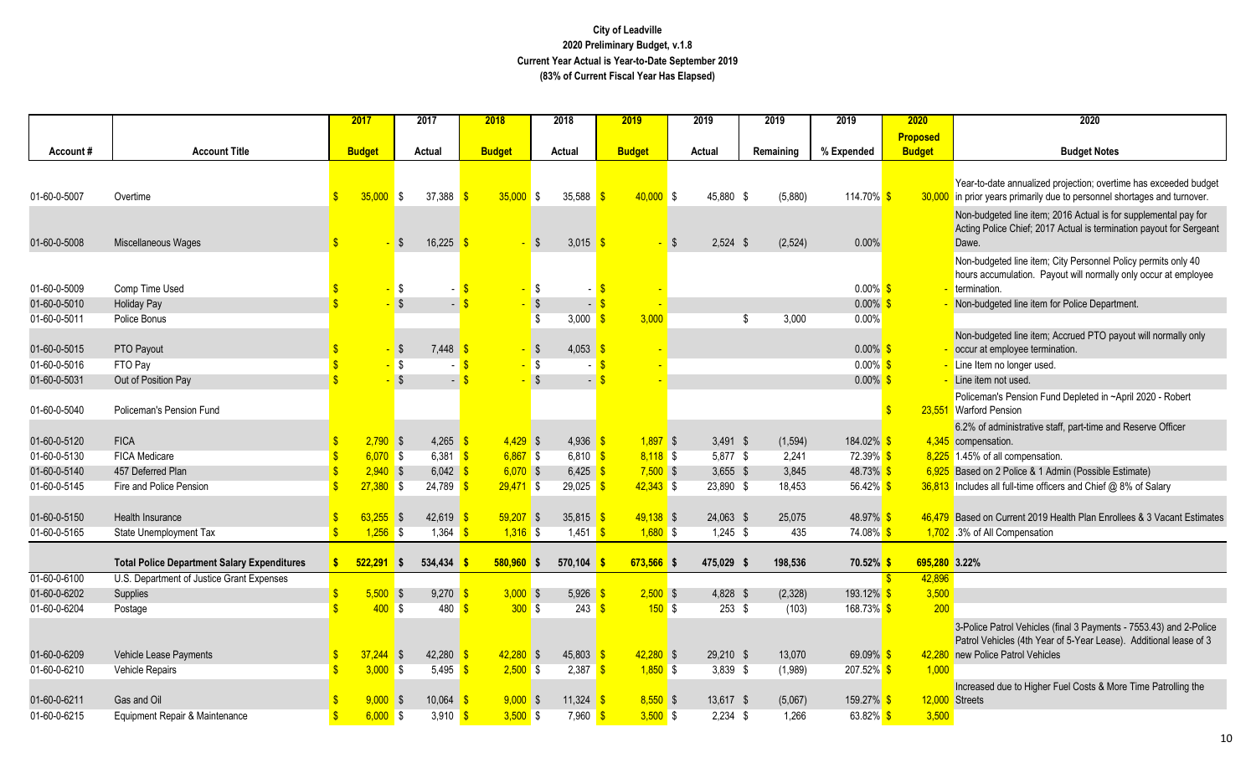|              |                                                    |                    | 2017          |                          | 2017                      | 2018          |                   | 2018                 |                            | 2019          | 2019       | 2019          | 2019                  | 2020            | 2020                                                                                                                                         |
|--------------|----------------------------------------------------|--------------------|---------------|--------------------------|---------------------------|---------------|-------------------|----------------------|----------------------------|---------------|------------|---------------|-----------------------|-----------------|----------------------------------------------------------------------------------------------------------------------------------------------|
|              |                                                    |                    |               |                          |                           |               |                   |                      |                            |               |            |               |                       | <b>Proposed</b> |                                                                                                                                              |
| Account#     | <b>Account Title</b>                               |                    | <b>Budget</b> |                          | Actual                    | <b>Budget</b> |                   | Actual               |                            | <b>Budget</b> | Actual     | Remaining     | % Expended            | <b>Budget</b>   | <b>Budget Notes</b>                                                                                                                          |
|              |                                                    |                    |               |                          |                           |               |                   |                      |                            |               |            |               |                       |                 |                                                                                                                                              |
| 01-60-0-5007 | Overtime                                           | $\mathbf{s}$       | 35,000        | $\blacksquare$           | 37,388                    |               | $35,000$ \$       | 35,588               |                            | $40,000$ \$   | 45,880 \$  | (5,880)       | 114.70% \$            |                 | Year-to-date annualized projection; overtime has exceeded budget<br>30,000 in prior years primarily due to personnel shortages and turnover. |
|              |                                                    |                    |               |                          |                           |               |                   |                      |                            |               |            |               |                       |                 | Non-budgeted line item; 2016 Actual is for supplemental pay for                                                                              |
|              |                                                    |                    |               |                          |                           |               |                   |                      |                            |               |            |               |                       |                 | Acting Police Chief; 2017 Actual is termination payout for Sergeant                                                                          |
| 01-60-0-5008 | Miscellaneous Wages                                |                    |               | l \$                     | 16,225                    |               |                   | 3,015 \$<br>l \$     |                            | - S           | $2,524$ \$ | (2,524)       | 0.00%                 |                 | Dawe.                                                                                                                                        |
|              |                                                    |                    |               |                          |                           |               |                   |                      |                            |               |            |               |                       |                 | Non-budgeted line item; City Personnel Policy permits only 40                                                                                |
| 01-60-0-5009 | Comp Time Used                                     |                    |               | <b>\$</b>                |                           |               |                   | $\sqrt{3}$           |                            |               |            |               | $0.00\%$ \$           |                 | hours accumulation. Payout will normally only occur at employee<br>termination.                                                              |
| 01-60-0-5010 | <b>Holiday Pay</b>                                 |                    |               | $\sqrt{3}$               | $\mathbb{Z}^{\mathbb{Z}}$ |               |                   | $\sqrt{3}$           | $\blacksquare$             |               |            |               | $0.00\%$              |                 | Non-budgeted line item for Police Department.                                                                                                |
| 01-60-0-5011 | Police Bonus                                       |                    |               |                          |                           |               |                   | -\$<br>3,000         |                            | 3,000         |            | 3,000<br>- \$ | 0.00%                 |                 |                                                                                                                                              |
|              |                                                    |                    |               |                          |                           |               |                   |                      |                            |               |            |               |                       |                 | Non-budgeted line item; Accrued PTO payout will normally only                                                                                |
| 01-60-0-5015 | PTO Payout                                         |                    |               | $\sqrt{ }$               | 7,448                     |               | <mark>-</mark> \$ | 4,053 \$             |                            |               |            |               | $0.00\%$ \$           |                 | occur at employee termination.                                                                                                               |
| 01-60-0-5016 | FTO Pay                                            |                    |               | $-$ \$                   |                           |               | <mark>-</mark> \$ |                      |                            |               |            |               | $0.00\%$ \$           |                 | Line Item no longer used.                                                                                                                    |
| 01-60-0-5031 | Out of Position Pay                                |                    |               | $-$ \$                   | $\overline{a}$            |               |                   | $\sqrt{S}$           | $-$ \$                     |               |            |               | $0.00\%$ \$           |                 | Line item not used.                                                                                                                          |
| 01-60-0-5040 | Policeman's Pension Fund                           |                    |               |                          |                           |               |                   |                      |                            |               |            |               |                       |                 | Policeman's Pension Fund Depleted in ~April 2020 - Robert<br>23,551 Warford Pension                                                          |
|              |                                                    |                    |               |                          |                           |               |                   |                      |                            |               |            |               |                       |                 | 6.2% of administrative staff, part-time and Reserve Officer                                                                                  |
| 01-60-0-5120 | <b>FICA</b>                                        | \$                 | $2,790$ \$    |                          | 4,265 $\frac{\ }{5}$      |               | $4,429$ \$        | 4,936 $$$            |                            | $1,897$ \$    | $3,491$ \$ | (1, 594)      | 184.02% \$            |                 | 4,345 compensation.                                                                                                                          |
| 01-60-0-5130 | <b>FICA Medicare</b>                               |                    | $6,070$ \$    |                          | 6,381 $\frac{1}{5}$       |               | $6,867$ \$        | $6,810$ \$           |                            | $8,118$ \$    | 5,877 \$   | 2,241         | 72.39% <sup>S</sup>   |                 | 8,225 1.45% of all compensation.                                                                                                             |
| 01-60-0-5140 | 457 Deferred Plan                                  | \$                 | $2,940$ \$    |                          | 6,042                     |               | $6,070$ \$        | 6,425 \$             |                            | $7,500$ \$    | $3,655$ \$ | 3,845         | 48.73% \$             |                 | 6,925 Based on 2 Police & 1 Admin (Possible Estimate)                                                                                        |
| 01-60-0-5145 | Fire and Police Pension                            |                    | $27,380$ \$   |                          | 24,789                    |               | $29,471$ \$       | $29,025$ \$          |                            | $42,343$ \$   | 23,890 \$  | 18,453        | 56.42% \$             |                 | 36,813 Includes all full-time officers and Chief @ 8% of Salary                                                                              |
| 01-60-0-5150 | Health Insurance                                   |                    | $63,255$ \$   |                          | 42,619                    |               | $59,207$ \$       | $35,815$ \$          |                            | $49,138$ \$   | 24,063 \$  | 25,075        | 48.97% <sup>S</sup>   |                 | 46,479 Based on Current 2019 Health Plan Enrollees & 3 Vacant Estimates                                                                      |
| 01-60-0-5165 | State Unemployment Tax                             | $\mathbf{s}$       | $1,256$ \$    |                          | $1,364$ \$                |               | $1,316$ \$        | 1,451 $\frac{\ }{S}$ |                            | $1,680$ \$    | $1,245$ \$ | 435           | 74.08% <sup>\$</sup>  |                 | 1,702 .3% of All Compensation                                                                                                                |
|              |                                                    |                    |               |                          |                           |               |                   |                      |                            |               |            |               |                       |                 |                                                                                                                                              |
|              | <b>Total Police Department Salary Expenditures</b> | s                  | $522.291$ \$  |                          | 534,434                   |               | $580,960$ \$      | 570,104              |                            | 673,566 \$    | 475,029 \$ | 198.536       | 70.52% \$             |                 | 695,280 3.22%                                                                                                                                |
| 01-60-0-6100 | U.S. Department of Justice Grant Expenses          |                    |               |                          |                           |               |                   |                      |                            |               |            |               |                       | 42,896          |                                                                                                                                              |
| 01-60-0-6202 | Supplies                                           |                    | $5,500$ \$    |                          | 9,270                     |               | $3,000$ \$        | 5,926                |                            | $2,500$ \$    | 4,828 \$   | (2,328)       | 193.12% <sup>\$</sup> | 3,500           |                                                                                                                                              |
| 01-60-0-6204 | Postage                                            |                    | 400S          |                          | 480                       |               | 300S              |                      | $243$ $\sqrt{\frac{6}{5}}$ | 150S          | $253$ \$   | (103)         | 168.73% <sup>\$</sup> | 200             |                                                                                                                                              |
|              |                                                    |                    |               |                          |                           |               |                   |                      |                            |               |            |               |                       |                 | 3-Police Patrol Vehicles (final 3 Payments - 7553.43) and 2-Police                                                                           |
| 01-60-0-6209 | Vehicle Lease Payments                             | \$                 | 37,244        | $\overline{\phantom{a}}$ | 42,280                    |               | $42,280$ \$       | $45,803$ \$          |                            | $42,280$ \$   | 29,210 \$  | 13,070        | $69.09\%$ \$          | 42,280          | Patrol Vehicles (4th Year of 5-Year Lease). Additional lease of 3<br>new Police Patrol Vehicles                                              |
| 01-60-0-6210 | <b>Vehicle Repairs</b>                             |                    | 3,000         | <b>S</b>                 | 5,495                     |               | $2,500$ \$        | $2,387$ \$           |                            | $1,850$ \$    | $3,839$ \$ | (1,989)       | 207.52% <sup>S</sup>  | 1,000           |                                                                                                                                              |
|              |                                                    |                    |               |                          |                           |               |                   |                      |                            |               |            |               |                       |                 | Increased due to Higher Fuel Costs & More Time Patrolling the                                                                                |
| 01-60-0-6211 | Gas and Oil                                        |                    | 9.000         | $\overline{\phantom{a}}$ | 10,064                    |               | $9,000$ \$        | 11,324 $\frac{1}{3}$ |                            | $8,550$ \$    | 13,617 \$  | (5,067)       | 159.27%               |                 | 12,000 Streets                                                                                                                               |
| 01-60-0-6215 | Equipment Repair & Maintenance                     | $\mathbf{\hat{s}}$ | $6,000$ \$    |                          | 3,910                     |               | $3,500$ \$        | $7,960$ \$           |                            | $3,500$ \$    | $2,234$ \$ | 1,266         | 63.82% \$             | 3,500           |                                                                                                                                              |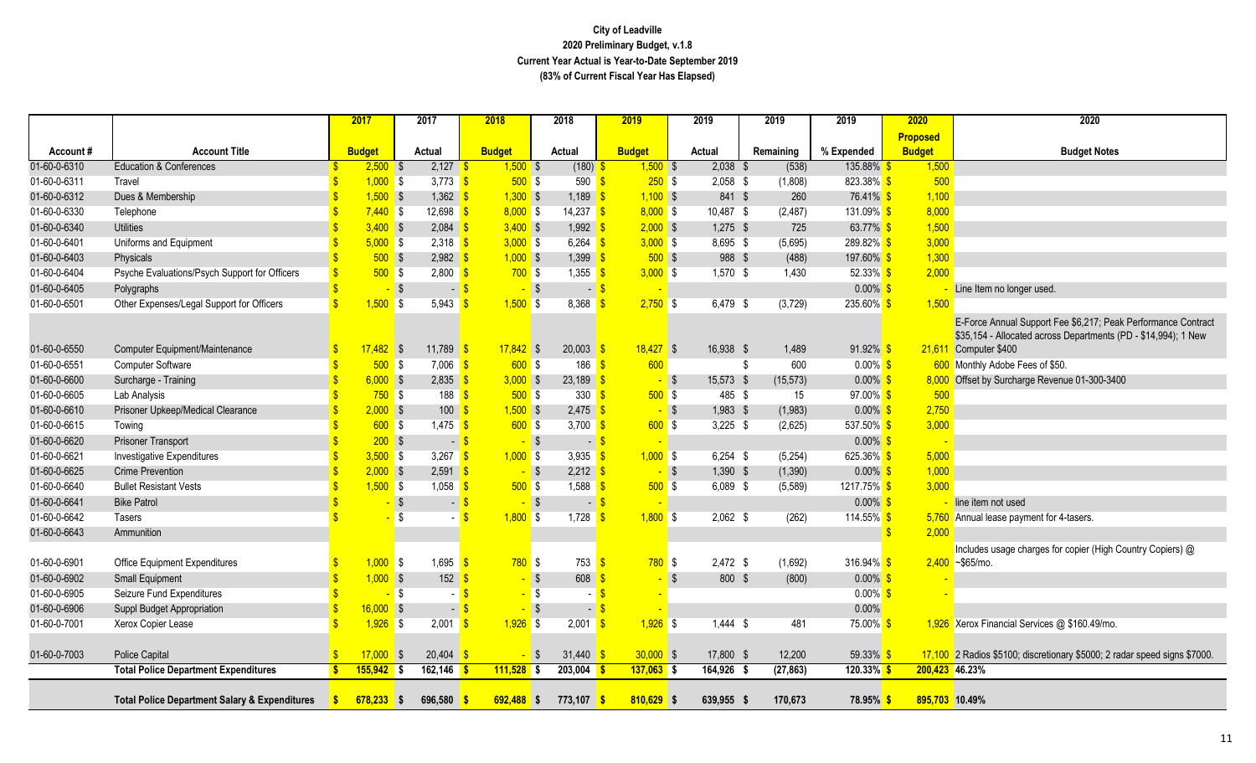|              |                                                          |                    | 2017          |            | 2017                            | 2018                       |        | 2018                              | 2019          |                   | 2019        | 2019      |          | 2019                  | 2020            | 2020                                                                      |
|--------------|----------------------------------------------------------|--------------------|---------------|------------|---------------------------------|----------------------------|--------|-----------------------------------|---------------|-------------------|-------------|-----------|----------|-----------------------|-----------------|---------------------------------------------------------------------------|
|              |                                                          |                    |               |            |                                 |                            |        |                                   |               |                   |             |           |          |                       | <b>Proposed</b> |                                                                           |
| Account#     | <b>Account Title</b>                                     |                    | <b>Budget</b> |            | Actual                          | <b>Budget</b>              |        | Actual                            | <b>Budget</b> |                   | Actual      | Remaining |          | % Expended            | <b>Budget</b>   | <b>Budget Notes</b>                                                       |
| 01-60-0-6310 | Education & Conferences                                  |                    | $2,500$ \$    |            | 2,127                           | $1,500$ \$                 |        | $(180)$ \$                        |               | $1,500$ \$        | $2,038$ \$  |           | (538)    | 135.88% \$            | 1,500           |                                                                           |
| 01-60-0-6311 | Travel                                                   |                    | $1,000$ \$    |            | 3,773<br>l S                    | 500S                       |        | $590$ $\frac{6}{5}$               |               | $250$ \$          | $2,058$ \$  |           | (1,808)  | 823.38% <sup>S</sup>  | 500             |                                                                           |
| 01-60-0-6312 | Dues & Membership                                        |                    | $1,500$ \$    |            | 1,362                           | $1,300$ \$<br>$\mathbf{s}$ |        | $1,189$ \$                        |               | $1,100$ \$        | 841 \$      |           | 260      | 76.41% \$             | 1,100           |                                                                           |
| 01-60-0-6330 | Telephone                                                |                    | $7,440$ \$    |            | 12,698<br>$\sqrt{s}$            | $8,000$ \$                 |        | $14,237$ \$                       |               | $8,000$ \$        | $10,487$ \$ |           | (2, 487) | 131.09% <sup>S</sup>  | 8,000           |                                                                           |
| 01-60-0-6340 | <b>Utilities</b>                                         |                    | $3,400$ \$    |            | 2,084                           | $3,400$ \$                 |        | $1,992$ \$                        |               | $2,000$ \$        | $1,275$ \$  |           | 725      | 63.77% \$             | 1,500           |                                                                           |
| 01-60-0-6401 | Uniforms and Equipment                                   |                    | $5,000$ \$    |            | $2,318$ \$                      | $3,000$ \$                 |        | $6,264$ \$                        |               | $3,000$ \$        | 8,695 \$    |           | (5,695)  | 289.82% <sup>S</sup>  | 3,000           |                                                                           |
| 01-60-0-6403 | Physicals                                                |                    | $500$ \$      |            | 2,982                           | $1,000$ \$                 |        | $1,399$ \$                        |               | $500$ \$          | 988 \$      |           | (488)    | 197.60% <sup>\$</sup> | 1,300           |                                                                           |
| 01-60-0-6404 | Psyche Evaluations/Psych Support for Officers            | $\mathbf{s}$       | $500$ \$      |            | 2,800<br><b>S</b>               | $700$ \$                   |        | $1,355$ \$                        |               | $3,000$ \$        | 1,570 \$    |           | 1,430    | $52.33\%$ \$          | 2,000           |                                                                           |
| 01-60-0-6405 | Polygraphs                                               |                    |               | $-$ \$     | $\blacksquare$                  | $\mathbf{\hat{s}}$         | - \$   | $-$ \$                            |               |                   |             |           |          | $0.00\%$ \$           |                 | Line Item no longer used.                                                 |
| 01-60-0-6501 | Other Expenses/Legal Support for Officers                | $\mathbf{\hat{s}}$ | 1,500         | $\sqrt{3}$ | 5,943<br>$\sqrt{3}$             | $1,500$ \$                 |        | $8,368$ \$                        |               | $2,750$ \$        | 6,479 \$    |           | (3,729)  | 235.60% <sup>S</sup>  | 1,500           |                                                                           |
|              |                                                          |                    |               |            |                                 |                            |        |                                   |               |                   |             |           |          |                       |                 | E-Force Annual Support Fee \$6,217; Peak Performance Contract             |
|              |                                                          |                    |               |            |                                 |                            |        |                                   |               |                   |             |           |          |                       |                 | \$35,154 - Allocated across Departments (PD - \$14,994); 1 New            |
| 01-60-0-6550 | Computer Equipment/Maintenance                           |                    | $17,482$ \$   |            | 11,789 $\frac{1}{5}$            | $17,842$ \$                |        | $20,003$ \$                       | $18,427$ \$   |                   | 16,938 \$   |           | 1,489    | 91.92% \$             |                 | 21,611 Computer \$400                                                     |
| 01-60-0-6551 | <b>Computer Software</b>                                 |                    | 500S          |            | 7,006<br>$\sqrt{3}$             | 600S                       |        | $186$ $\frac{\text{S}}{\text{S}}$ | 600           |                   |             | - \$      | 600      | $0.00\%$ \$           |                 | 600 Monthly Adobe Fees of \$50.                                           |
| 01-60-0-6600 | Surcharge - Training                                     |                    | $6,000$ \$    |            | $2,835$ \$                      | $3,000$ \$                 |        | $23,189$ \$                       |               | $-$ \$            | 15,573 \$   | (15, 573) |          | $0.00\%$ \$           |                 | 8,000 Offset by Surcharge Revenue 01-300-3400                             |
| 01-60-0-6605 | Lab Analysis                                             |                    | 750S          |            | $188$ $\frac{\text{}}{\text{}}$ | $500$ \$                   |        | 330 <sup>o</sup>                  |               | $500$ \$          | 485 \$      |           | 15       | 97.00% \$             | 500             |                                                                           |
| 01-60-0-6610 | Prisoner Upkeep/Medical Clearance                        |                    | $2,000$ \$    |            | 100                             | $1,500$ \$<br>S            |        | $2,475$ \$                        |               | $-$ \$            | 1,983 \$    |           | (1,983)  | $0.00\%$ \$           | 2,750           |                                                                           |
| 01-60-0-6615 | Towing                                                   |                    | 600S          |            | $1,475$ \$                      | $600$ \$                   |        | 3,700 $$$                         |               | $600$ \$          | $3,225$ \$  |           | (2,625)  | 537.50% \$            | 3,000           |                                                                           |
| 01-60-0-6620 | <b>Prisoner Transport</b>                                |                    | $200$ \$      |            | $-$ \$                          |                            | $-$ \$ | $-$ \$                            |               |                   |             |           |          | $0.00\%$ \$           |                 |                                                                           |
| 01-60-0-6621 | <b>Investigative Expenditures</b>                        |                    | $3,500$ \$    |            | 3,267                           | $1,000$ \$<br>$\sqrt{3}$   |        | 3,935 \$                          |               | $1,000$ \$        | $6,254$ \$  |           | (5,254)  | 625.36% \$            | 5,000           |                                                                           |
| 01-60-0-6625 | <b>Crime Prevention</b>                                  |                    | $2,000$ \$    |            | 2,591                           | -\$                        | $-$ \$ | $2,212$ \$                        |               | $-$ \$            | $1,390$ \$  |           | (1, 390) | $0.00\%$ \$           | 1,000           |                                                                           |
| 01-60-0-6640 | <b>Bullet Resistant Vests</b>                            |                    | $1,500$ \$    |            | 1,058                           | $500$ \$<br><b>S</b>       |        | $1,588$ \$                        |               | $500$ \$          | $6,089$ \$  |           | (5,589)  | 1217.75% \$           | 3,000           |                                                                           |
| 01-60-0-6641 | <b>Bike Patrol</b>                                       |                    |               | $\sqrt{3}$ | - 1                             | $\mathbf{s}$               | - \$   | $-$ \$                            |               |                   |             |           |          | $0.00\%$ \$           |                 | line item not used                                                        |
| 01-60-0-6642 | <b>Tasers</b>                                            |                    |               | <b>S</b>   | - S                             | $1,800$ \$                 |        | $1,728$ \$                        |               | $1,800$ \$        | $2,062$ \$  |           | (262)    | 114.55% \$            |                 | 5,760 Annual lease payment for 4-tasers.                                  |
| 01-60-0-6643 | Ammunition                                               |                    |               |            |                                 |                            |        |                                   |               |                   |             |           |          |                       | 2,000           |                                                                           |
|              |                                                          |                    |               |            |                                 |                            |        |                                   |               |                   |             |           |          |                       |                 | Includes usage charges for copier (High Country Copiers) @                |
| 01-60-0-6901 | <b>Office Equipment Expenditures</b>                     |                    | 1,000         | l \$       | 1,695 $\frac{\ }{s}$            | $780$ \$                   |        | $753$ $\frac{6}{5}$               |               | 780S              | $2,472$ \$  |           | (1,692)  | 316.94% \$            |                 | $2,400 - $65$ /mo.                                                        |
| 01-60-0-6902 | <b>Small Equipment</b>                                   |                    | $1,000$ \$    |            | 152                             |                            | $-$ \$ | $608$ \$                          |               | <mark>-</mark> \$ | 800 \$      |           | (800)    | $0.00\%$ \$           |                 |                                                                           |
| 01-60-0-6905 | Seizure Fund Expenditures                                |                    |               | $\sqrt{3}$ | - S                             |                            | $-$ \$ | - \$                              |               |                   |             |           |          | $0.00\%$ \$           |                 |                                                                           |
| 01-60-0-6906 | Suppl Budget Appropriation                               |                    | 16,000        | $\sqrt{3}$ | - 1                             | $\mathbf{s}$               | $-$ \$ | - \$                              |               |                   |             |           |          | 0.00%                 |                 |                                                                           |
| 01-60-0-7001 | Xerox Copier Lease                                       |                    | 1,926         | <b>\$</b>  | 2,001<br>$\sqrt{s}$             | $1,926$ \$                 |        | $2,001$ \$                        |               | $1,926$ \$        | $1,444$ \$  |           | 481      | 75.00% <sup>S</sup>   |                 | 1,926 Xerox Financial Services @ \$160.49/mo.                             |
|              |                                                          |                    |               |            |                                 |                            |        |                                   |               |                   |             |           |          |                       |                 |                                                                           |
| 01-60-0-7003 | Police Capital                                           |                    | 17,000        | <b>S</b>   | 20,404                          |                            | - 5    | 31,440 $\frac{\text{}}{\text{}}$  | $30,000$ \$   |                   | 17,800 \$   |           | 12,200   | $59.33\%$             |                 | 17,100 2 Radios \$5100; discretionary \$5000; 2 radar speed signs \$7000. |
|              | <b>Total Police Department Expenditures</b>              |                    | $155,942$ \$  |            | 162,146                         | $111,528$ \$               |        | 203,004                           | $137,063$ \$  |                   | 164,926 \$  | (27, 863) |          | $120.33\%$ \$         |                 | 200,423 46.23%                                                            |
|              |                                                          |                    |               |            |                                 |                            |        |                                   |               |                   |             |           |          |                       |                 |                                                                           |
|              | <b>Total Police Department Salary &amp; Expenditures</b> |                    | $678,233$ \$  |            | 696,580                         | $692,488$ \$               |        | 773,107 <mark>\$</mark>           | $810,629$ \$  |                   | 639.955 \$  | 170.673   |          | 78.95% \$             |                 | 895,703 10.49%                                                            |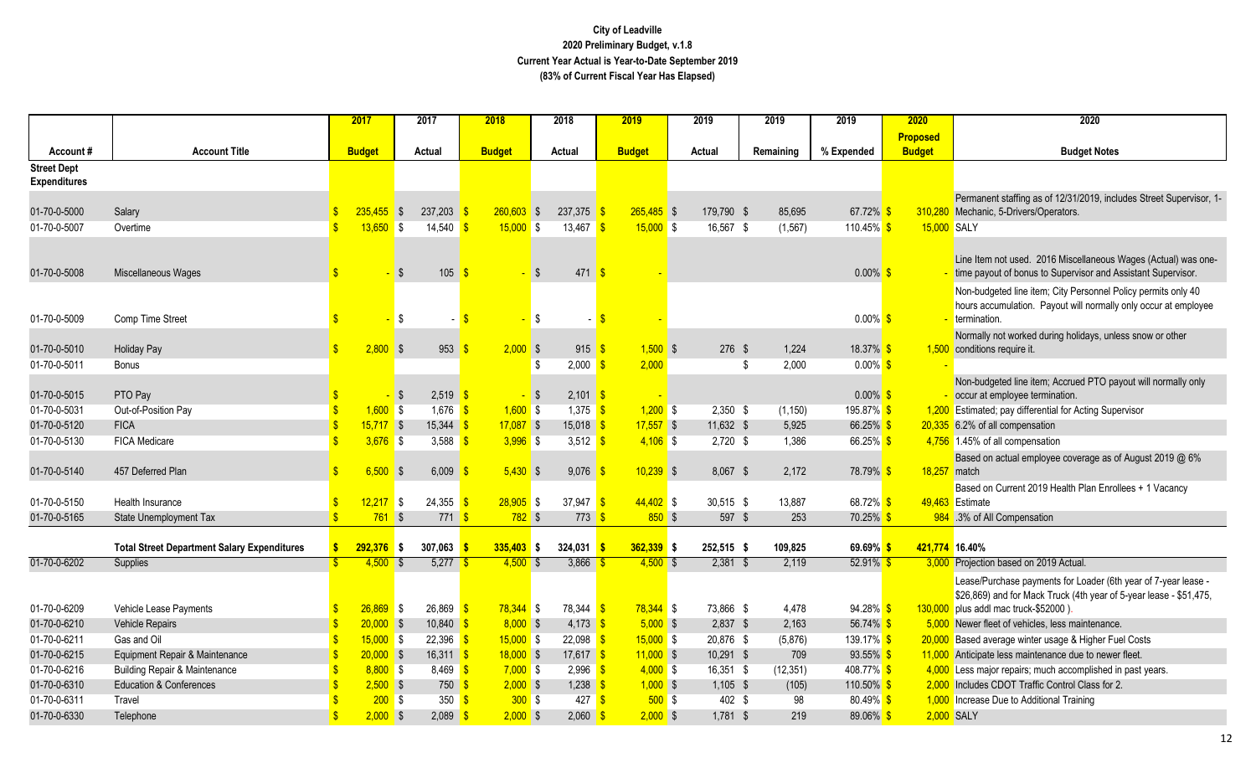|                                           |                                                                            |                         | 2017                      |            | 2017                                                                                                                                                                                                                                                                                                                                                                                                                                                                                                            |           | 2018                      | 2018       |                           | 2019                      | 2019   |                        | 2019      |                    | 2019                                        | 2020            | 2020                                                                                                                 |
|-------------------------------------------|----------------------------------------------------------------------------|-------------------------|---------------------------|------------|-----------------------------------------------------------------------------------------------------------------------------------------------------------------------------------------------------------------------------------------------------------------------------------------------------------------------------------------------------------------------------------------------------------------------------------------------------------------------------------------------------------------|-----------|---------------------------|------------|---------------------------|---------------------------|--------|------------------------|-----------|--------------------|---------------------------------------------|-----------------|----------------------------------------------------------------------------------------------------------------------|
|                                           |                                                                            |                         |                           |            |                                                                                                                                                                                                                                                                                                                                                                                                                                                                                                                 |           |                           |            |                           |                           |        |                        |           |                    |                                             | <b>Proposed</b> |                                                                                                                      |
| Account#                                  | <b>Account Title</b>                                                       |                         | <b>Budget</b>             |            | Actual                                                                                                                                                                                                                                                                                                                                                                                                                                                                                                          |           | <b>Budget</b>             |            | Actual                    | <b>Budget</b>             | Actual |                        | Remaining |                    | % Expended                                  | <b>Budget</b>   | <b>Budget Notes</b>                                                                                                  |
| <b>Street Dept</b><br><b>Expenditures</b> |                                                                            |                         |                           |            |                                                                                                                                                                                                                                                                                                                                                                                                                                                                                                                 |           |                           |            |                           |                           |        |                        |           |                    |                                             |                 |                                                                                                                      |
|                                           |                                                                            |                         |                           |            |                                                                                                                                                                                                                                                                                                                                                                                                                                                                                                                 |           |                           |            |                           |                           |        |                        |           |                    |                                             |                 | Permanent staffing as of 12/31/2019, includes Street Supervisor, 1-                                                  |
| 01-70-0-5000                              | Salary                                                                     |                         | $235.455$ \$              |            | 237,203                                                                                                                                                                                                                                                                                                                                                                                                                                                                                                         |           | $260.603$ \$              |            | $237,375$ \$              | $265,485$ \$              |        | 179,790 \$             |           | 85,695             | 67.72% \$                                   | 310,280         | Mechanic, 5-Drivers/Operators.                                                                                       |
| 01-70-0-5007                              | Overtime                                                                   | $\mathbf{\hat{s}}$      | 13,650                    | $\sqrt{3}$ | 14,540                                                                                                                                                                                                                                                                                                                                                                                                                                                                                                          |           | $15,000$ \$               |            | 13,467 <b>\$</b>          | $15,000$ \$               |        | 16,567 \$              |           | (1, 567)           | 110.45% <sup>S</sup>                        |                 | 15,000 SALY                                                                                                          |
|                                           |                                                                            |                         |                           |            |                                                                                                                                                                                                                                                                                                                                                                                                                                                                                                                 |           |                           |            |                           |                           |        |                        |           |                    |                                             |                 |                                                                                                                      |
|                                           |                                                                            |                         |                           |            |                                                                                                                                                                                                                                                                                                                                                                                                                                                                                                                 |           |                           |            |                           |                           |        |                        |           |                    |                                             |                 | Line Item not used. 2016 Miscellaneous Wages (Actual) was one-                                                       |
| 01-70-0-5008                              | Miscellaneous Wages                                                        | $\mathbf{\hat{s}}$      |                           | l\$        | 105                                                                                                                                                                                                                                                                                                                                                                                                                                                                                                             |           |                           | -\$        | $471$ \$                  |                           |        |                        |           |                    | $0.00\%$ \$                                 |                 | time payout of bonus to Supervisor and Assistant Supervisor.                                                         |
|                                           |                                                                            |                         |                           |            |                                                                                                                                                                                                                                                                                                                                                                                                                                                                                                                 |           |                           |            |                           |                           |        |                        |           |                    |                                             |                 | Non-budgeted line item; City Personnel Policy permits only 40                                                        |
|                                           |                                                                            |                         |                           |            |                                                                                                                                                                                                                                                                                                                                                                                                                                                                                                                 |           |                           |            |                           |                           |        |                        |           |                    |                                             |                 | hours accumulation. Payout will normally only occur at employee                                                      |
| 01-70-0-5009                              | Comp Time Street                                                           | $\mathbf{\hat{s}}$      |                           | <b>\$</b>  | $\blacksquare$                                                                                                                                                                                                                                                                                                                                                                                                                                                                                                  |           |                           | $\sqrt{3}$ | $-5$                      |                           |        |                        |           |                    | $0.00\%$ \$                                 |                 | termination.                                                                                                         |
| 01-70-0-5010                              |                                                                            | $\mathbf{\$}$           | $2,800$ \$                |            | 953                                                                                                                                                                                                                                                                                                                                                                                                                                                                                                             |           | $2,000$ \$                |            | $915 \t S$                | $1,500$ \$                |        | $276$ \$               |           | 1,224              | 18.37% \$                                   |                 | Normally not worked during holidays, unless snow or other<br>1,500 conditions require it.                            |
| 01-70-0-5011                              | <b>Holiday Pay</b><br><b>Bonus</b>                                         |                         |                           |            |                                                                                                                                                                                                                                                                                                                                                                                                                                                                                                                 |           |                           | -S         | $2,000$ \$                | 2,000                     |        |                        | -\$       | 2,000              | $0.00\%$ \$                                 |                 |                                                                                                                      |
|                                           |                                                                            |                         |                           |            |                                                                                                                                                                                                                                                                                                                                                                                                                                                                                                                 |           |                           |            |                           |                           |        |                        |           |                    |                                             |                 | Non-budgeted line item; Accrued PTO payout will normally only                                                        |
| 01-70-0-5015                              | PTO Pay                                                                    |                         |                           | l\$        | $2,519$ \$                                                                                                                                                                                                                                                                                                                                                                                                                                                                                                      |           | - \$                      |            | $2,101$ \$                |                           |        |                        |           |                    | $0.00\%$ \$                                 |                 | occur at employee termination.                                                                                       |
| 01-70-0-5031                              | Out-of-Position Pay                                                        |                         | $1,600$ \$                |            | $1,676$ \$                                                                                                                                                                                                                                                                                                                                                                                                                                                                                                      |           | $1,600$ \$                |            | $1,375$ \$                | $1,200$ \$                |        | $2,350$ \$             |           | (1, 150)           | 195.87% <sup>S</sup>                        |                 | 1,200 Estimated; pay differential for Acting Supervisor                                                              |
| 01-70-0-5120                              | <b>FICA</b>                                                                | $\mathbf{\hat{s}}$      | $15,717$ \$               |            | 15,344                                                                                                                                                                                                                                                                                                                                                                                                                                                                                                          | <u>is</u> | $17,087$ \$               |            | $15,018$ \$               | $17,557$ \$               |        | 11,632 \$              |           | 5,925              | 66.25% \$                                   |                 | 20,335 6.2% of all compensation                                                                                      |
| 01-70-0-5130                              | <b>FICA Medicare</b>                                                       |                         | $3,676$ \$                |            | 3,588                                                                                                                                                                                                                                                                                                                                                                                                                                                                                                           |           | $3,996$ \$                |            | 3,512 $\frac{1}{5}$       | $4,106$ \$                |        | $2,720$ \$             |           | 1,386              | 66.25% \$                                   |                 | 4,756 1.45% of all compensation                                                                                      |
|                                           |                                                                            |                         |                           |            |                                                                                                                                                                                                                                                                                                                                                                                                                                                                                                                 |           |                           |            |                           |                           |        |                        |           |                    |                                             |                 | Based on actual employee coverage as of August 2019 @ 6%                                                             |
| 01-70-0-5140                              | 457 Deferred Plan                                                          | \$                      | 6.500                     | । \$       | 6,009                                                                                                                                                                                                                                                                                                                                                                                                                                                                                                           |           | $5,430$ \$                |            | 9,076                     | $10,239$ \$               |        | 8,067 \$               |           | 2,172              | 78.79% <mark>\$</mark>                      | 18,257          | match                                                                                                                |
|                                           |                                                                            |                         |                           |            |                                                                                                                                                                                                                                                                                                                                                                                                                                                                                                                 |           |                           |            |                           |                           |        |                        |           |                    |                                             |                 | Based on Current 2019 Health Plan Enrollees + 1 Vacancy                                                              |
| 01-70-0-5150                              | Health Insurance                                                           |                         | $12,217$ \$               |            | $24,355$ $\frac{\text{}}{\text{}}\frac{\text{}}{\text{}}\frac{\text{}}{\text{}}\frac{\text{}}{\text{}}\frac{\text{}}{\text{}}\frac{\text{}}{\text{}}\frac{\text{}}{\text{}}\frac{\text{}}{\text{}}\frac{\text{}}{\text{}}\frac{\text{}}{\text{}}\frac{\text{}}{\text{}}\frac{\text{}}{\text{}}\frac{\text{}}{\text{}}\frac{\text{}}{\text{}}\frac{\text{}}{\text{}}\frac{\text{}}{\text{}}\frac{\text{}}{\text{}}\frac{\text{}}{\text{}}\frac{\text{}}{\text{}}\frac{\text{}}{\text{}}\frac{\text{}}{\text{}}\$ |           | $28,905$ \$               |            | 37,947 $\frac{1}{3}$      | $44,402$ \$               |        | 30,515 \$              |           | 13,887             | 68.72% \$                                   |                 | 49,463 Estimate                                                                                                      |
| 01-70-0-5165                              | <b>State Unemployment Tax</b>                                              | \$                      | $761$ \$                  |            | 771S                                                                                                                                                                                                                                                                                                                                                                                                                                                                                                            |           | $782$ \$                  |            | $773$ \$                  | $850$ \$                  |        | 597 \$                 |           | 253                | $70.25\%$ \$                                |                 | 984 .3% of All Compensation                                                                                          |
|                                           | <b>Total Street Department Salary Expenditures</b>                         | S                       | $292,376$ \$              |            | 307.063                                                                                                                                                                                                                                                                                                                                                                                                                                                                                                         |           | $335,403$ \$              |            | $324,031$ \$              | $362,339$ \$              |        | 252,515 \$             |           | 109.825            | $69.69\%$ \$                                |                 | 421,774 16.40%                                                                                                       |
| 01-70-0-6202                              | Supplies                                                                   |                         | $4,500$ \$                |            | $5,277$ \$                                                                                                                                                                                                                                                                                                                                                                                                                                                                                                      |           | $4,500$ \$                |            | 3,866 $$$                 | $4,500$ \$                |        | $2,381$ \$             |           | 2,119              | $52.91\%$ \$                                |                 | 3,000 Projection based on 2019 Actual.                                                                               |
|                                           |                                                                            |                         |                           |            |                                                                                                                                                                                                                                                                                                                                                                                                                                                                                                                 |           |                           |            |                           |                           |        |                        |           |                    |                                             |                 | Lease/Purchase payments for Loader (6th year of 7-year lease -                                                       |
|                                           |                                                                            |                         |                           |            |                                                                                                                                                                                                                                                                                                                                                                                                                                                                                                                 |           |                           |            |                           |                           |        |                        |           |                    |                                             |                 | \$26,869) and for Mack Truck (4th year of 5-year lease - \$51,475,                                                   |
| 01-70-0-6209                              | Vehicle Lease Payments                                                     |                         | $26,869$ \$               |            | $26,869$ $\frac{\text{}}{\text{}}\frac{\text{}}{\text{}}\frac{\text{}}{\text{}}\frac{\text{}}{\text{}}\frac{\text{}}{\text{}}\frac{\text{}}{\text{}}\frac{\text{}}{\text{}}\frac{\text{}}{\text{}}\frac{\text{}}{\text{}}\frac{\text{}}{\text{}}\frac{\text{}}{\text{}}\frac{\text{}}{\text{}}\frac{\text{}}{\text{}}\frac{\text{}}{\text{}}\frac{\text{}}{\text{}}\frac{\text{}}{\text{}}\frac{\text{}}{\text{}}\frac{\text{}}{\text{}}\frac{\text{}}{\text{}}\frac{\text{}}{\text{}}\frac{\text{}}{\text{}}\$ |           | 78,344 \$                 |            | 78,344 \$                 | $78,344$ \$               |        | 73,866 \$              |           | 4,478              | 94.28% \$                                   |                 | 130,000 plus addl mac truck-\$52000).                                                                                |
| 01-70-0-6210                              | Vehicle Repairs                                                            |                         | $20,000$ \$               |            | $10,840$ \$                                                                                                                                                                                                                                                                                                                                                                                                                                                                                                     |           | $8,000$ \$                |            | $4,173$ \$                | $5,000$ \$                |        | $2,837$ \$             |           | 2,163              | 56.74% \$                                   |                 | 5,000 Newer fleet of vehicles, less maintenance.                                                                     |
| 01-70-0-6211                              | Gas and Oil                                                                |                         | $15,000$ \$               |            | $22,396$ \$                                                                                                                                                                                                                                                                                                                                                                                                                                                                                                     |           | $15,000$ \$               |            | $22,098$ \$               | $15,000$ \$               |        | 20,876 \$              |           | (5,876)            | 139.17% \$                                  |                 | 20,000 Based average winter usage & Higher Fuel Costs                                                                |
| 01-70-0-6215<br>01-70-0-6216              | Equipment Repair & Maintenance<br><b>Building Repair &amp; Maintenance</b> | $\mathbf{\hat{s}}$      | $20,000$ \$<br>$8,800$ \$ |            | 16,311 $\frac{1}{5}$<br>$8,469$ \$                                                                                                                                                                                                                                                                                                                                                                                                                                                                              |           | $18,000$ \$<br>$7,000$ \$ |            | $17,617$ \$<br>$2.996$ \$ | $11,000$ \$<br>$4,000$ \$ |        | 10,291 \$<br>16,351 \$ |           | 709                | 93.55% <sup>S</sup><br>408.77% <sup>S</sup> |                 | 11,000 Anticipate less maintenance due to newer fleet.<br>4,000 Less major repairs; much accomplished in past years. |
| 01-70-0-6310                              | <b>Education &amp; Conferences</b>                                         |                         | $2,500$ \$                |            | 750S                                                                                                                                                                                                                                                                                                                                                                                                                                                                                                            |           | $2,000$ \$                |            | $1,238$ \$                | $1,000$ \$                |        | $1,105$ \$             |           | (12, 351)<br>(105) | 110.50% \$                                  |                 | 2,000 Includes CDOT Traffic Control Class for 2.                                                                     |
| 01-70-0-6311                              | Travel                                                                     |                         | 200S                      |            | $350$ $\frac{\text{}}{\text{}}$                                                                                                                                                                                                                                                                                                                                                                                                                                                                                 |           | 300S                      |            | $427$ \$                  | $500$ \$                  |        | 402 \$                 |           | 98                 | $80.49\%$ \$                                |                 | 1,000 Increase Due to Additional Training                                                                            |
| 01-70-0-6330                              | Telephone                                                                  | $\overline{\mathbf{s}}$ | $2,000$ \$                |            | $2,089$ \$                                                                                                                                                                                                                                                                                                                                                                                                                                                                                                      |           | $2,000$ \$                |            | $2,060$ \$                | $2,000$ \$                |        | $1,781$ \$             |           | 219                | 89.06% \$                                   |                 | 2,000 SALY                                                                                                           |
|                                           |                                                                            |                         |                           |            |                                                                                                                                                                                                                                                                                                                                                                                                                                                                                                                 |           |                           |            |                           |                           |        |                        |           |                    |                                             |                 |                                                                                                                      |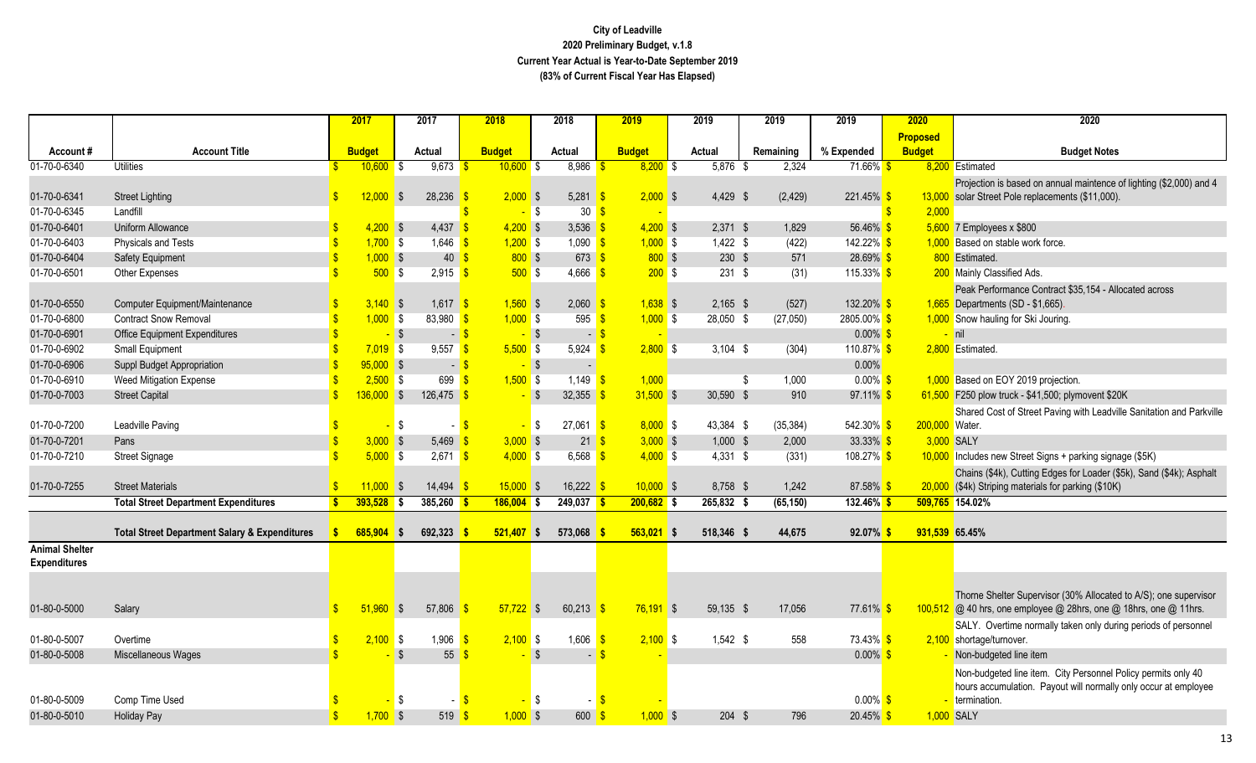|                       |                                                          |               | 2017          | 2017                    |                     | 2018          |                          | 2018                            | 2019              |     | 2019             | 2019        | 2019                  | 2020            | 2020                                                                 |
|-----------------------|----------------------------------------------------------|---------------|---------------|-------------------------|---------------------|---------------|--------------------------|---------------------------------|-------------------|-----|------------------|-------------|-----------------------|-----------------|----------------------------------------------------------------------|
|                       |                                                          |               |               |                         |                     |               |                          |                                 |                   |     |                  |             |                       | <b>Proposed</b> |                                                                      |
| Account#              | <b>Account Title</b>                                     |               | <b>Budget</b> | Actual                  |                     | <b>Budget</b> |                          | Actual                          | <b>Budget</b>     |     | Actual           | Remaining   | % Expended            | <b>Budget</b>   | <b>Budget Notes</b>                                                  |
| 01-70-0-6340          | <b>Utilities</b>                                         |               | $10,600$ \$   | 9,673                   |                     | $10,600$ \$   |                          | 8,986                           | $8,200$ \$        |     | $5,876$ \$       | 2,324       | $71.66\%$ \$          |                 | 8,200 Estimated                                                      |
|                       |                                                          |               |               |                         |                     |               |                          |                                 |                   |     |                  |             |                       |                 | Projection is based on annual maintence of lighting (\$2,000) and 4  |
| 01-70-0-6341          | <b>Street Lighting</b>                                   | $\mathbf{s}$  | 12.000        | $\sqrt{3}$<br>28,236    |                     | $2,000$ \$    |                          | 5,281 $\frac{\ }{5}$            | $2,000$ \$        |     | $4,429$ \$       | (2, 429)    | 221.45% \$            | 13,000          | solar Street Pole replacements (\$11,000).                           |
| 01-70-0-6345          | Landfill                                                 |               |               |                         |                     | $-$ \$        |                          | 30 <sup>8</sup>                 |                   |     |                  |             |                       | 2,000           |                                                                      |
| 01-70-0-6401          | Uniform Allowance                                        |               | $4,200$ \$    | 4,437                   |                     | $4,200$ \$    |                          | $3,536$ \$                      | $4,200$ \$        |     | $2,371$ \$       | 1,829       | 56.46% \$             |                 | $5,600$ 7 Employees x \$800                                          |
| 01-70-0-6403          | <b>Physicals and Tests</b>                               |               | $1,700$ \$    | 1,646                   | -\$                 | $1,200$ \$    |                          | $1,090$ \$                      | $1,000$ \$        |     | $1,422$ \$       | (422)       | 142.22% <sup>S</sup>  |                 | 1,000 Based on stable work force.                                    |
| 01-70-0-6404          | <b>Safety Equipment</b>                                  |               | $1,000$ \$    |                         | 40                  | 800S          |                          | $673$ $\frac{\ }{\ }$           | 800S              |     | 230S             | 571         | 28.69% \$             |                 | 800 Estimated.                                                       |
| 01-70-0-6501          | Other Expenses                                           |               | $500$ \$      |                         | $2,915$ \$          | 500S          |                          | $4,666$ \$                      | 200S              |     | $231$ \$         | (31)        | $115.33\%$ \$         |                 | 200 Mainly Classified Ads.                                           |
|                       |                                                          |               |               |                         |                     |               |                          |                                 |                   |     |                  |             |                       |                 | Peak Performance Contract \$35,154 - Allocated across                |
| 01-70-0-6550          | Computer Equipment/Maintenance                           |               | $3,140$ \$    |                         | $1,617$ \$          | $1,560$ \$    |                          | $2,060$ \$                      | $1,638$ \$        |     | $2,165$ \$       | (527)       | 132.20% <sup>\$</sup> |                 | 1,665 Departments (SD - \$1,665).                                    |
| 01-70-0-6800          | <b>Contract Snow Removal</b>                             |               | $1,000$ \$    | 83,980                  | -\$                 | $1,000$ \$    |                          | 595 $$$                         | $1,000$ \$        |     | 28,050 \$        | (27,050)    | 2805.00% <sup>S</sup> |                 | 1,000 Snow hauling for Ski Jouring.                                  |
| 01-70-0-6901          | <b>Office Equipment Expenditures</b>                     |               | $-$ \$        |                         | $-5$                | $-$ \$        |                          | $-5$                            |                   |     |                  |             | $0.00\%$ \$           |                 | nil                                                                  |
| 01-70-0-6902          | <b>Small Equipment</b>                                   |               | $7,019$ \$    | 9,557                   | -\$                 | $5,500$ \$    |                          | 5,924                           | $2,800$ \$<br>-96 |     | $3,104$ \$       | (304)       | 110.87% <sup>S</sup>  |                 | 2,800 Estimated                                                      |
| 01-70-0-6906          | Suppl Budget Appropriation                               |               | $95,000$ \$   |                         | $-5$                | $-$ \$        |                          |                                 |                   |     |                  |             | 0.00%                 |                 |                                                                      |
| 01-70-0-6910          | <b>Weed Mitigation Expense</b>                           |               | $2,500$ \$    | 699                     | $\sqrt{3}$          | $1,500$ \$    |                          | 1,149 $\frac{1}{5}$             | 1,000             |     |                  | 1,000<br>\$ | $0.00\%$ \$           |                 | 1,000 Based on EOY 2019 projection.                                  |
| 01-70-0-7003          | <b>Street Capital</b>                                    |               | $136,000$ \$  | $126,475$ \$            |                     |               | $\overline{\phantom{a}}$ | 32,355                          | $31,500$ \$       |     | 30,590 \$        | 910         | $97.11\%$ \$          |                 | 61,500 F250 plow truck - \$41,500; plymovent \$20K                   |
|                       |                                                          |               |               |                         |                     |               |                          |                                 |                   |     |                  |             |                       |                 | Shared Cost of Street Paving with Leadville Sanitation and Parkville |
| 01-70-0-7200          | Leadville Paving                                         |               |               | <b>\$</b>               | $-5$                |               | $\blacksquare$           | $27,061$ \$                     | $8,000$ \$        |     | 43,384 \$        | (35, 384)   | $542.30\%$ \$         | 200,000 Water.  |                                                                      |
| 01-70-0-7201          | Pans                                                     |               | 3,000         | $\sqrt[6]{3}$<br>5,469  |                     | $3,000$ \$    |                          | $21 \overline{\sqrt{3}}$        | $3,000$ \$        |     | $1,000$ \$       | 2,000       | 33.33% \$             |                 | 3,000 SALY                                                           |
| 01-70-0-7210          | <b>Street Signage</b>                                    |               | 5,000         | <b>S</b>                | $2,671$ \$          | $4,000$ \$    |                          | 6,568 $\frac{1}{5}$             | $4,000$ \$        |     | $4,331$ \$       | (331)       | 108.27% \$            |                 | 10,000 Includes new Street Signs + parking signage (\$5K)            |
|                       |                                                          |               |               |                         |                     |               |                          |                                 |                   |     |                  |             |                       |                 | Chains (\$4k), Cutting Edges for Loader (\$5k), Sand (\$4k); Asphalt |
| 01-70-0-7255          | <b>Street Materials</b>                                  |               | 11,000        | 14,494<br><b>S</b>      |                     | $15,000$ \$   |                          | 16,222                          | $10,000$ \$       |     | 8,758 \$         | 1,242       | $87.58\%$             |                 | 20,000 (\$4k) Striping materials for parking (\$10K)                 |
|                       | <b>Total Street Department Expenditures</b>              |               | $393,528$ \$  | 385,260                 |                     | $186,004$ \$  |                          | 249,037                         | $200,682$ \$      |     | $265,832$ \$     | (65, 150)   | $132.46\%$ \$         |                 | 509,765 154.02%                                                      |
|                       |                                                          |               |               |                         |                     |               |                          |                                 |                   |     |                  |             |                       |                 |                                                                      |
|                       | <b>Total Street Department Salary &amp; Expenditures</b> |               | 685,904       | 692,323<br>$\mathsf{s}$ |                     | $521,407$ \$  |                          | 573,068                         | 563,021           | ∣\$ | 518,346 \$       | 44,675      | $92.07\%$ \$          | 931,539 65.45%  |                                                                      |
| <b>Animal Shelter</b> |                                                          |               |               |                         |                     |               |                          |                                 |                   |     |                  |             |                       |                 |                                                                      |
| <b>Expenditures</b>   |                                                          |               |               |                         |                     |               |                          |                                 |                   |     |                  |             |                       |                 |                                                                      |
|                       |                                                          |               |               |                         |                     |               |                          |                                 |                   |     |                  |             |                       |                 |                                                                      |
|                       |                                                          |               |               |                         |                     |               |                          |                                 |                   |     |                  |             |                       |                 | Thorne Shelter Supervisor (30% Allocated to A/S); one supervisor     |
| 01-80-0-5000          | Salary                                                   | $\mathbb{S}$  | 51,960        | $\sqrt{3}$<br>57,806    |                     | $57.722$ \$   |                          | 60,213                          | $76,191$ \$       |     | 59,135 \$        | 17,056      | 77.61% <sup>\$</sup>  |                 | 100,512 @ 40 hrs, one employee @ 28hrs, one @ 18hrs, one @ 11hrs.    |
|                       |                                                          |               |               |                         |                     |               |                          |                                 |                   |     |                  |             |                       |                 | SALY. Overtime normally taken only during periods of personnel       |
| 01-80-0-5007          | Overtime                                                 | $\mathbf{s}$  | 2,100         | 1,906<br>l \$           |                     | $2,100$ \$    |                          | 1,606                           | $2,100$ \$<br>-\$ |     | $1,542$ \$       | 558         | 73.43% \$             |                 | 2,100 shortage/turnover.                                             |
| 01-80-0-5008          | Miscellaneous Wages                                      |               |               | $\mathbf{\hat{S}}$      | 55                  |               | -\$                      | $\blacksquare$                  |                   |     |                  |             | $0.00\%$ \$           |                 | Non-budgeted line item                                               |
|                       |                                                          |               |               |                         |                     |               |                          |                                 |                   |     |                  |             |                       |                 | Non-budgeted line item. City Personnel Policy permits only 40        |
|                       |                                                          |               |               |                         |                     |               |                          |                                 |                   |     |                  |             |                       |                 | hours accumulation. Payout will normally only occur at employee      |
| 01-80-0-5009          | Comp Time Used                                           |               |               | \$                      | - <mark>S</mark>    |               | l \$                     |                                 |                   |     |                  |             | $0.00\%$ \$           |                 | termination.                                                         |
| 01-80-0-5010          | <b>Holiday Pay</b>                                       | $\mathbf{\$}$ | $1,700$ \$    |                         | $519$ $\frac{1}{5}$ | $1,000$ \$    |                          | $600 \frac{\text{S}}{\text{S}}$ | $1,000$ \$        |     | $204 \text{ } $$ | 796         | $20.45\%$ \$          | 1,000 SALY      |                                                                      |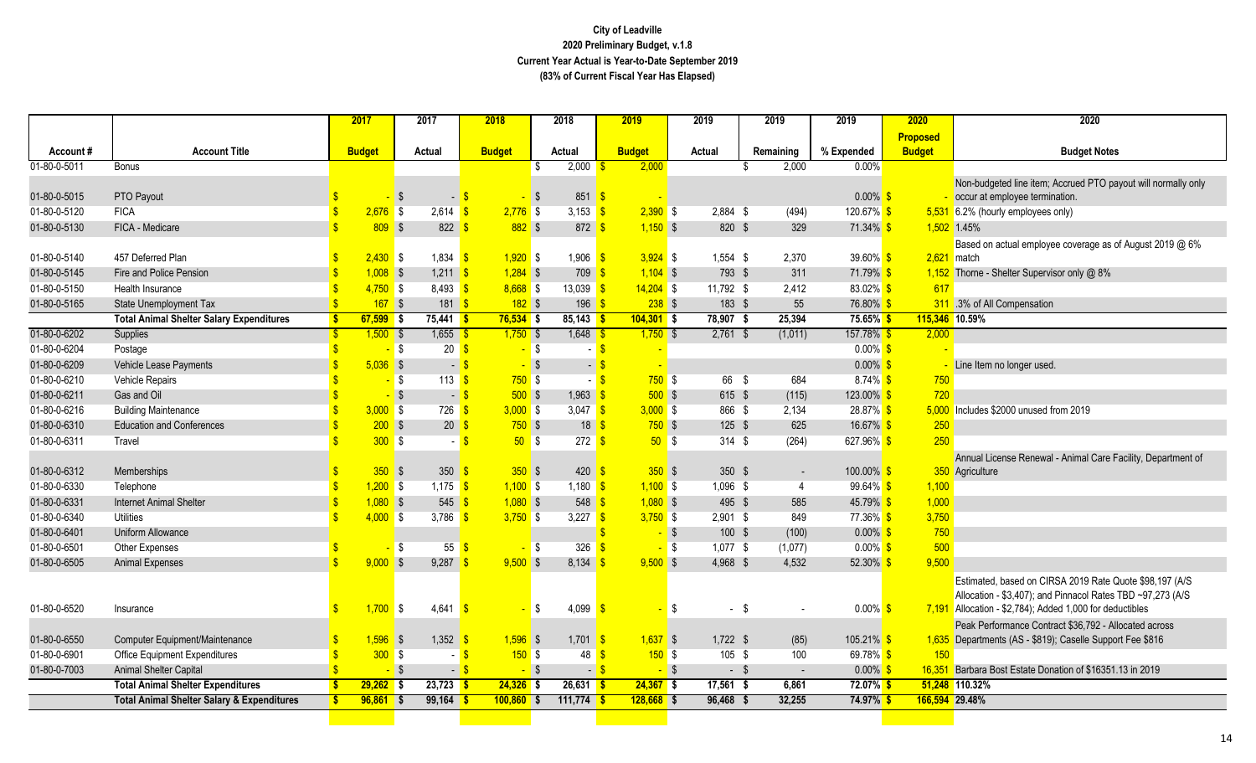|              |                                                       |               | 2017          | 2017                                   | 2018                       | 2018                                      | 2019               | 2019           | 2019           | 2019                  | 2020            | 2020                                                                                                                                                                                |
|--------------|-------------------------------------------------------|---------------|---------------|----------------------------------------|----------------------------|-------------------------------------------|--------------------|----------------|----------------|-----------------------|-----------------|-------------------------------------------------------------------------------------------------------------------------------------------------------------------------------------|
|              |                                                       |               |               |                                        |                            |                                           |                    |                |                |                       | <b>Proposed</b> |                                                                                                                                                                                     |
| Account#     | <b>Account Title</b>                                  |               | <b>Budget</b> | Actual                                 | <b>Budget</b>              | Actual                                    | <b>Budget</b>      | Actual         | Remaining      | % Expended            | <b>Budget</b>   | <b>Budget Notes</b>                                                                                                                                                                 |
| 01-80-0-5011 | <b>Bonus</b>                                          |               |               |                                        |                            | 2,000<br>\$                               | 2,000              |                | 2,000<br>-S    | 0.00%                 |                 |                                                                                                                                                                                     |
|              |                                                       |               |               |                                        |                            |                                           |                    |                |                |                       |                 | Non-budgeted line item; Accrued PTO payout will normally only                                                                                                                       |
| 01-80-0-5015 | PTO Payout                                            |               |               | $\sqrt{3}$<br>$\overline{\phantom{a}}$ |                            | 851<br>$\sqrt{S}$                         | -S                 |                |                | $0.00\%$ \$           |                 | occur at employee termination.                                                                                                                                                      |
| 01-80-0-5120 | <b>FICA</b>                                           |               | 2,676         | $\sqrt{3}$<br>$2,614$ \$               | $2,776$ \$                 | $3,153$ \$                                | $2,390$ \$         | 2,884 \$       | (494)          | 120.67% <sup>\$</sup> |                 | 5,531 6.2% (hourly employees only)                                                                                                                                                  |
| 01-80-0-5130 | FICA - Medicare                                       |               | $809$ \$      | 822                                    | 882S                       | 872                                       | $1,150$ \$         | 820 \$         | 329            | 71.34% \$             |                 | $1,502$ 1.45%                                                                                                                                                                       |
|              |                                                       |               |               |                                        |                            |                                           |                    |                |                |                       |                 | Based on actual employee coverage as of August 2019 @ 6%                                                                                                                            |
| 01-80-0-5140 | 457 Deferred Plan                                     |               | $2,430$ \$    | 1,834 $\frac{\ }{\ }$                  | $1,920$ \$                 | $1,906$ \$                                | $3,924$ \$         | 1,554 \$       | 2,370          | 39.60% \$             |                 | $2,621$ match                                                                                                                                                                       |
| 01-80-0-5145 | <b>Fire and Police Pension</b>                        |               | $1,008$ \$    | 1,211                                  | $1,284$ \$<br>$\mathbf{s}$ | 709                                       | $1,104$ \$         | 793 \$         | 311            | $71.79\%$ \$          |                 | 1,152 Thorne - Shelter Supervisor only @ 8%                                                                                                                                         |
| 01-80-0-5150 | Health Insurance                                      |               | $4,750$ \$    | $8,493$ $\frac{\$}{\$}$                | $8,668$ \$                 | $13,039$ \$                               | $14,204$ \$        | 11,792 \$      | 2,412          | $83.02\%$ \$          | 617             |                                                                                                                                                                                     |
| 01-80-0-5165 | <b>State Unemployment Tax</b>                         |               | 167S          | 181                                    | $182$ \$<br>S              | 196                                       | $238$ \$           | 183 \$         | 55             | 76.80% <sup>S</sup>   |                 | 311 .3% of All Compensation                                                                                                                                                         |
|              | <b>Total Animal Shelter Salary Expenditures</b>       |               | $67,599$ \$   | $75,441$ \$                            | $76,534$ \$                | $85,143$ \$                               | $104,301$ \$       | 78,907 \$      | 25,394         | 75.65% <sup>S</sup>   |                 | 115,346 10.59%                                                                                                                                                                      |
| 01-80-0-6202 | Supplies                                              |               | $1,500$ \$    | $1,655$ \$                             | $1,750$ \$                 | $1,648$ \$                                | $1,750$ \$         | $2,761$ \$     | (1,011)        | $157.78\%$ \$         | 2,000           |                                                                                                                                                                                     |
| 01-80-0-6204 | Postage                                               |               |               | 20<br>l \$                             | $\sqrt{3}$<br>$-$ \$       | - S                                       |                    |                |                | $0.00\%$ \$           |                 |                                                                                                                                                                                     |
| 01-80-0-6209 | Vehicle Lease Payments                                |               | $5,036$ \$    | $\blacksquare$                         | $-$ \$<br>$\mathbf{s}$     | $\blacksquare$                            | $\mathbf{\hat{s}}$ |                |                | $0.00\%$ \$           |                 | Line Item no longer used.                                                                                                                                                           |
| 01-80-0-6210 | Vehicle Repairs                                       |               |               | $\sqrt{3}$<br>113 $\sqrt{s}$           | 750S                       |                                           | $750$ \$           | 66 \$          | 684            | $8.74\%$ \$           | 750             |                                                                                                                                                                                     |
| 01-80-0-6211 | Gas and Oil                                           |               |               | $\sqrt{3}$<br>$\overline{\phantom{a}}$ | $500$ \$<br>$\mathbf{s}$   | 1,963                                     | $500$ \$           | 615 \$         | (115)          | $123.00\%$ \$         | 720             |                                                                                                                                                                                     |
| 01-80-0-6216 | <b>Building Maintenance</b>                           |               | $3,000$ \$    | 726                                    | $\sqrt{3}$<br>$3,000$ \$   | 3,047 $\frac{\epsilon}{2}$                | $3,000$ \$         | 866 \$         | 2,134          | 28.87% <sup>S</sup>   |                 | 5,000 Includes \$2000 unused from 2019                                                                                                                                              |
| 01-80-0-6310 | <b>Education and Conferences</b>                      |               | 200S          | 20 <sub>2</sub>                        | 750S<br>\$.                | 18 <sup>8</sup>                           | $750$ \$           | $125$ \$       | 625            | 16.67% \$             | 250             |                                                                                                                                                                                     |
| 01-80-0-6311 | Travel                                                |               | 300S          | $-5$                                   | 50S                        | $272$ \$                                  | 50S                | 314S           | (264)          | 627.96% \$            | 250             |                                                                                                                                                                                     |
|              |                                                       |               |               |                                        |                            |                                           |                    |                |                |                       |                 | Annual License Renewal - Animal Care Facility, Department of                                                                                                                        |
| 01-80-0-6312 | <b>Memberships</b>                                    |               | 350S          | 350                                    | 350S<br><sup>\$</sup>      | 420                                       | 350S               | 350 \$         | $\sim$         | $100.00\%$ \$         |                 | 350 Agriculture                                                                                                                                                                     |
| 01-80-0-6330 | Telephone                                             |               | $1,200$ \$    | $1,175$ \$                             | $1,100$ \$                 | $1,180$ \$                                | $1,100$ \$         | 1,096 \$       | $\overline{4}$ | $99.64\%$ \$          | 1,100           |                                                                                                                                                                                     |
| 01-80-0-6331 | <b>Internet Animal Shelter</b>                        |               | $1,080$ \$    | 545                                    | $1,080$ \$<br>$\mathbf{s}$ | $548$ $\frac{8}{5}$                       | $1,080$ \$         | 495 \$         | 585            | 45.79% \$             | 1,000           |                                                                                                                                                                                     |
| 01-80-0-6340 | <b>Utilities</b>                                      |               | $4,000$ \$    | 3,786 $$$                              | $3,750$ \$                 | $3,227$ \$                                | $3,750$ \$         | $2,901$ \$     | 849            | $77.36\%$ \$          | 3,750           |                                                                                                                                                                                     |
| 01-80-0-6401 | <b>Uniform Allowance</b>                              |               |               |                                        |                            |                                           | $-$ \$             | $100$ \$       | (100)          | $0.00\%$ \$           | 750             |                                                                                                                                                                                     |
| 01-80-0-6501 | Other Expenses                                        |               |               | 55<br><b>S</b>                         | $\mathbf{s}$               | 326<br>l \$                               | $-$ \$             | $1,077$ \$     | (1,077)        | $0.00\%$ \$           | 500             |                                                                                                                                                                                     |
| 01-80-0-6505 | <b>Animal Expenses</b>                                |               | $9,000$ \$    | 9,287                                  | $9,500$ \$                 | 8,134                                     | $9,500$ \$         | 4,968 \$       | 4,532          | $52.30\%$ \$          | 9,500           |                                                                                                                                                                                     |
| 01-80-0-6520 | Insurance                                             | $\mathbf{\$}$ | $1,700$ \$    | 4,641                                  | $\mathbf{\hat{s}}$         | l \$<br>4,099 $\frac{\epsilon}{\sqrt{3}}$ |                    | $-$ \$<br>- \$ | $\blacksquare$ | $0.00\%$ \$           |                 | Estimated, based on CIRSA 2019 Rate Quote \$98,197 (A/S<br>Allocation - \$3,407); and Pinnacol Rates TBD ~97,273 (A/S<br>$7,191$ Allocation - \$2,784); Added 1,000 for deductibles |
|              |                                                       |               |               |                                        |                            |                                           |                    |                |                |                       |                 | Peak Performance Contract \$36,792 - Allocated across                                                                                                                               |
| 01-80-0-6550 | Computer Equipment/Maintenance                        | $\mathbf{s}$  | $1,596$ \$    | 1,352                                  | $1,596$ \$                 | $1,701$ \$                                | $1,637$ \$         | $1,722$ \$     | (85)           | 105.21% <sup>S</sup>  |                 | 1,635 Departments (AS - \$819); Caselle Support Fee \$816                                                                                                                           |
| 01-80-0-6901 | <b>Office Equipment Expenditures</b>                  |               | 300S          | - <mark>\$</mark>                      | 150S                       | $48 \frac{\text{S}}{\text{S}}$            | 150S               | $105$ \$       | 100            | 69.78% \$             | 150             |                                                                                                                                                                                     |
| 01-80-0-7003 | Animal Shelter Capital                                |               | $-$ \$        | $-5$                                   | $-$ \$                     | $-$ \$                                    | - \$               | - \$           | $\sim$         | $0.00\%$ \$           | 16,351          | Barbara Bost Estate Donation of \$16351.13 in 2019                                                                                                                                  |
|              | <b>Total Animal Shelter Expenditures</b>              |               | $29,262$ \$   | $23,723$ \$                            | $24,326$ \$                | $26.631$ $\sqrt{\frac{5}{}}$              | $24,367$ \$        | $17,561$ \$    | 6.861          | 72.07% <sup>S</sup>   |                 | 51,248 110.32%                                                                                                                                                                      |
|              | <b>Total Animal Shelter Salary &amp; Expenditures</b> |               | $96,861$ \$   | 99,164                                 | $100,860$ \$               | 111,774                                   | $128,668$ \$       | 96,468 \$      | 32,255         | 74.97% <sup>S</sup>   |                 | 166,594 29.48%                                                                                                                                                                      |
|              |                                                       |               |               |                                        |                            |                                           |                    |                |                |                       |                 |                                                                                                                                                                                     |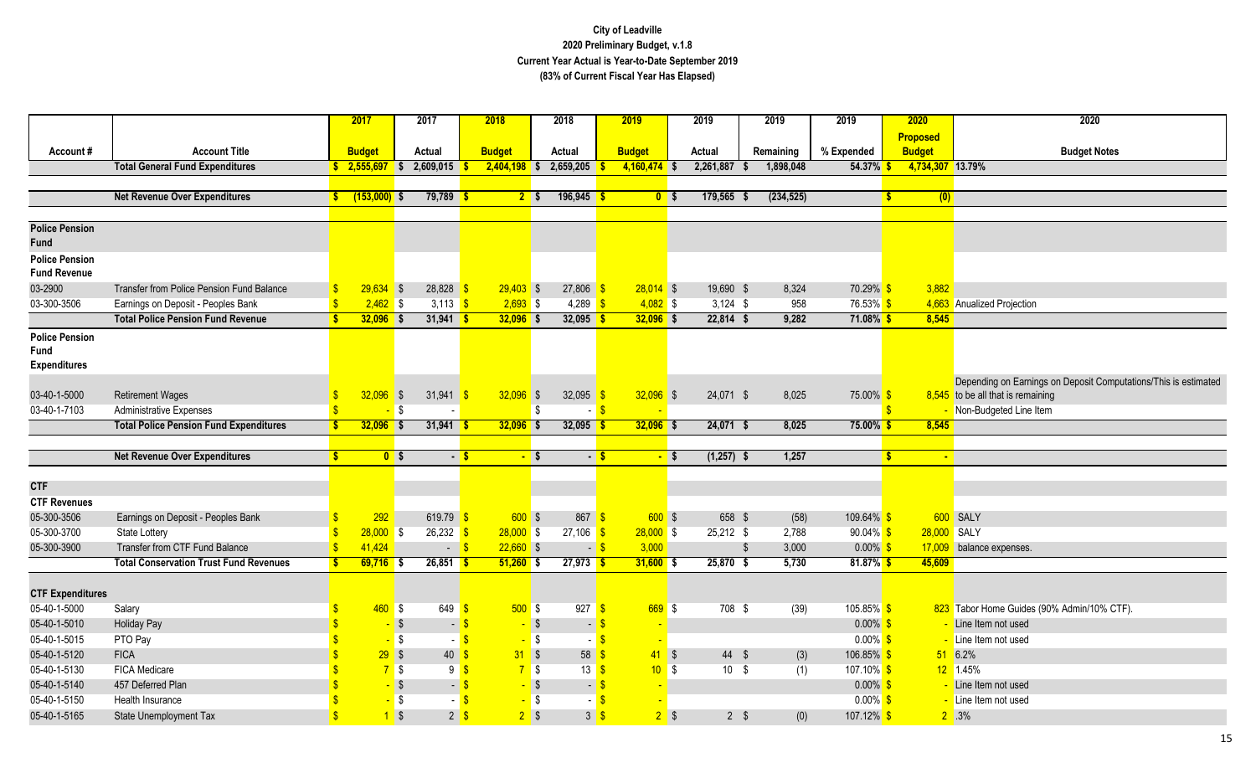|                         |                                                  |                    | 2017           |            | 2017                     | 2018          |                          | 2018                     |                  | 2019                           |        | 2019         | 2019                  | 2019                  |              | 2020             | 2020                                                            |
|-------------------------|--------------------------------------------------|--------------------|----------------|------------|--------------------------|---------------|--------------------------|--------------------------|------------------|--------------------------------|--------|--------------|-----------------------|-----------------------|--------------|------------------|-----------------------------------------------------------------|
|                         |                                                  |                    |                |            |                          |               |                          |                          |                  |                                |        |              |                       |                       |              | <b>Proposed</b>  |                                                                 |
| Account#                | <b>Account Title</b>                             |                    | <b>Budget</b>  |            | Actual                   | <b>Budget</b> |                          | Actual                   |                  | <b>Budget</b>                  |        | Actual       | Remaining             | % Expended            |              | <b>Budget</b>    | <b>Budget Notes</b>                                             |
|                         | <b>Total General Fund Expenditures</b>           |                    | 2,555,697      | l S        | 2,609,015                | 2,404,198     |                          | 2,659,205<br>l S         |                  | $4,160,474$ \$                 |        | 2,261,887    | 1,898,048             | 54.37%                |              | 4,734,307 13.79% |                                                                 |
|                         | <b>Net Revenue Over Expenditures</b>             |                    | $(153,000)$ \$ |            | $79,789$ \$              |               | 2 <sup>5</sup>           | $196,945$ \$             |                  | 0 <sup>5</sup>                 |        | 179,565 \$   | (234, 525)            |                       | $\mathbf{s}$ |                  |                                                                 |
|                         |                                                  |                    |                |            |                          |               |                          |                          |                  |                                |        |              |                       |                       |              | (0)              |                                                                 |
| <b>Police Pension</b>   |                                                  |                    |                |            |                          |               |                          |                          |                  |                                |        |              |                       |                       |              |                  |                                                                 |
| Fund                    |                                                  |                    |                |            |                          |               |                          |                          |                  |                                |        |              |                       |                       |              |                  |                                                                 |
| <b>Police Pension</b>   |                                                  |                    |                |            |                          |               |                          |                          |                  |                                |        |              |                       |                       |              |                  |                                                                 |
| <b>Fund Revenue</b>     |                                                  |                    |                |            |                          |               |                          |                          |                  |                                |        |              |                       |                       |              |                  |                                                                 |
| 03-2900                 | <b>Transfer from Police Pension Fund Balance</b> |                    | $29,634$ \$    |            | $28,828$ \$              |               | $29,403$ \$              | $27,806$ \$              |                  | $28,014$ \$                    |        | 19,690 \$    | 8,324                 | 70.29% <sup>S</sup>   |              | 3,882            |                                                                 |
| 03-300-3506             | Earnings on Deposit - Peoples Bank               | $\mathbf{\hat{s}}$ | $2,462$ \$     |            | 3,113 $\sqrt{s}$         |               | $2,693$ \$               | 4,289 $\frac{1}{5}$      |                  | $4,082$ \$                     |        | $3,124$ \$   | 958                   | 76.53% \$             |              |                  | 4,663 Anualized Projection                                      |
|                         | <b>Total Police Pension Fund Revenue</b>         | S                  | $32,096$ \$    |            | $31,941$ \$              |               | $32,096$ \$              | $32,095$ \$              |                  | $32,096$ \$                    |        | $22,814$ \$  | 9,282                 | $71.08\%$ \$          |              | 8,545            |                                                                 |
| <b>Police Pension</b>   |                                                  |                    |                |            |                          |               |                          |                          |                  |                                |        |              |                       |                       |              |                  |                                                                 |
| <b>Fund</b>             |                                                  |                    |                |            |                          |               |                          |                          |                  |                                |        |              |                       |                       |              |                  |                                                                 |
| <b>Expenditures</b>     |                                                  |                    |                |            |                          |               |                          |                          |                  |                                |        |              |                       |                       |              |                  |                                                                 |
|                         |                                                  |                    |                |            |                          |               |                          |                          |                  |                                |        |              |                       |                       |              |                  | Depending on Earnings on Deposit Computations/This is estimated |
| 03-40-1-5000            | <b>Retirement Wages</b>                          |                    | 32,096         | $\sqrt{3}$ | 31,941                   | - \$          | $32,096$ \$              | 32,095                   |                  | $32,096$ \$                    |        | 24,071 \$    | 8,025                 | 75.00%                |              |                  | $8,545$ to be all that is remaining                             |
| 03-40-1-7103            | <b>Administrative Expenses</b>                   |                    |                | l \$       | $\sim$                   |               |                          | - \$                     | - 8              |                                |        |              |                       |                       |              |                  | - Non-Budgeted Line Item                                        |
|                         | <b>Total Police Pension Fund Expenditures</b>    |                    | $32,096$ \$    |            | $31,941$ \$              |               | $32,096$ \$              | 32,095                   |                  | $32,096$ \$                    |        | 24,071 \$    | 8,025                 | $75.00\%$ \$          |              | 8,545            |                                                                 |
|                         | <b>Net Revenue Over Expenditures</b>             |                    | 0 <sup>5</sup> |            | $-5$                     |               | $-$ \$                   |                          | $-5$             |                                | $-$ \$ | $(1,257)$ \$ | 1,257                 |                       | $\mathbf{s}$ | $\blacksquare$   |                                                                 |
|                         |                                                  |                    |                |            |                          |               |                          |                          |                  |                                |        |              |                       |                       |              |                  |                                                                 |
| <b>CTF</b>              |                                                  |                    |                |            |                          |               |                          |                          |                  |                                |        |              |                       |                       |              |                  |                                                                 |
| <b>CTF Revenues</b>     |                                                  |                    |                |            |                          |               |                          |                          |                  |                                |        |              |                       |                       |              |                  |                                                                 |
| 05-300-3506             | Earnings on Deposit - Peoples Bank               |                    | 292            |            | 619.79 \$                |               | $600$ \$                 | $867$ \$                 |                  | $600$ \$                       |        | 658 \$       | (58)                  | 109.64% \$            |              |                  | 600 SALY                                                        |
| 05-300-3700             | <b>State Lottery</b>                             |                    | $28,000$ \$    |            | $26,232$ \$              |               | $28,000$ \$              | $27,106$ \$              |                  | $28,000$ \$                    |        | 25,212 \$    | 2,788                 | $90.04\%$ \$          |              | 28,000 SALY      |                                                                 |
| 05-300-3900             | Transfer from CTF Fund Balance                   | $\mathbf{\hat{s}}$ | 41,424         |            | $-$ \$                   |               | $22,660$ \$              |                          | $-5$             | 3,000                          |        |              | 3,000<br>$\mathbf{f}$ | $0.00\%$ \$           |              |                  | 17,009 balance expenses.                                        |
|                         | <b>Total Conservation Trust Fund Revenues</b>    |                    | $69,716$ \$    |            | $26,851$ \$              |               | $51,260$ \$              | $27,973$ \$              |                  | $31,600$ \$                    |        | $25,870$ \$  | 5,730                 | $81.87\%$ \$          |              | 45,609           |                                                                 |
|                         |                                                  |                    |                |            |                          |               |                          |                          |                  |                                |        |              |                       |                       |              |                  |                                                                 |
| <b>CTF Expenditures</b> |                                                  |                    |                |            |                          |               |                          |                          |                  |                                |        |              |                       |                       |              |                  |                                                                 |
| 05-40-1-5000            | Salary                                           |                    | $460$ \$       |            | 649                      | $\mathbf{s}$  | $500$ \$                 | $927$ \$                 |                  | 669S                           |        | 708 \$       | (39)                  | $105.85\%$ \$         |              |                  | 823 Tabor Home Guides (90% Admin/10% CTF)                       |
| 05-40-1-5010            | <b>Holiday Pay</b>                               |                    |                | $-$ \$     | $-$ \$                   |               | - \$                     | $\blacksquare$           |                  |                                |        |              |                       | $0.00\%$ \$           |              |                  | Line Item not used                                              |
| 05-40-1-5015            | PTO Pay                                          |                    |                | $-5$       | - S                      |               | - \$                     |                          | - <mark>S</mark> |                                |        |              |                       | $0.00\%$ \$           |              |                  | Line Item not used                                              |
| 05-40-1-5120            | <b>FICA</b>                                      |                    | 29S            |            | $40 \overline{\text{S}}$ |               | 31S                      | 58 <sup>8</sup>          |                  | $41 \overline{\phantom{a}}$ \$ |        | 44 \$        | (3)                   | 106.85% <sup>S</sup>  |              |                  | 51 6.2%                                                         |
| 05-40-1-5130            | <b>FICA Medicare</b>                             |                    | 75             |            | 9 <mark>S</mark>         |               | 75                       | $13 \overline{\text{S}}$ |                  | $10^{6}$ \$                    |        | $10 \quad$   | (1)                   | 107.10% <sup>S</sup>  |              |                  | 12 1.45%                                                        |
| 05-40-1-5140            | 457 Deferred Plan                                |                    |                | $-$ \$     | - \$                     |               | $-$ \$                   |                          | - \$             |                                |        |              |                       | $0.00\%$ \$           |              |                  | Line Item not used                                              |
| 05-40-1-5150            | Health Insurance                                 |                    |                | $-$ \$     | - \$                     |               | $-$ \$<br>2 <sup>5</sup> |                          | $3\sqrt{3}$      |                                |        |              |                       | $0.00\%$ \$           |              |                  | Line Item not used                                              |
| 05-40-1-5165            | <b>State Unemployment Tax</b>                    |                    |                | $\sqrt$    | 2 <sup>5</sup>           |               |                          |                          |                  | 2 <sup>5</sup>                 |        | $2 \sqrt{3}$ | (0)                   | 107.12% <sup>\$</sup> |              |                  | $2^{\circ}$ .3%                                                 |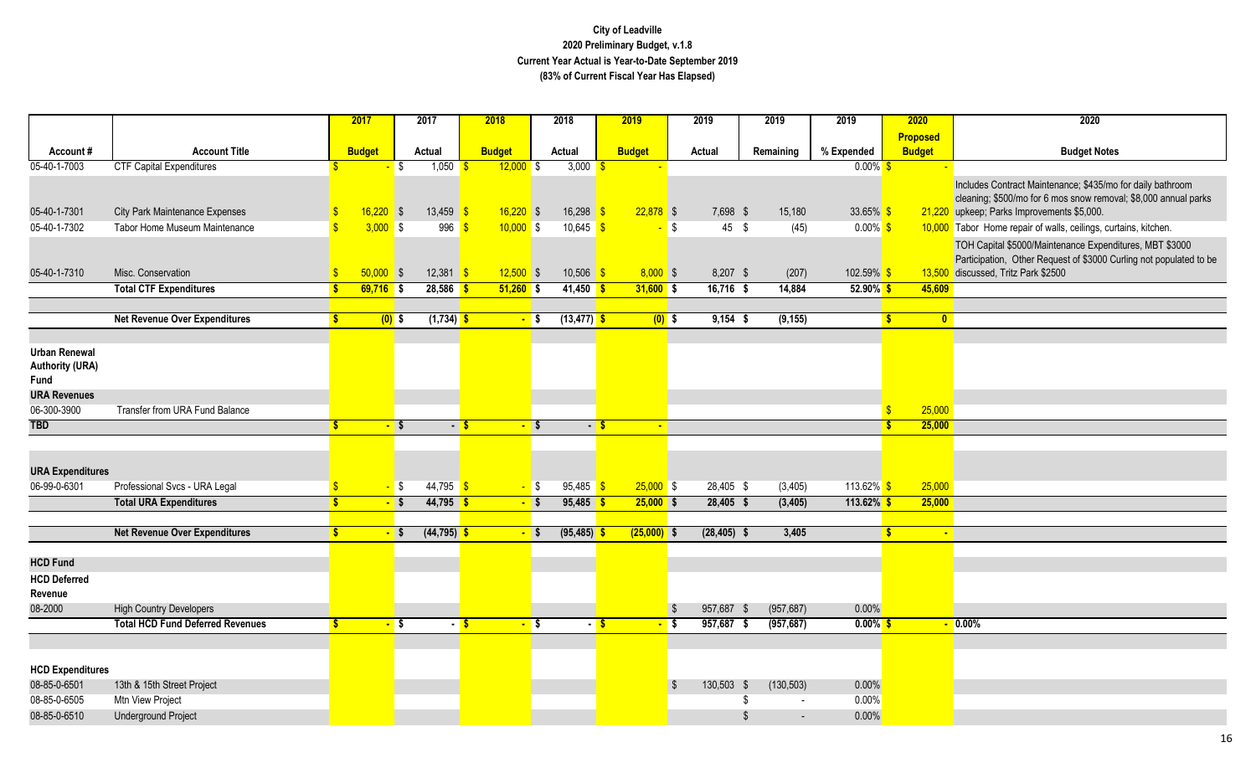|                                |                                         | 2017                                  | 2017                      | 2018                              | 2018                     | 2019               | 2019                     | 2019                           | 2019                 | 2020            | 2020                                                                                                      |
|--------------------------------|-----------------------------------------|---------------------------------------|---------------------------|-----------------------------------|--------------------------|--------------------|--------------------------|--------------------------------|----------------------|-----------------|-----------------------------------------------------------------------------------------------------------|
|                                |                                         |                                       |                           |                                   |                          |                    |                          |                                |                      | <b>Proposed</b> |                                                                                                           |
| Account#                       | <b>Account Title</b>                    | <b>Budget</b>                         | Actual                    | <b>Budget</b>                     | Actual                   | <b>Budget</b>      | Actual                   | Remaining                      | % Expended           | <b>Budget</b>   | <b>Budget Notes</b>                                                                                       |
| 05-40-1-7003                   | <b>CTF Capital Expenditures</b>         |                                       | 1,050<br>l \$             | $12,000$ \$                       | 3,000                    |                    |                          |                                | $0.00\%$             |                 |                                                                                                           |
|                                |                                         |                                       |                           |                                   |                          |                    |                          |                                |                      |                 | Includes Contract Maintenance; \$435/mo for daily bathroom                                                |
|                                |                                         |                                       |                           |                                   |                          |                    |                          |                                |                      |                 | cleaning; \$500/mo for 6 mos snow removal; \$8,000 annual parks                                           |
| 05-40-1-7301                   | <b>City Park Maintenance Expenses</b>   | $16,220$ \$                           | 13,459                    | $16,220$ \$<br>-S                 | 16,298                   | $22,878$ \$<br>-\$ | 7,698 \$                 | 15,180                         | 33.65% \$            |                 | 21,220 upkeep; Parks Improvements \$5,000.                                                                |
| 05-40-1-7302                   | Tabor Home Museum Maintenance           | $\overline{\mathbf{s}}$<br>$3,000$ \$ | 996                       | $10,000$ \$<br>$\mathbf{\hat{s}}$ | 10,645 \$                |                    | <b>S</b><br>$45 \quad$   | (45)                           | $0.00\%$ \$          |                 | 10,000 Tabor Home repair of walls, ceilings, curtains, kitchen.                                           |
|                                |                                         |                                       |                           |                                   |                          |                    |                          |                                |                      |                 | TOH Capital \$5000/Maintenance Expenditures, MBT \$3000                                                   |
| 05-40-1-7310                   | Misc. Conservation                      | $50,000$ \$                           | 12,381                    | $12,500$ \$<br>$\mathbf{s}$       | $10,506$ \$              | $8,000$ \$         | 8,207 \$                 |                                | 102.59% <sup>S</sup> |                 | Participation, Other Request of \$3000 Curling not populated to be<br>13,500 discussed, Tritz Park \$2500 |
|                                | <b>Total CTF Expenditures</b>           | $69,716$ \$                           | 28,586                    | $51,260$ \$<br><u>is</u>          | $41,450$ \$              | $31,600$ \$        | $16,716$ \$              | (207)<br>14,884                | $52.90\%$ \$         | 45,609          |                                                                                                           |
|                                |                                         |                                       |                           |                                   |                          |                    |                          |                                |                      |                 |                                                                                                           |
|                                | <b>Net Revenue Over Expenditures</b>    |                                       | $(1, 734)$ \$<br>$(0)$ \$ |                                   | $(13, 477)$ \$<br>$-$ \$ | $(0)$ \$           | $9,154$ \$               | (9, 155)                       |                      | $\mathbf{0}$    |                                                                                                           |
|                                |                                         |                                       |                           |                                   |                          |                    |                          |                                |                      |                 |                                                                                                           |
| <b>Urban Renewal</b>           |                                         |                                       |                           |                                   |                          |                    |                          |                                |                      |                 |                                                                                                           |
| <b>Authority (URA)</b>         |                                         |                                       |                           |                                   |                          |                    |                          |                                |                      |                 |                                                                                                           |
| Fund                           |                                         |                                       |                           |                                   |                          |                    |                          |                                |                      |                 |                                                                                                           |
| <b>URA Revenues</b>            |                                         |                                       |                           |                                   |                          |                    |                          |                                |                      |                 |                                                                                                           |
| 06-300-3900                    | Transfer from URA Fund Balance          |                                       |                           |                                   |                          |                    |                          |                                |                      | 25,000          |                                                                                                           |
| <b>TBD</b>                     |                                         |                                       | - \$                      | - \$                              | $-$ s                    | - S<br>$\sim$      |                          |                                |                      | 25,000          |                                                                                                           |
|                                |                                         |                                       |                           |                                   |                          |                    |                          |                                |                      |                 |                                                                                                           |
|                                |                                         |                                       |                           |                                   |                          |                    |                          |                                |                      |                 |                                                                                                           |
| <b>URA Expenditures</b>        |                                         |                                       |                           |                                   |                          |                    |                          |                                |                      |                 |                                                                                                           |
| 06-99-0-6301                   | Professional Svcs - URA Legal           |                                       | $44,795$ \$<br>$-$ \$     |                                   | $-$ \$<br>$95,485$ \$    | $25,000$ \$        | 28,405 \$                | (3, 405)                       | 113.62% \$           | 25,000          |                                                                                                           |
|                                | <b>Total URA Expenditures</b>           |                                       | $44,795$ \$<br>$-$ \$     |                                   | $95,485$ \$<br>$-$ \$    | $25,000$ \$        | $28,405$ \$              | (3, 405)                       | $113.62\%$ \$        | 25,000          |                                                                                                           |
|                                |                                         |                                       |                           |                                   |                          |                    |                          |                                |                      |                 |                                                                                                           |
|                                | <b>Net Revenue Over Expenditures</b>    |                                       | $(44, 795)$ \$<br>$-$ \$  |                                   | $(95, 485)$ \$<br>$-$ \$ | $(25,000)$ \$      | $(28, 405)$ \$           | 3,405                          |                      | $\sim$          |                                                                                                           |
| <b>HCD Fund</b>                |                                         |                                       |                           |                                   |                          |                    |                          |                                |                      |                 |                                                                                                           |
|                                |                                         |                                       |                           |                                   |                          |                    |                          |                                |                      |                 |                                                                                                           |
| <b>HCD Deferred</b><br>Revenue |                                         |                                       |                           |                                   |                          |                    |                          |                                |                      |                 |                                                                                                           |
| 08-2000                        | <b>High Country Developers</b>          |                                       |                           |                                   |                          |                    | $\sqrt[6]{3}$<br>957,687 | (957, 687)<br><b>S</b>         | 0.00%                |                 |                                                                                                           |
|                                | <b>Total HCD Fund Deferred Revenues</b> | $\mathbf{s}$                          | - \$                      | $-5$                              | $-$ \$                   | $-5$<br>- \$       | $957,687$ \$             | (957, 687)                     | $0.00\%$ \$          |                 | $\sqrt{0.00\%}$                                                                                           |
|                                |                                         |                                       |                           |                                   |                          |                    |                          |                                |                      |                 |                                                                                                           |
|                                |                                         |                                       |                           |                                   |                          |                    |                          |                                |                      |                 |                                                                                                           |
| <b>HCD Expenditures</b>        |                                         |                                       |                           |                                   |                          |                    |                          |                                |                      |                 |                                                                                                           |
| 08-85-0-6501                   | 13th & 15th Street Project              |                                       |                           |                                   |                          |                    | 130,503<br>- \$          | (130, 503)<br>- \$             | 0.00%                |                 |                                                                                                           |
| 08-85-0-6505                   | Mtn View Project                        |                                       |                           |                                   |                          |                    |                          |                                | 0.00%                |                 |                                                                                                           |
| 08-85-0-6510                   | <b>Underground Project</b>              |                                       |                           |                                   |                          |                    |                          | \$<br>$\overline{\phantom{a}}$ | 0.00%                |                 |                                                                                                           |
|                                |                                         |                                       |                           |                                   |                          |                    |                          |                                |                      |                 |                                                                                                           |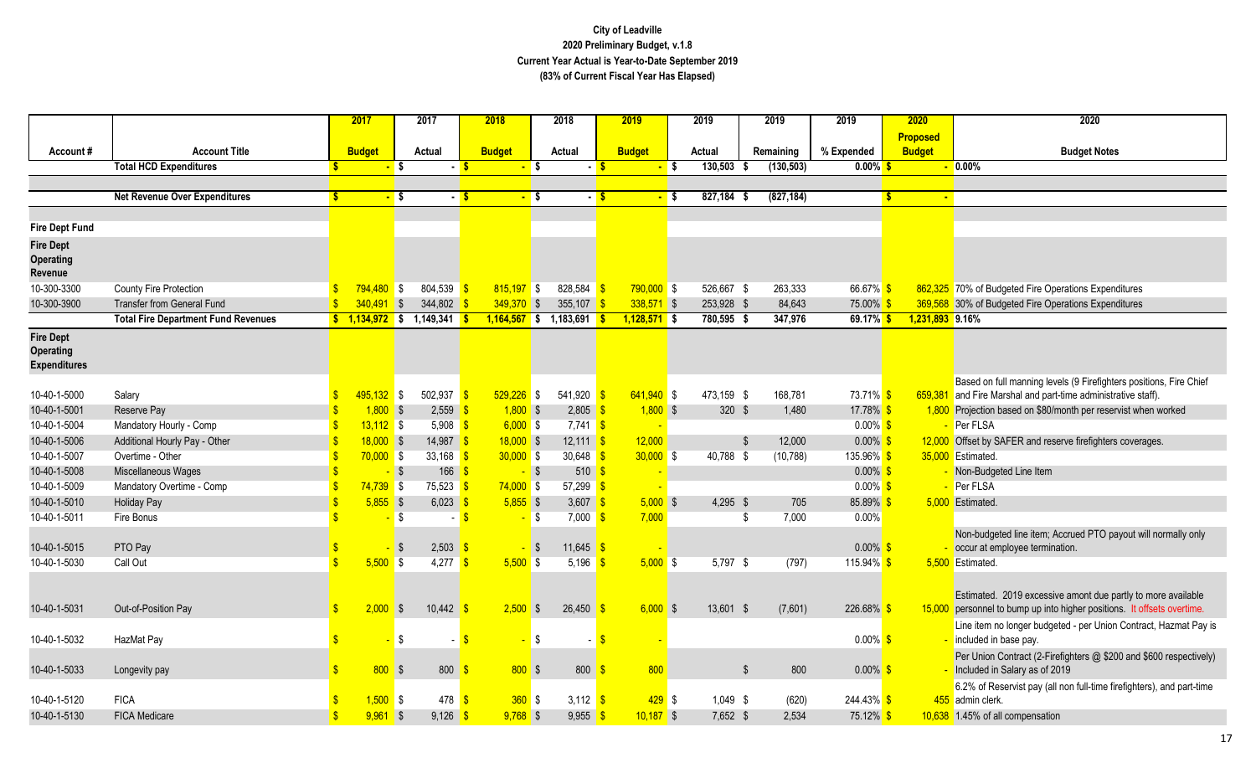|                              |                                            |              | 2017          |                   | 2017                       | 2018          |                   | 2018                     |      | 2019                  | 2019                     | 2019                    | 2019                      | 2020            | 2020                                                                                                                                |
|------------------------------|--------------------------------------------|--------------|---------------|-------------------|----------------------------|---------------|-------------------|--------------------------|------|-----------------------|--------------------------|-------------------------|---------------------------|-----------------|-------------------------------------------------------------------------------------------------------------------------------------|
|                              | <b>Account Title</b>                       |              |               |                   |                            |               |                   |                          |      |                       |                          |                         |                           | Proposed        |                                                                                                                                     |
| Account#                     | <b>Total HCD Expenditures</b>              |              | <b>Budget</b> | <mark>-</mark> \$ | Actual<br>- <mark>S</mark> | <b>Budget</b> | <mark>-</mark> \$ | Actual                   | - S  | <b>Budget</b><br>- \$ | Actual<br>130,503<br>- S | Remaining<br>(130, 503) | % Expended<br>$0.00\%$ \$ | <b>Budget</b>   | <b>Budget Notes</b><br>$\overline{\phantom{0}}$ 0.00%                                                                               |
|                              |                                            |              |               |                   |                            |               |                   |                          |      |                       |                          |                         |                           |                 |                                                                                                                                     |
|                              | <b>Net Revenue Over Expenditures</b>       | -S           |               | <mark>-</mark> \$ | $-5$                       |               | <mark>- S</mark>  |                          | $-5$ | $\blacksquare$ s      | 827,184<br>- S           | (827, 184)              |                           | -S              |                                                                                                                                     |
|                              |                                            |              |               |                   |                            |               |                   |                          |      |                       |                          |                         |                           |                 |                                                                                                                                     |
| <b>Fire Dept Fund</b>        |                                            |              |               |                   |                            |               |                   |                          |      |                       |                          |                         |                           |                 |                                                                                                                                     |
| <b>Fire Dept</b>             |                                            |              |               |                   |                            |               |                   |                          |      |                       |                          |                         |                           |                 |                                                                                                                                     |
| Operating                    |                                            |              |               |                   |                            |               |                   |                          |      |                       |                          |                         |                           |                 |                                                                                                                                     |
| Revenue                      |                                            |              |               |                   |                            |               |                   |                          |      |                       |                          |                         |                           |                 |                                                                                                                                     |
| 10-300-3300                  | <b>County Fire Protection</b>              |              | $794.480$ \$  |                   | 804,539                    | $815,197$ \$  |                   | 828,584 \$               |      | $790,000$ \$          | 526,667 \$               | 263,333                 | 66.67% \$                 |                 | 862,325 70% of Budgeted Fire Operations Expenditures                                                                                |
| 10-300-3900                  | <b>Transfer from General Fund</b>          |              | $340,491$ \$  |                   | 344,802                    | $349,370$ \$  |                   | 355,107                  |      | $338,571$ \$          | 253,928 \$               | 84,643                  | 75.00% <sup>S</sup>       |                 | 369,568 30% of Budgeted Fire Operations Expenditures                                                                                |
|                              | <b>Total Fire Department Fund Revenues</b> |              |               |                   | $$1,134,972$ \$ 1,149,341  |               |                   | $1,164,567$ \$ 1,183,691 |      | $1,128,571$ \$        | 780,595 \$               | 347,976                 | $69.17\%$ \$              | 1,231,893 9.16% |                                                                                                                                     |
| <b>Fire Dept</b>             |                                            |              |               |                   |                            |               |                   |                          |      |                       |                          |                         |                           |                 |                                                                                                                                     |
| <b>Operating</b>             |                                            |              |               |                   |                            |               |                   |                          |      |                       |                          |                         |                           |                 |                                                                                                                                     |
| Expenditures                 |                                            |              |               |                   |                            |               |                   |                          |      |                       |                          |                         |                           |                 |                                                                                                                                     |
|                              |                                            |              | 495,132 \$    |                   | 502,937                    | $529,226$ \$  |                   | $541,920$ \$             |      | $641,940$ \$          | 473,159 \$               | 168,781                 | 73.71% \$                 |                 | Based on full manning levels (9 Firefighters positions, Fire Chief<br>659,381 and Fire Marshal and part-time administrative staff). |
| 10-40-1-5000<br>10-40-1-5001 | Salary                                     |              | $1,800$ \$    |                   | 2,559                      |               | $1,800$ \$        | $2,805$ \$               |      | $1,800$ \$            | 320 \$                   | 1,480                   | 17.78% \$                 |                 |                                                                                                                                     |
| 10-40-1-5004                 | Reserve Pay<br>Mandatory Hourly - Comp     |              | $13,112$ \$   |                   | 5,908                      |               | $6,000$ \$        | $7,741$ \$               |      |                       |                          |                         | $0.00\%$ \$               |                 | 1,800 Projection based on \$80/month per reservist when worked<br>Per FLSA                                                          |
| 10-40-1-5006                 | Additional Hourly Pay - Other              |              | $18,000$ \$   |                   | 14,987                     | $18,000$ \$   |                   | $12,111$ \$              |      | 12,000                | -\$                      | 12,000                  | $0.00\%$ \$               |                 | 12,000 Offset by SAFER and reserve firefighters coverages.                                                                          |
| 10-40-1-5007                 | Overtime - Other                           |              | $70,000$ \$   |                   | 33,168                     | $30,000$ \$   |                   | 30,648 $\frac{\ }{\ }$   |      | $30,000$ \$           | 40,788 \$                | (10, 788)               | 135.96% \$                |                 | 35,000 Estimated.                                                                                                                   |
| 10-40-1-5008                 | Miscellaneous Wages                        |              |               | $-$ \$            | 166                        |               | $-$ \$            | 510                      |      |                       |                          |                         | $0.00\%$ \$               |                 | Non-Budgeted Line Item                                                                                                              |
| 10-40-1-5009                 | Mandatory Overtime - Comp                  |              | $74,739$ \$   |                   | 75,523                     | $74,000$ \$   |                   | $57,299$ \$              |      |                       |                          |                         | $0.00\%$ \$               |                 | Per FLSA                                                                                                                            |
| 10-40-1-5010                 | <b>Holiday Pay</b>                         |              | $5,855$ \$    |                   | 6,023                      |               | $5,855$ \$        | 3,607 \$                 |      | 5.000S                | $4,295$ \$               | 705                     | 85.89% \$                 |                 | 5.000 Estimated.                                                                                                                    |
| 10-40-1-5011                 | Fire Bonus                                 |              |               | -\$               |                            |               | $-$ \$            | $7,000$ \$               |      | 7,000                 | \$                       | 7,000                   | 0.00%                     |                 |                                                                                                                                     |
|                              |                                            |              |               |                   |                            |               |                   |                          |      |                       |                          |                         |                           |                 | Non-budgeted line item; Accrued PTO payout will normally only                                                                       |
| 10-40-1-5015                 | PTO Pay                                    |              |               | \$                | 2,503                      |               | - \$              | 11,645 \$                |      |                       |                          |                         | $0.00\%$ \$               |                 | occur at employee termination.                                                                                                      |
| 10-40-1-5030                 | Call Out                                   |              | 5,500         | <b>S</b>          | 4,277                      |               | $5,500$ \$        | 5,196 $\frac{1}{5}$      |      | $5,000$ \$            | 5,797 \$                 | (797)                   | 115.94% \$                |                 | 5.500 Estimated.                                                                                                                    |
|                              |                                            |              |               |                   |                            |               |                   |                          |      |                       |                          |                         |                           |                 |                                                                                                                                     |
|                              |                                            |              |               |                   |                            |               |                   |                          |      |                       |                          |                         |                           |                 | Estimated. 2019 excessive amont due partly to more available                                                                        |
| 10-40-1-5031                 | Out-of-Position Pay                        | $\mathbb{S}$ | 2,000         | $\sqrt{3}$        | 10,442                     |               | $2,500$ \$        | 26,450                   |      | $6,000$ \$            | 13,601 \$                | (7,601)                 | 226.68%                   |                 | 15,000 personnel to bump up into higher positions. It offsets overtime.                                                             |
|                              |                                            |              |               |                   |                            |               |                   |                          |      |                       |                          |                         |                           |                 | Line item no longer budgeted - per Union Contract, Hazmat Pay is                                                                    |
| 10-40-1-5032                 | HazMat Pay                                 |              |               | \$                |                            |               | \$                |                          | - \$ |                       |                          |                         | $0.00\%$ \$               |                 | included in base pay.                                                                                                               |
|                              |                                            |              |               |                   |                            |               |                   |                          |      |                       |                          |                         |                           |                 | Per Union Contract (2-Firefighters @ \$200 and \$600 respectively)                                                                  |
| 10-40-1-5033                 | Longevity pay                              |              | $800$ \$      |                   | 800                        |               | 800S              | 800                      |      | 800                   | $\mathfrak{s}$           | 800                     | $0.00\%$ \$               |                 | Included in Salary as of 2019                                                                                                       |
|                              |                                            |              |               |                   |                            |               |                   |                          |      |                       |                          |                         |                           |                 | 6.2% of Reservist pay (all non full-time firefighters), and part-time                                                               |
| 10-40-1-5120                 | <b>FICA</b>                                |              | $1,500$ \$    |                   | 478                        |               | $360$ \$          | 3,112 $\frac{1}{5}$      |      | $429$ \$              | 1,049 \$                 | (620)                   | $244.43\%$ \$             |                 | 455 admin clerk.                                                                                                                    |
| 10-40-1-5130                 | <b>FICA Medicare</b>                       |              | $9,961$ \$    |                   | $9,126$ \$                 |               | $9,768$ \$        | $9,955$ \$               |      | $10,187$ \$           | 7,652 \$                 | 2,534                   | 75.12% <sup>\$</sup>      |                 | 10,638 1.45% of all compensation                                                                                                    |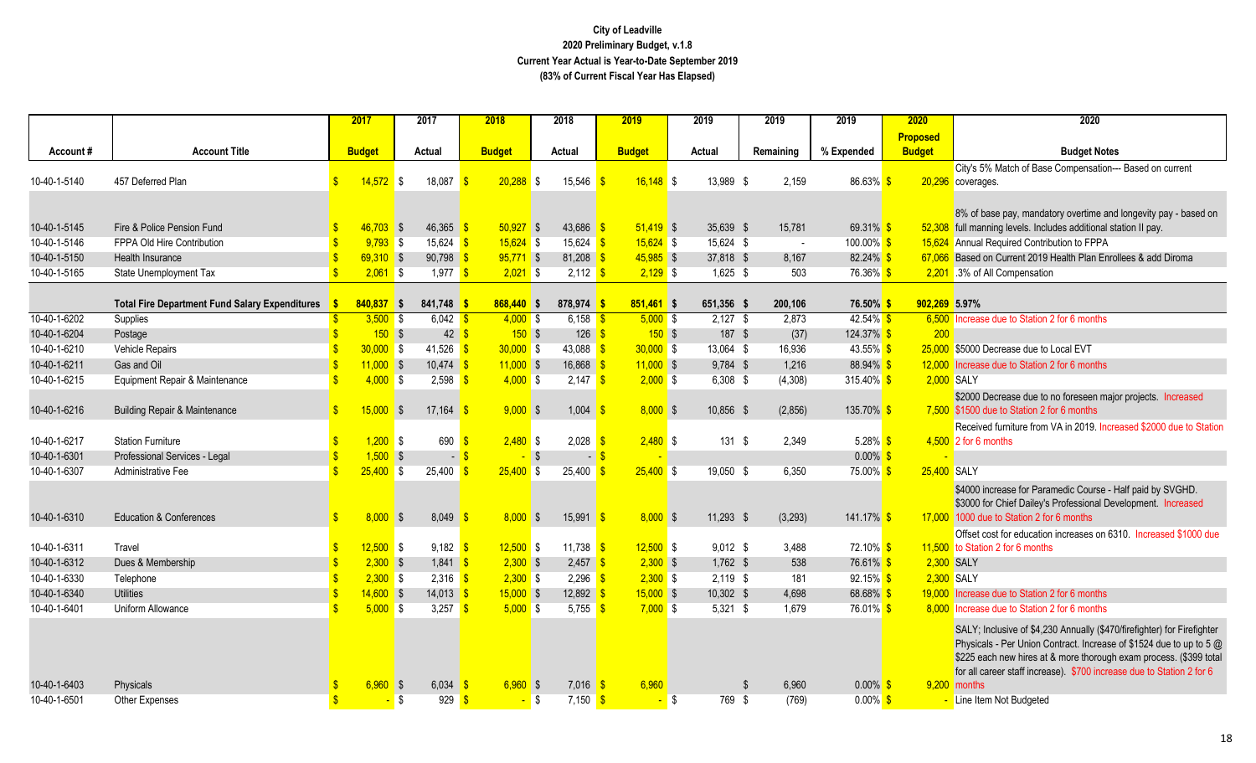|              |                                                       | 2017                |              | 2017           | 2018                       | 2018                    |                                   | 2019          | 2019               | 2019                    | 2019                    | 2020            | 2020                                                                    |
|--------------|-------------------------------------------------------|---------------------|--------------|----------------|----------------------------|-------------------------|-----------------------------------|---------------|--------------------|-------------------------|-------------------------|-----------------|-------------------------------------------------------------------------|
|              |                                                       |                     |              |                |                            |                         |                                   |               |                    |                         |                         | <b>Proposed</b> |                                                                         |
| Account#     | <b>Account Title</b>                                  | <b>Budget</b>       |              | Actual         | <b>Budget</b>              | Actual                  |                                   | <b>Budget</b> | Actual             | Remaining               | % Expended              | <b>Budget</b>   | <b>Budget Notes</b>                                                     |
|              |                                                       |                     |              |                |                            |                         |                                   |               |                    |                         |                         |                 | City's 5% Match of Base Compensation--- Based on current                |
| 10-40-1-5140 | 457 Deferred Plan                                     | $\mathbf{s}$        | $14,572$ \$  | 18,087         | 20,288                     | IS.                     | 15,546                            | $16,148$ \$   | 13,989 \$          | 2,159                   | 86.63% \$               |                 | 20,296 coverages.                                                       |
|              |                                                       |                     |              |                |                            |                         |                                   |               |                    |                         |                         |                 |                                                                         |
|              |                                                       |                     |              |                |                            |                         |                                   |               |                    |                         |                         |                 | 8% of base pay, mandatory overtime and longevity pay - based on         |
| 10-40-1-5145 | Fire & Police Pension Fund                            |                     | $46,703$ \$  | 46,365         | $50,927$ \$                |                         | 43,686                            | $51,419$ \$   | 35,639 \$          | 15,781                  | 69.31% \$               |                 | 52,308 full manning levels. Includes additional station II pay.         |
| 10-40-1-5146 | FPPA Old Hire Contribution                            |                     | $9,793$ \$   | $15,624$ \$    | $15,624$ \$                |                         | $15,624$ \$                       | $15,624$ \$   | 15,624 \$          |                         | $100.00\%$ \$<br>$\sim$ |                 | 15,624 Annual Required Contribution to FPPA                             |
| 10-40-1-5150 | <b>Health Insurance</b>                               |                     | $69,310$ \$  | 90,798         | $95,771$ \$                |                         | $81,208$ \$                       | $45,985$ \$   | 37,818 \$          | 8,167                   | $82.24\%$ \$            |                 | 67,066 Based on Current 2019 Health Plan Enrollees & add Diroma         |
| 10-40-1-5165 | State Unemployment Tax                                |                     | $2,061$ \$   | $1,977$ \$     | $2,021$ \$                 |                         | $2,112$ \$                        | $2,129$ \$    | $1,625$ \$         | 503                     | 76.36% \$               |                 | 2,201 .3% of All Compensation                                           |
|              |                                                       |                     |              |                |                            |                         |                                   |               |                    |                         |                         |                 |                                                                         |
|              | <b>Total Fire Department Fund Salary Expenditures</b> |                     | $840,837$ \$ | 841,748        | $868,440$ \$               |                         | 878,974 \$                        | $851,461$ \$  | 651,356 \$         | 200.106                 | 76.50% <sup>S</sup>     | 902,269 5.97%   |                                                                         |
| 10-40-1-6202 | Supplies                                              |                     | $3,500$ \$   | $6,042$ \$     | $4,000$ \$                 |                         | 6,158 $\frac{\epsilon}{\sqrt{2}}$ | $5,000$ \$    | $2,127$ \$         | 2,873                   | $42.54\%$ \$            |                 | 6,500 Increase due to Station 2 for 6 months                            |
| 10-40-1-6204 | Postage                                               | $\ddot{\bm{\zeta}}$ | 150S         | 42             | 150S<br>\$.                |                         | $126$ \$                          | $150$ \$      | 187 \$             | (37)                    | 124.37% \$              | 200             |                                                                         |
| 10-40-1-6210 | Vehicle Repairs                                       |                     | $30,000$ \$  | 41,526         | $30,000$ \$<br>$\sqrt{3}$  |                         | 43,088 $\frac{\text{}}{\text{}}$  | $30,000$ \$   | 13,064 \$          | 16,936                  | 43.55% \$               |                 | 25,000 \$5000 Decrease due to Local EVT                                 |
| 10-40-1-6211 | Gas and Oil                                           |                     | $11,000$ \$  | 10,474         | $11,000$ \$                |                         | 16,868                            | $11,000$ \$   | 9,784 \$           | 1,216                   | 88.94% \$               |                 | 12,000 Increase due to Station 2 for 6 months                           |
| 10-40-1-6215 | Equipment Repair & Maintenance                        |                     | $4,000$ \$   | $2,598$ \$     | $4,000$ \$                 |                         | $2,147$ \$                        | $2,000$ \$    | $6,308$ \$         | (4,308)                 | 315.40% \$              |                 | 2,000 SALY                                                              |
|              |                                                       |                     |              |                |                            |                         |                                   |               |                    |                         |                         |                 | \$2000 Decrease due to no foreseen major projects. Increased            |
| 10-40-1-6216 | <b>Building Repair &amp; Maintenance</b>              |                     | $15,000$ \$  | 17,164         | $9,000$ \$                 |                         | 1,004                             | $8,000$ \$    | 10,856 \$          | (2,856)                 | 135.70% <sup>S</sup>    |                 | 7,500 \$1500 due to Station 2 for 6 months                              |
|              |                                                       |                     |              |                |                            |                         |                                   |               |                    |                         |                         |                 | Received furniture from VA in 2019. Increased \$2000 due to Station     |
| 10-40-1-6217 | <b>Station Furniture</b>                              |                     | $1,200$ \$   | 690            | $2,480$ \$                 |                         | 2,028                             | $2,480$ \$    | 131S               | 2,349                   | 5.28% $$$               |                 | $4,500$ 2 for 6 months                                                  |
| 10-40-1-6301 | Professional Services - Legal                         |                     | $1,500$ \$   | $\blacksquare$ | \$.                        | $\overline{\mathbf{s}}$ | $-$ \$                            |               |                    |                         | $0.00\%$ \$             |                 |                                                                         |
| 10-40-1-6307 | Administrative Fee                                    |                     | $25,400$ \$  | 25,400         | $25,400$ \$<br>$\sqrt{ }$  |                         | $25,400$ \$                       | $25,400$ \$   | 19,050 \$          | 6,350                   | 75.00% <sup>S</sup>     | 25,400 SALY     |                                                                         |
|              |                                                       |                     |              |                |                            |                         |                                   |               |                    |                         |                         |                 | \$4000 increase for Paramedic Course - Half paid by SVGHD.              |
|              |                                                       |                     |              |                |                            |                         |                                   |               |                    |                         |                         |                 | \$3000 for Chief Dailey's Professional Development. Increased           |
| 10-40-1-6310 | <b>Education &amp; Conferences</b>                    | $\mathbf{s}$        | $8,000$ \$   | 8,049          | $8,000$ \$                 |                         | $15,991$ \$                       | 8,000S        | 11,293 \$          | (3,293)                 | 141.17% \$              |                 | 17,000 1000 due to Station 2 for 6 months                               |
|              |                                                       |                     |              |                |                            |                         |                                   |               |                    |                         |                         |                 | Offset cost for education increases on 6310. Increased \$1000 due       |
| 10-40-1-6311 | Travel                                                |                     | $12,500$ \$  | $9,182$ \$     | $12,500$ \$                |                         | 11,738 $\frac{1}{5}$              | $12,500$ \$   | $9,012$ \$         | 3,488                   | 72.10% <sup>S</sup>     |                 | 11,500 to Station 2 for 6 months                                        |
| 10-40-1-6312 | Dues & Membership                                     |                     | $2,300$ \$   | 1,841          | $2,300$ \$<br>$\mathbf{s}$ |                         | $2,457$ \$                        | $2,300$ \$    | $1,762$ \$         | 538                     | 76.61% <sup>S</sup>     |                 | 2,300 SALY                                                              |
| 10-40-1-6330 | Telephone                                             |                     | $2,300$ \$   | $2,316$ \$     | $2,300$ \$                 |                         | $2,296$ \$                        | $2,300$ \$    | $2,119$ \$         | 181                     | 92.15% <sup>S</sup>     |                 | 2,300 SALY                                                              |
| 10-40-1-6340 | <b>Utilities</b>                                      |                     | $14,600$ \$  | $14,013$ \$    | $15,000$ \$                |                         | 12,892 $\frac{1}{5}$              | $15,000$ \$   | 10,302 \$          | 4,698                   | 68.68% \$               |                 | 19,000 Increase due to Station 2 for 6 months                           |
| 10-40-1-6401 | Uniform Allowance                                     |                     | $5,000$ \$   | 3,257          | 5,000S                     |                         | 5,755 $\frac{1}{5}$               | $7,000$ \$    | $5,321$ \$         | 1,679                   | 76.01% <sup>S</sup>     |                 | 8,000 Increase due to Station 2 for 6 months                            |
|              |                                                       |                     |              |                |                            |                         |                                   |               |                    |                         |                         |                 | SALY; Inclusive of \$4,230 Annually (\$470/firefighter) for Firefighter |
|              |                                                       |                     |              |                |                            |                         |                                   |               |                    |                         |                         |                 | Physicals - Per Union Contract. Increase of \$1524 due to up to 5 @     |
|              |                                                       |                     |              |                |                            |                         |                                   |               |                    |                         |                         |                 | \$225 each new hires at & more thorough exam process. (\$399 total      |
|              |                                                       |                     |              |                |                            |                         |                                   |               |                    |                         |                         |                 | for all career staff increase). \$700 increase due to Station 2 for 6   |
| 10-40-1-6403 | Physicals                                             |                     | $6,960$ \$   | 6,034          | $6.960$ \$                 |                         | 7,016                             | 6,960<br>-S   |                    | 6,960<br>$\mathfrak{L}$ | $0.00\%$ \$             |                 | 9,200 months                                                            |
| 10-40-1-6501 | <b>Other Expenses</b>                                 |                     |              | S.<br>929      | <sup>\$</sup><br>- \$      |                         | $7,150$ \$                        |               | 769 \$<br><b>S</b> | (769)                   | $0.00\%$ \$             |                 | - Line Item Not Budgeted                                                |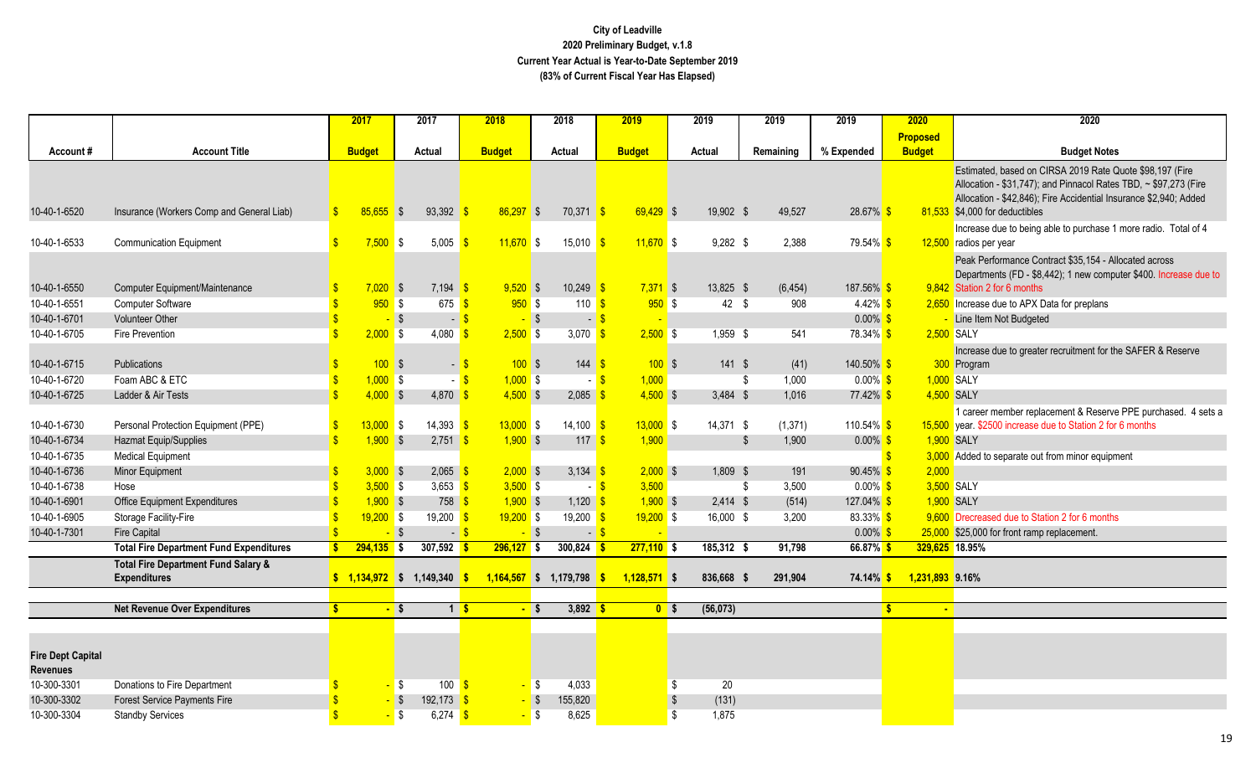|                                             |                                                                       |               | 2017                 | 2017                               | 2018                               | 2018                        | 2019               | 2019                              | 2019                  | 2019                               | 2020               | 2020                                                                                                                                                                                                                                |
|---------------------------------------------|-----------------------------------------------------------------------|---------------|----------------------|------------------------------------|------------------------------------|-----------------------------|--------------------|-----------------------------------|-----------------------|------------------------------------|--------------------|-------------------------------------------------------------------------------------------------------------------------------------------------------------------------------------------------------------------------------------|
|                                             |                                                                       |               |                      |                                    |                                    |                             |                    |                                   |                       |                                    | <b>Proposed</b>    |                                                                                                                                                                                                                                     |
| Account#                                    | <b>Account Title</b>                                                  |               | <b>Budget</b>        | Actual                             | <b>Budget</b>                      | Actual                      | <b>Budget</b>      | Actual                            | Remaining             | % Expended                         | <b>Budget</b>      | <b>Budget Notes</b>                                                                                                                                                                                                                 |
| 10-40-1-6520                                | Insurance (Workers Comp and General Liab)                             | $\mathbf{s}$  | $85.655$ \$          | 93,392                             | $86,297$ \$                        | $70,371$ \$                 | $69,429$ \$        | 19,902 \$                         | 49,527                | 28.67% \$                          |                    | Estimated, based on CIRSA 2019 Rate Quote \$98,197 (Fire<br>Allocation - \$31,747); and Pinnacol Rates TBD, ~ \$97,273 (Fire<br>Allocation - \$42,846); Fire Accidential Insurance \$2,940; Added<br>81,533 \$4,000 for deductibles |
| 10-40-1-6533                                | <b>Communication Equipment</b>                                        | $\mathbf{\$}$ | $7,500$ \$           | 5,005                              | $11,670$ \$<br><b>S</b>            | $15,010$ \$                 | $11,670$ \$        | $9,282$ \$                        | 2,388                 | 79.54% \$                          |                    | Increase due to being able to purchase 1 more radio. Total of 4<br>12,500 radios per year                                                                                                                                           |
| 10-40-1-6550                                | Computer Equipment/Maintenance                                        |               | $7,020$ \$           | $7,194$ \$                         | $9,520$ \$                         | $10,249$ \$                 | $7,371$ \$         | 13,825 \$                         | (6, 454)              | 187.56% \$                         |                    | Peak Performance Contract \$35,154 - Allocated across<br>Departments (FD - \$8,442); 1 new computer \$400. Increase due to<br>9,842 Station 2 for 6 months                                                                          |
| 10-40-1-6551                                | <b>Computer Software</b>                                              |               | 950S                 | $675$ $\frac{\text{S}}{\text{S}}$  | 950S                               | 110 $s$                     | 950S               | $42 \quad$                        | 908                   | $4.42\%$ \$                        |                    | 2,650 Increase due to APX Data for preplans                                                                                                                                                                                         |
| 10-40-1-6701<br>10-40-1-6705                | <b>Volunteer Other</b><br><b>Fire Prevention</b>                      |               | $-$ \$<br>$2,000$ \$ | $-$ \$<br>4,080                    | $-$ \$<br>$2,500$ \$<br>$\sqrt{3}$ | 3,070 $\frac{1}{5}$         | $-5$<br>$2,500$ \$ | 1,959 \$                          | 541                   | $0.00\%$ \$<br>78.34% <sup>S</sup> |                    | Line Item Not Budgeted<br>2,500 SALY                                                                                                                                                                                                |
| 10-40-1-6715                                | Publications                                                          |               | 100S                 | $-$ \$                             | $100$ \$                           | 144                         | 100S               | $141$ \$                          | (41)                  | 140.50% <sup>\$</sup>              |                    | Increase due to greater recruitment for the SAFER & Reserve<br>300 Program                                                                                                                                                          |
| 10-40-1-6720                                | Foam ABC & ETC                                                        |               | $1,000$ \$           | $-$ \$                             | $1,000$ \$                         |                             | 1,000<br>$-5$      |                                   | 1,000<br>\$           | $0.00\%$ \$                        |                    | 1,000 SALY                                                                                                                                                                                                                          |
| 10-40-1-6725                                | Ladder & Air Tests                                                    |               | $4,000$ \$           | 4,870 $\frac{1}{5}$                | $4,500$ \$                         | $2,085$ \$                  | $4,500$ \$         | $3,484$ \$                        | 1,016                 | 77.42% \$                          |                    | 4,500 SALY                                                                                                                                                                                                                          |
| 10-40-1-6730                                | Personal Protection Equipment (PPE)                                   | $\mathbf{s}$  | $13,000$ \$          | $14,393$ $\frac{\text{}}{\text{}}$ | $13,000$ \$                        | $14,100$ \$                 | $13,000$ \$        | 14,371 \$                         | (1, 371)              | 110.54% \$                         |                    | 1 career member replacement & Reserve PPE purchased. 4 sets a<br>15,500 year. \$2500 increase due to Station 2 for 6 months                                                                                                         |
| 10-40-1-6734                                | Hazmat Equip/Supplies                                                 |               | $1,900$ \$           | 2,751                              | $1,900$ \$<br>ß.                   | 117                         | 1,900              |                                   | $\mathbb{S}$<br>1,900 | $0.00\%$ \$                        |                    | 1,900 SALY                                                                                                                                                                                                                          |
| 10-40-1-6735                                | <b>Medical Equipment</b>                                              |               |                      |                                    |                                    |                             |                    |                                   |                       |                                    | $\mathbf{\hat{s}}$ | 3,000 Added to separate out from minor equipment                                                                                                                                                                                    |
| 10-40-1-6736                                | Minor Equipment                                                       |               | $3,000$ \$           | 2,065                              | $2,000$ \$                         | 3,134                       | $2,000$ \$         | $1,809$ \$                        | 191                   | $90.45\%$ \$                       | 2,000              |                                                                                                                                                                                                                                     |
| 10-40-1-6738                                | Hose                                                                  |               | $3,500$ \$           | 3,653 $\frac{\text{S}}{\text{S}}$  | $3,500$ \$                         | $-5$                        | 3,500              |                                   | 3,500<br>\$           | $0.00\%$ \$                        |                    | 3,500 SALY                                                                                                                                                                                                                          |
| 10-40-1-6901                                | Office Equipment Expenditures                                         |               | $1,900$ \$           | $758$ $\frac{\ }{\ }$              | $1,900$ \$                         | $1,120$ \$                  | $1,900$ \$         | $2,414$ \$                        | (514)                 | 127.04% <sup>S</sup>               |                    | 1,900 SALY                                                                                                                                                                                                                          |
| 10-40-1-6905                                | Storage Facility-Fire                                                 |               | $19,200$ \$          | $19,200$ \$                        | $19,200$ \$                        | $19,200$ \$                 | $19,200$ \$        | 16,000 \$                         | 3,200                 | 83.33% \$                          |                    | 9,600 Drecreased due to Station 2 for 6 months                                                                                                                                                                                      |
| 10-40-1-7301                                | <b>Fire Capital</b>                                                   |               | $-$ \$               | $-$ \$                             | $-$ \$                             |                             | $-5$               |                                   |                       | $0.00\%$ \$                        |                    | 25,000 \$25,000 for front ramp replacement                                                                                                                                                                                          |
|                                             | <b>Total Fire Department Fund Expenditures</b>                        |               | $294,135$ \$         | $307,592$ \$                       | $296,127$ \$                       | $300,824$ \$                | $277,110$ \$       | $185,312$ \$                      | 91,798                | $66.87\%$ \$                       | 329,625 18.95%     |                                                                                                                                                                                                                                     |
|                                             | <b>Total Fire Department Fund Salary &amp;</b><br><b>Expenditures</b> |               |                      | $$1,134,972$ \$ 1,149,340 \$       |                                    | $1,164,567$ \$ 1,179,798 \$ | $1,128,571$ \$     | 836,668                           | 291,904<br>-S         | $74.14\%$ \$                       | 1,231,893 9.16%    |                                                                                                                                                                                                                                     |
|                                             |                                                                       |               |                      |                                    |                                    |                             |                    |                                   |                       |                                    | S.                 |                                                                                                                                                                                                                                     |
|                                             | <b>Net Revenue Over Expenditures</b>                                  |               | $-$ \$               | $1\overline{\textbf{S}}$           |                                    | $3,892$ \$<br>- \$          | 0 <sup>5</sup>     | (56, 073)                         |                       |                                    | <b>COL</b>         |                                                                                                                                                                                                                                     |
|                                             |                                                                       |               |                      |                                    |                                    |                             |                    |                                   |                       |                                    |                    |                                                                                                                                                                                                                                     |
| <b>Fire Dept Capital</b><br><b>Revenues</b> |                                                                       |               |                      |                                    |                                    |                             |                    |                                   |                       |                                    |                    |                                                                                                                                                                                                                                     |
| 10-300-3301                                 | Donations to Fire Department                                          |               | $-5$                 | 100                                | $\sqrt{3}$                         | $-$ \$<br>4,033             |                    | 20<br>\$                          |                       |                                    |                    |                                                                                                                                                                                                                                     |
| 10-300-3302                                 | <b>Forest Service Payments Fire</b>                                   |               | $-$ \$               | 192,173                            | $-$ \$<br>$\mathbf{s}$             | 155,820                     |                    | $\sqrt[6]{\frac{1}{2}}$<br>(131)  |                       |                                    |                    |                                                                                                                                                                                                                                     |
| 10-300-3304                                 | <b>Standby Services</b>                                               |               | $-5$                 | 6,274 \$                           |                                    | 8,625<br><mark>-</mark> \$  |                    | $\overline{\mathcal{S}}$<br>1,875 |                       |                                    |                    |                                                                                                                                                                                                                                     |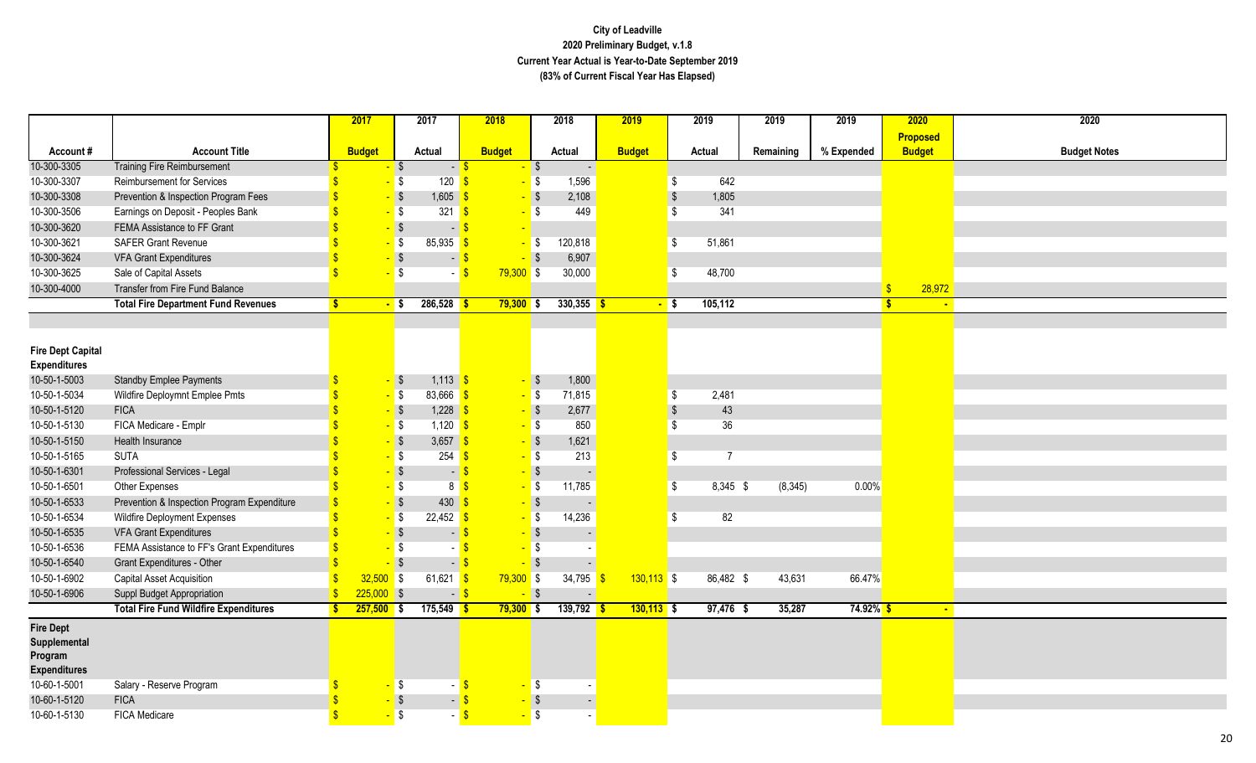|                          |                                              | 2017          | 2017                   | 2018                                     |                   | 2018                     | 2019          |                   | 2019           | 2019      | 2019                | 2020                         | 2020                |
|--------------------------|----------------------------------------------|---------------|------------------------|------------------------------------------|-------------------|--------------------------|---------------|-------------------|----------------|-----------|---------------------|------------------------------|---------------------|
|                          |                                              |               |                        |                                          |                   |                          |               |                   |                |           |                     | Proposed                     |                     |
| Account#                 | <b>Account Title</b>                         | <b>Budget</b> | Actual                 | <b>Budget</b>                            |                   | Actual                   | <b>Budget</b> |                   | Actual         | Remaining | % Expended          | <b>Budget</b>                | <b>Budget Notes</b> |
| 10-300-3305              | <b>Training Fire Reimbursement</b>           |               | $-$ \$                 | $-$ \$                                   | $\sqrt{3}$        | $\overline{\phantom{a}}$ |               |                   |                |           |                     |                              |                     |
| 10-300-3307              | <b>Reimbursement for Services</b>            |               | $-5$                   | 120<br>$\sqrt{s}$                        | $-$ \$            | 1,596                    |               | $\sqrt{3}$        | 642            |           |                     |                              |                     |
| 10-300-3308              | Prevention & Inspection Program Fees         |               | $-$ \$                 | 1,605                                    | $-$ \$            | 2,108                    |               | $\sqrt{3}$        | 1,805          |           |                     |                              |                     |
| 10-300-3506              | Earnings on Deposit - Peoples Bank           |               | $-5$                   | 321<br>$\sqrt{3}$                        | IS.               | 449                      |               | \$                | 341            |           |                     |                              |                     |
| 10-300-3620              | FEMA Assistance to FF Grant                  |               | $-$ \$                 | $\mathbf{s}$<br>$\overline{\phantom{a}}$ |                   |                          |               |                   |                |           |                     |                              |                     |
| 10-300-3621              | <b>SAFER Grant Revenue</b>                   |               | $-5$<br>85,935         | $\sqrt{3}$                               | <mark>-</mark> \$ | 120,818                  |               | \$                | 51,861         |           |                     |                              |                     |
| 10-300-3624              | <b>VFA Grant Expenditures</b>                |               | $-$ \$                 | $-5$                                     | $-$ \$            | 6,907                    |               |                   |                |           |                     |                              |                     |
| 10-300-3625              | Sale of Capital Assets                       |               | $-5$                   | $79,300$ \$<br>$-5$                      |                   | 30,000                   |               | \$                | 48,700         |           |                     |                              |                     |
| 10-300-4000              | Transfer from Fire Fund Balance              |               |                        |                                          |                   |                          |               |                   |                |           |                     | 28,972<br>$\mathbf{\$}$      |                     |
|                          | <b>Total Fire Department Fund Revenues</b>   | S.            | $286,528$ \$<br>$-$ \$ | $79,300$ \$                              |                   | $330,355$ \$             |               | <mark>-</mark> \$ | 105,112        |           |                     | $\mathbf{s}$<br>$\mathbf{r}$ |                     |
|                          |                                              |               |                        |                                          |                   |                          |               |                   |                |           |                     |                              |                     |
|                          |                                              |               |                        |                                          |                   |                          |               |                   |                |           |                     |                              |                     |
| <b>Fire Dept Capital</b> |                                              |               |                        |                                          |                   |                          |               |                   |                |           |                     |                              |                     |
| <b>Expenditures</b>      |                                              |               |                        |                                          |                   |                          |               |                   |                |           |                     |                              |                     |
| 10-50-1-5003             | <b>Standby Emplee Payments</b>               |               | $-$ \$                 | $1,113$ \$                               | $-$ \$            | 1,800                    |               |                   |                |           |                     |                              |                     |
| 10-50-1-5034             | Wildfire Deploymnt Emplee Pmts               |               | $-5$                   | 83,666 \$                                | $-5$              | 71,815                   |               | $\sqrt{3}$        | 2,481          |           |                     |                              |                     |
| 10-50-1-5120             | <b>FICA</b>                                  |               | $-$ \$                 | $1,228$ \$                               | $-$ \$            | 2,677                    |               | $\sqrt{3}$        | 43             |           |                     |                              |                     |
| 10-50-1-5130             | FICA Medicare - Emplr                        |               | $-5$                   | $1,120$ \$                               | $-5$              | 850                      |               | \$                | 36             |           |                     |                              |                     |
| 10-50-1-5150             | Health Insurance                             |               | $-$ \$                 | 3,657 \$                                 | $-$ \$            | 1,621                    |               |                   |                |           |                     |                              |                     |
| 10-50-1-5165             | <b>SUTA</b>                                  |               | $-5$                   | $254$ $\frac{\text{}}{\text{}}$          | $-$ \$            | 213                      |               | \$                | $\overline{7}$ |           |                     |                              |                     |
| 10-50-1-6301             | Professional Services - Legal                |               | $-$ \$                 | $-$ \$                                   | $-$ \$            |                          |               |                   |                |           |                     |                              |                     |
| 10-50-1-6501             | Other Expenses                               |               | $-5$                   | 8 <mark>S</mark>                         | $-$ \$            | 11,785                   |               | \$                | 8,345 \$       | (8, 345)  | 0.00%               |                              |                     |
| 10-50-1-6533             | Prevention & Inspection Program Expenditure  |               | $-$ \$                 | 430<br>-S                                | $-$ \$            |                          |               |                   |                |           |                     |                              |                     |
| 10-50-1-6534             | <b>Wildfire Deployment Expenses</b>          |               | $-$ \$<br>22,452       | $\sqrt{3}$                               | $-5$              | 14,236                   |               | \$                | 82             |           |                     |                              |                     |
| 10-50-1-6535             | <b>VFA Grant Expenditures</b>                |               | $-$ \$                 | -\$<br>$\blacksquare$                    | $-$ \$            |                          |               |                   |                |           |                     |                              |                     |
| 10-50-1-6536             | FEMA Assistance to FF's Grant Expenditures   |               | $-5$                   | - \$                                     | <mark>- \$</mark> |                          |               |                   |                |           |                     |                              |                     |
| 10-50-1-6540             | <b>Grant Expenditures - Other</b>            |               | $-$ \$                 | $-$ \$                                   | $\frac{1}{3}$     |                          |               |                   |                |           |                     |                              |                     |
| 10-50-1-6902             | Capital Asset Acquisition                    | 32,500        | $\sqrt{3}$             | $61,621$ \$<br>$79,300$ \$               |                   | 34,795 \$                | $130,113$ \$  |                   | 86,482 \$      | 43,631    | 66.47%              |                              |                     |
| 10-50-1-6906             | Suppl Budget Appropriation                   | $225,000$ \$  |                        | $-$ \$                                   | $-$ \$            | $\mathbf{r}$             |               |                   |                |           |                     |                              |                     |
|                          | <b>Total Fire Fund Wildfire Expenditures</b> | $257,500$ \$  | $175,549$ \$           | $79,300$ \$                              |                   | $139,792$ \$             | $130,113$ \$  |                   | $97,476$ \$    | 35,287    | 74.92% <sup>S</sup> | $\mathbf{r}$                 |                     |
| <b>Fire Dept</b>         |                                              |               |                        |                                          |                   |                          |               |                   |                |           |                     |                              |                     |
| Supplemental             |                                              |               |                        |                                          |                   |                          |               |                   |                |           |                     |                              |                     |
| Program                  |                                              |               |                        |                                          |                   |                          |               |                   |                |           |                     |                              |                     |
| <b>Expenditures</b>      |                                              |               |                        |                                          |                   |                          |               |                   |                |           |                     |                              |                     |
| 10-60-1-5001             | Salary - Reserve Program                     |               | $-5$                   | $-$ \$                                   | $-5$              |                          |               |                   |                |           |                     |                              |                     |
| 10-60-1-5120             | <b>FICA</b>                                  |               | <mark>-</mark> \$      | $-$ \$                                   | <mark>-</mark> \$ | $\mathbb{Z}^2$           |               |                   |                |           |                     |                              |                     |
| 10-60-1-5130             | <b>FICA Medicare</b>                         |               | $-5$                   | $-$ \$                                   | $-$ \$            |                          |               |                   |                |           |                     |                              |                     |